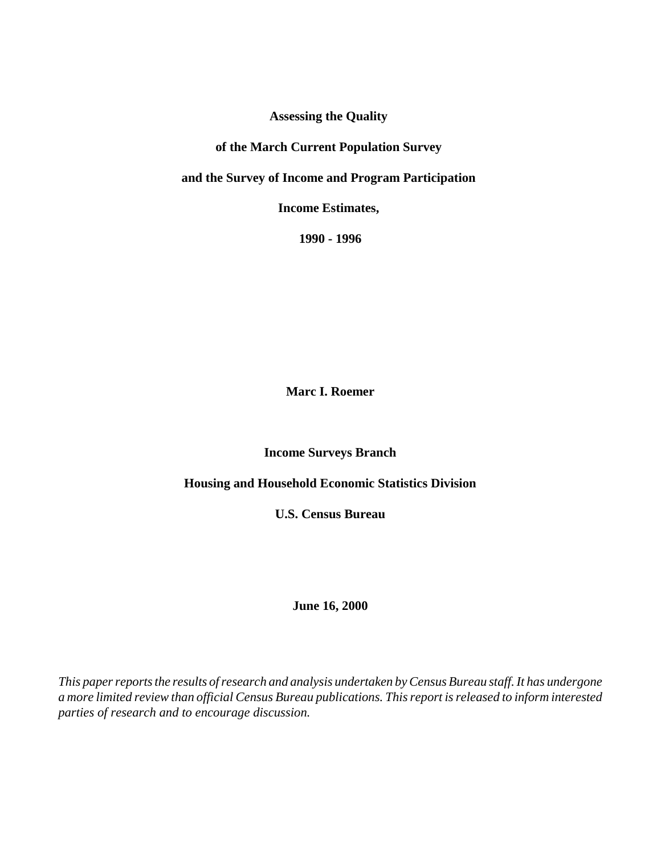**Assessing the Quality** 

# **of the March Current Population Survey**

**and the Survey of Income and Program Participation** 

**Income Estimates,** 

**1990 - 1996**

**Marc I. Roemer**

**Income Surveys Branch**

**Housing and Household Economic Statistics Division**

**U.S. Census Bureau**

**June 16, 2000**

*This paper reports the results of research and analysis undertaken by Census Bureau staff. It has undergone a more limited review than official Census Bureau publications. This report is released to inform interested parties of research and to encourage discussion.*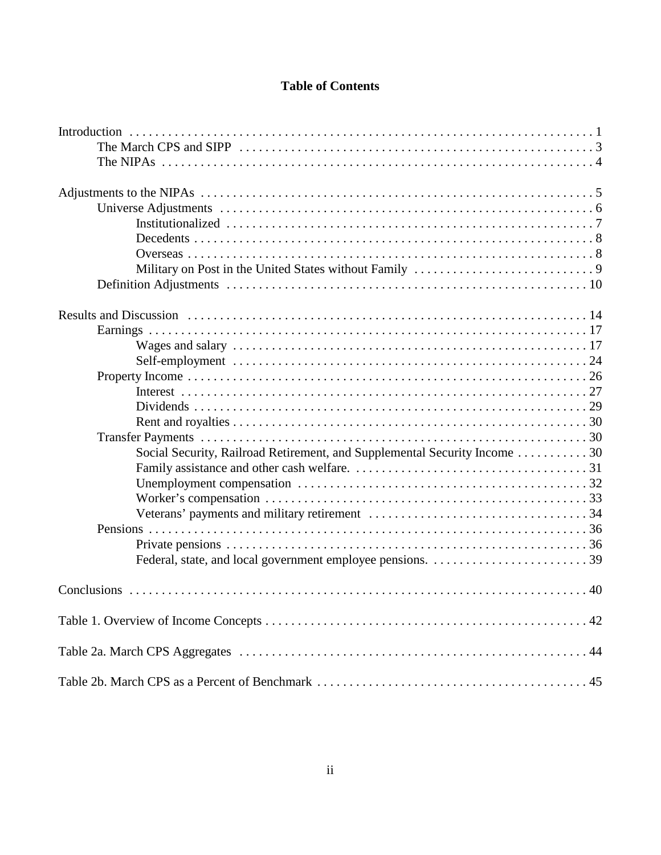# **Table of Contents**

| Social Security, Railroad Retirement, and Supplemental Security Income  30 |  |
|----------------------------------------------------------------------------|--|
|                                                                            |  |
|                                                                            |  |
|                                                                            |  |
|                                                                            |  |
|                                                                            |  |
|                                                                            |  |
|                                                                            |  |
|                                                                            |  |
|                                                                            |  |
|                                                                            |  |
|                                                                            |  |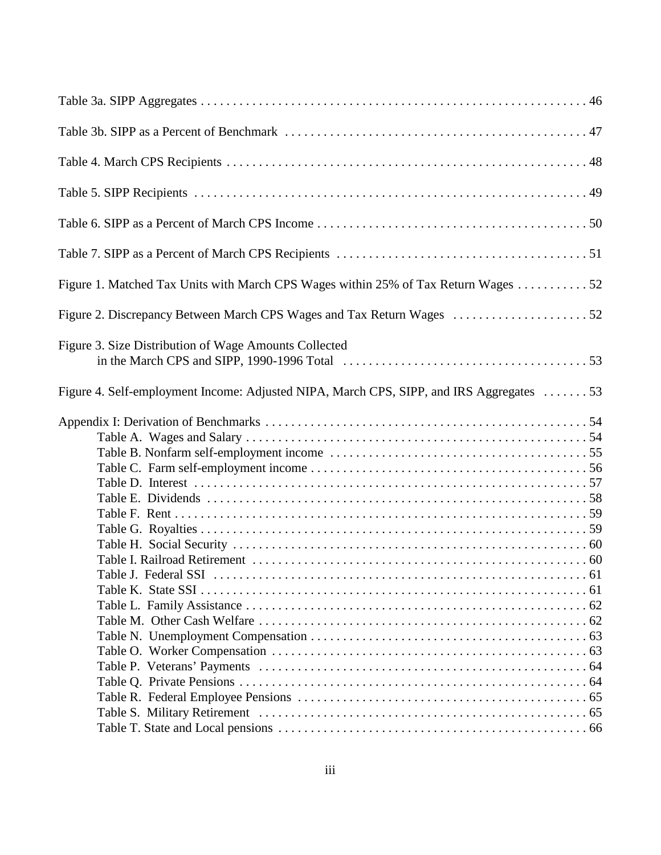| Figure 1. Matched Tax Units with March CPS Wages within 25% of Tax Return Wages 52      |  |
|-----------------------------------------------------------------------------------------|--|
|                                                                                         |  |
| Figure 3. Size Distribution of Wage Amounts Collected                                   |  |
| Figure 4. Self-employment Income: Adjusted NIPA, March CPS, SIPP, and IRS Aggregates 53 |  |
|                                                                                         |  |
|                                                                                         |  |
| Table I - Federal SSI -                                                                 |  |
|                                                                                         |  |
|                                                                                         |  |
|                                                                                         |  |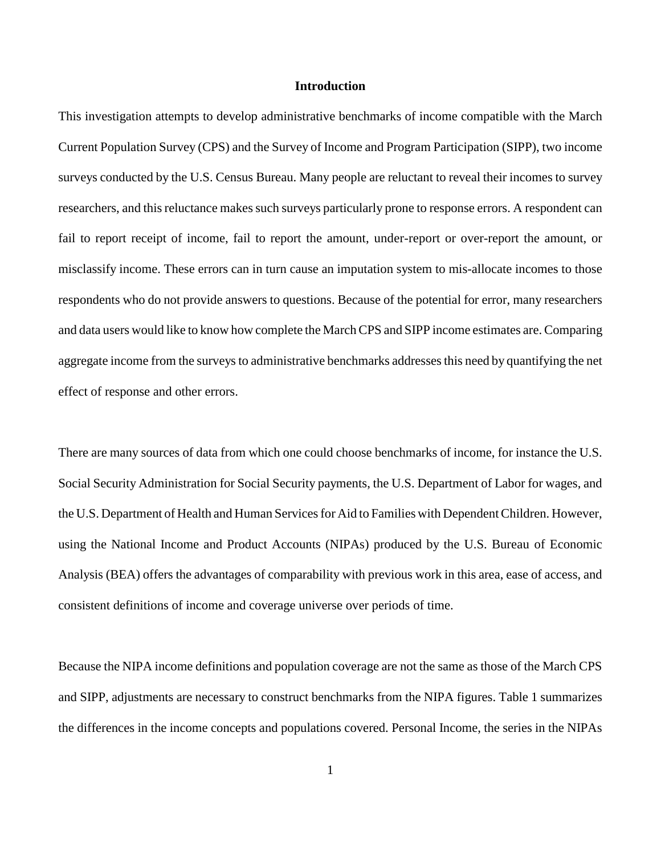#### **Introduction**

This investigation attempts to develop administrative benchmarks of income compatible with the March Current Population Survey (CPS) and the Survey of Income and Program Participation (SIPP), two income surveys conducted by the U.S. Census Bureau. Many people are reluctant to reveal their incomes to survey researchers, and this reluctance makes such surveys particularly prone to response errors. A respondent can fail to report receipt of income, fail to report the amount, under-report or over-report the amount, or misclassify income. These errors can in turn cause an imputation system to mis-allocate incomes to those respondents who do not provide answers to questions. Because of the potential for error, many researchers and data users would like to know how complete the March CPS and SIPP income estimates are. Comparing aggregate income from the surveys to administrative benchmarks addresses this need by quantifying the net effect of response and other errors.

There are many sources of data from which one could choose benchmarks of income, for instance the U.S. Social Security Administration for Social Security payments, the U.S. Department of Labor for wages, and the U.S. Department of Health and Human Services for Aid to Families with Dependent Children. However, using the National Income and Product Accounts (NIPAs) produced by the U.S. Bureau of Economic Analysis (BEA) offers the advantages of comparability with previous work in this area, ease of access, and consistent definitions of income and coverage universe over periods of time.

Because the NIPA income definitions and population coverage are not the same as those of the March CPS and SIPP, adjustments are necessary to construct benchmarks from the NIPA figures. Table 1 summarizes the differences in the income concepts and populations covered. Personal Income, the series in the NIPAs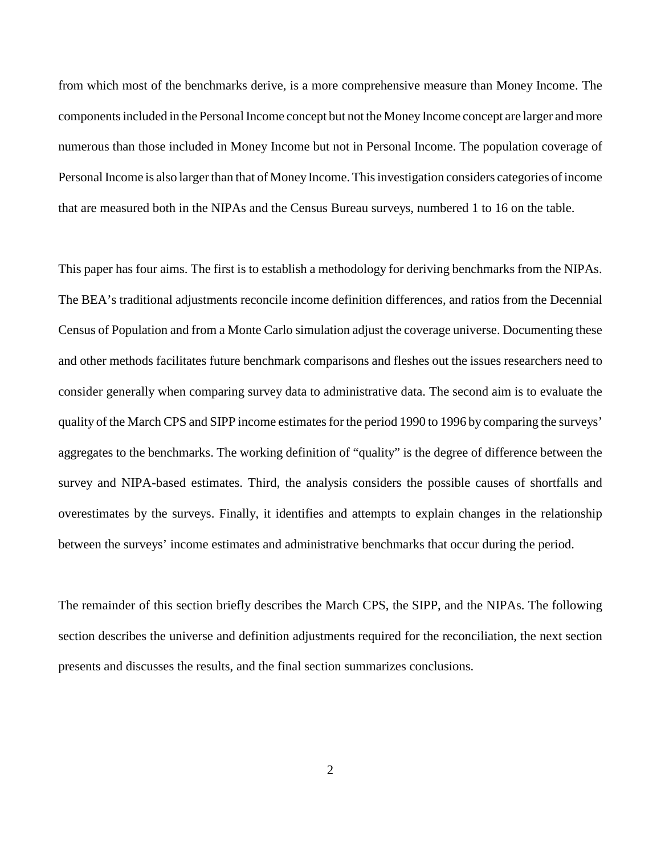from which most of the benchmarks derive, is a more comprehensive measure than Money Income. The components included in the Personal Income concept but not the Money Income concept are larger and more numerous than those included in Money Income but not in Personal Income. The population coverage of Personal Income is also larger than that of Money Income. This investigation considers categories of income that are measured both in the NIPAs and the Census Bureau surveys, numbered 1 to 16 on the table.

This paper has four aims. The first is to establish a methodology for deriving benchmarks from the NIPAs. The BEA's traditional adjustments reconcile income definition differences, and ratios from the Decennial Census of Population and from a Monte Carlo simulation adjust the coverage universe. Documenting these and other methods facilitates future benchmark comparisons and fleshes out the issues researchers need to consider generally when comparing survey data to administrative data. The second aim is to evaluate the quality of the March CPS and SIPP income estimates for the period 1990 to 1996 by comparing the surveys' aggregates to the benchmarks. The working definition of "quality" is the degree of difference between the survey and NIPA-based estimates. Third, the analysis considers the possible causes of shortfalls and overestimates by the surveys. Finally, it identifies and attempts to explain changes in the relationship between the surveys' income estimates and administrative benchmarks that occur during the period.

The remainder of this section briefly describes the March CPS, the SIPP, and the NIPAs. The following section describes the universe and definition adjustments required for the reconciliation, the next section presents and discusses the results, and the final section summarizes conclusions.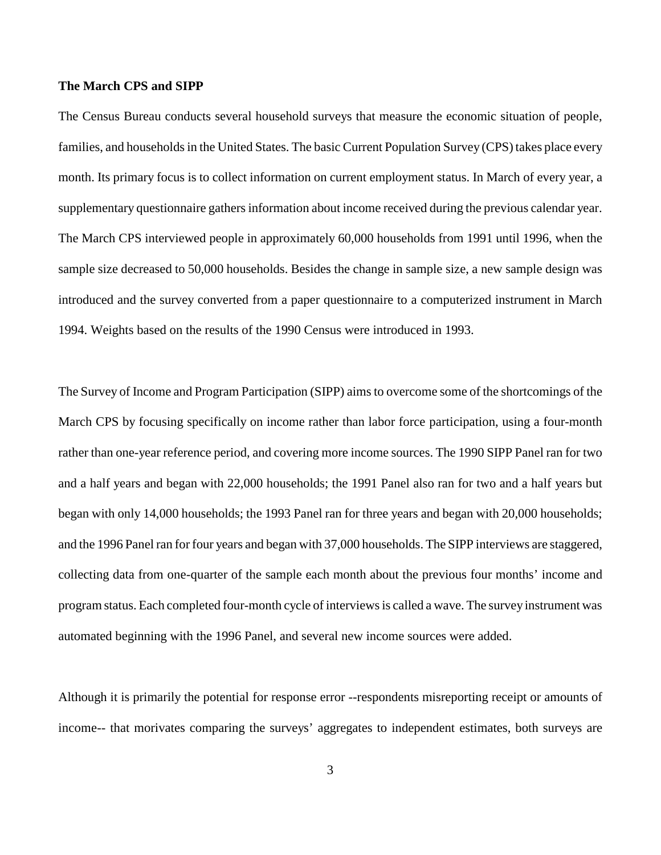#### **The March CPS and SIPP**

The Census Bureau conducts several household surveys that measure the economic situation of people, families, and households in the United States. The basic Current Population Survey (CPS) takes place every month. Its primary focus is to collect information on current employment status. In March of every year, a supplementary questionnaire gathers information about income received during the previous calendar year. The March CPS interviewed people in approximately 60,000 households from 1991 until 1996, when the sample size decreased to 50,000 households. Besides the change in sample size, a new sample design was introduced and the survey converted from a paper questionnaire to a computerized instrument in March 1994. Weights based on the results of the 1990 Census were introduced in 1993.

The Survey of Income and Program Participation (SIPP) aims to overcome some of the shortcomings of the March CPS by focusing specifically on income rather than labor force participation, using a four-month rather than one-year reference period, and covering more income sources. The 1990 SIPP Panel ran for two and a half years and began with 22,000 households; the 1991 Panel also ran for two and a half years but began with only 14,000 households; the 1993 Panel ran for three years and began with 20,000 households; and the 1996 Panel ran for four years and began with 37,000 households. The SIPP interviews are staggered, collecting data from one-quarter of the sample each month about the previous four months' income and program status. Each completed four-month cycle of interviews is called a wave. The survey instrument was automated beginning with the 1996 Panel, and several new income sources were added.

Although it is primarily the potential for response error --respondents misreporting receipt or amounts of income-- that morivates comparing the surveys' aggregates to independent estimates, both surveys are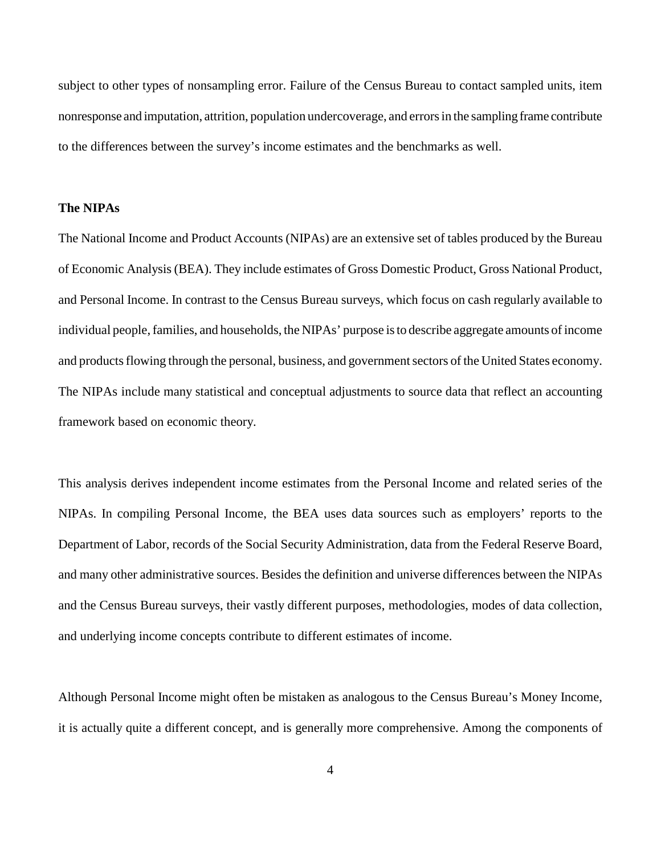subject to other types of nonsampling error. Failure of the Census Bureau to contact sampled units, item nonresponse and imputation, attrition, population undercoverage, and errors in the sampling frame contribute to the differences between the survey's income estimates and the benchmarks as well.

# **The NIPAs**

The National Income and Product Accounts (NIPAs) are an extensive set of tables produced by the Bureau of Economic Analysis (BEA). They include estimates of Gross Domestic Product, Gross National Product, and Personal Income. In contrast to the Census Bureau surveys, which focus on cash regularly available to individual people, families, and households, the NIPAs' purpose is to describe aggregate amounts of income and products flowing through the personal, business, and government sectors of the United States economy. The NIPAs include many statistical and conceptual adjustments to source data that reflect an accounting framework based on economic theory.

This analysis derives independent income estimates from the Personal Income and related series of the NIPAs. In compiling Personal Income, the BEA uses data sources such as employers' reports to the Department of Labor, records of the Social Security Administration, data from the Federal Reserve Board, and many other administrative sources. Besides the definition and universe differences between the NIPAs and the Census Bureau surveys, their vastly different purposes, methodologies, modes of data collection, and underlying income concepts contribute to different estimates of income.

Although Personal Income might often be mistaken as analogous to the Census Bureau's Money Income, it is actually quite a different concept, and is generally more comprehensive. Among the components of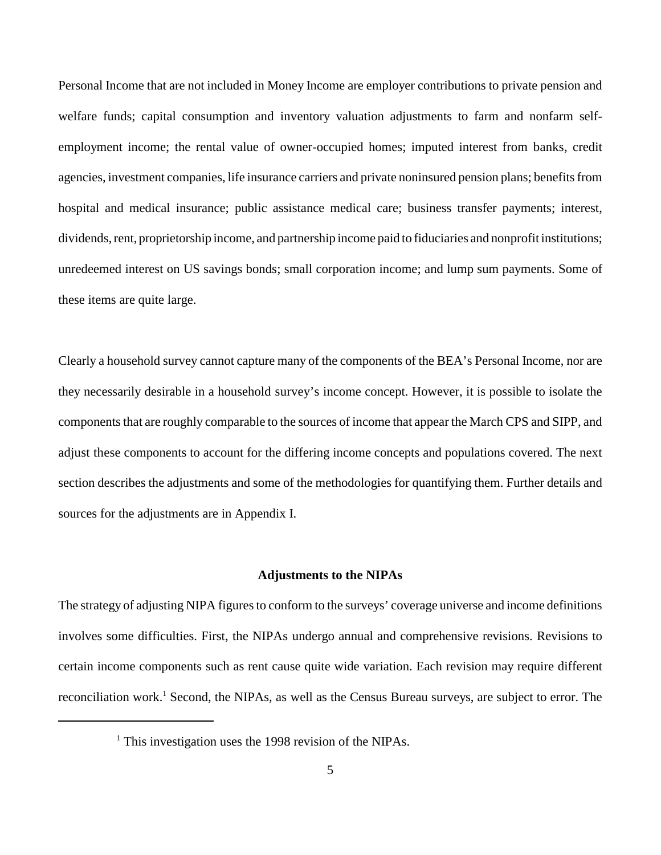Personal Income that are not included in Money Income are employer contributions to private pension and welfare funds; capital consumption and inventory valuation adjustments to farm and nonfarm selfemployment income; the rental value of owner-occupied homes; imputed interest from banks, credit agencies, investment companies, life insurance carriers and private noninsured pension plans; benefits from hospital and medical insurance; public assistance medical care; business transfer payments; interest, dividends, rent, proprietorship income, and partnership income paid to fiduciaries and nonprofit institutions; unredeemed interest on US savings bonds; small corporation income; and lump sum payments. Some of these items are quite large.

Clearly a household survey cannot capture many of the components of the BEA's Personal Income, nor are they necessarily desirable in a household survey's income concept. However, it is possible to isolate the components that are roughly comparable to the sources of income that appear the March CPS and SIPP, and adjust these components to account for the differing income concepts and populations covered. The next section describes the adjustments and some of the methodologies for quantifying them. Further details and sources for the adjustments are in Appendix I.

#### **Adjustments to the NIPAs**

The strategy of adjusting NIPA figures to conform to the surveys' coverage universe and income definitions involves some difficulties. First, the NIPAs undergo annual and comprehensive revisions. Revisions to certain income components such as rent cause quite wide variation. Each revision may require different reconciliation work.<sup>1</sup> Second, the NIPAs, as well as the Census Bureau surveys, are subject to error. The

<sup>&</sup>lt;sup>1</sup> This investigation uses the 1998 revision of the NIPAs.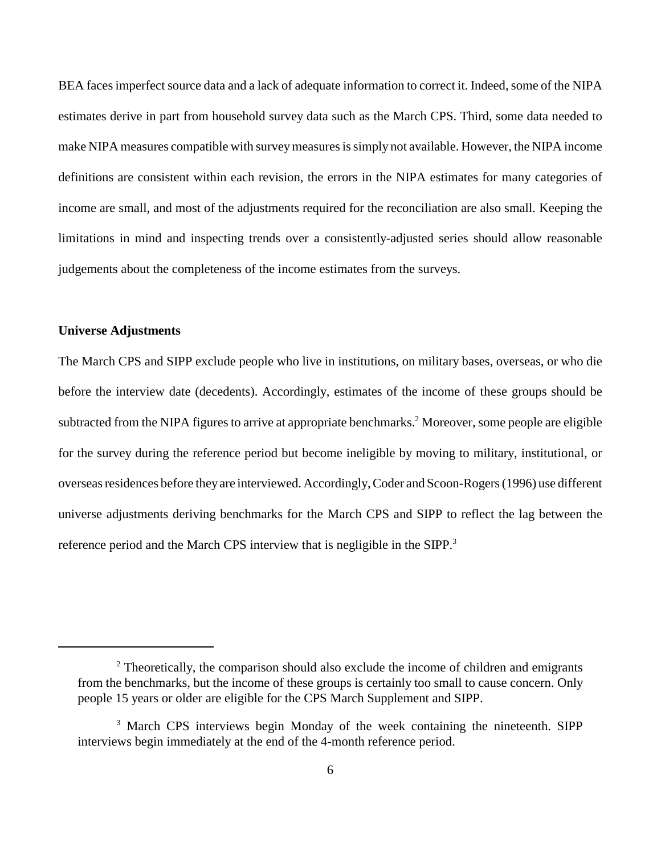BEA faces imperfect source data and a lack of adequate information to correct it. Indeed, some of the NIPA estimates derive in part from household survey data such as the March CPS. Third, some data needed to make NIPA measures compatible with survey measures is simply not available. However, the NIPA income definitions are consistent within each revision, the errors in the NIPA estimates for many categories of income are small, and most of the adjustments required for the reconciliation are also small. Keeping the limitations in mind and inspecting trends over a consistently-adjusted series should allow reasonable judgements about the completeness of the income estimates from the surveys.

## **Universe Adjustments**

The March CPS and SIPP exclude people who live in institutions, on military bases, overseas, or who die before the interview date (decedents). Accordingly, estimates of the income of these groups should be subtracted from the NIPA figures to arrive at appropriate benchmarks.<sup>2</sup> Moreover, some people are eligible for the survey during the reference period but become ineligible by moving to military, institutional, or overseas residences before they are interviewed. Accordingly, Coder and Scoon-Rogers (1996) use different universe adjustments deriving benchmarks for the March CPS and SIPP to reflect the lag between the reference period and the March CPS interview that is negligible in the SIPP.<sup>3</sup>

 $2$  Theoretically, the comparison should also exclude the income of children and emigrants from the benchmarks, but the income of these groups is certainly too small to cause concern. Only people 15 years or older are eligible for the CPS March Supplement and SIPP.

<sup>&</sup>lt;sup>3</sup> March CPS interviews begin Monday of the week containing the nineteenth. SIPP interviews begin immediately at the end of the 4-month reference period.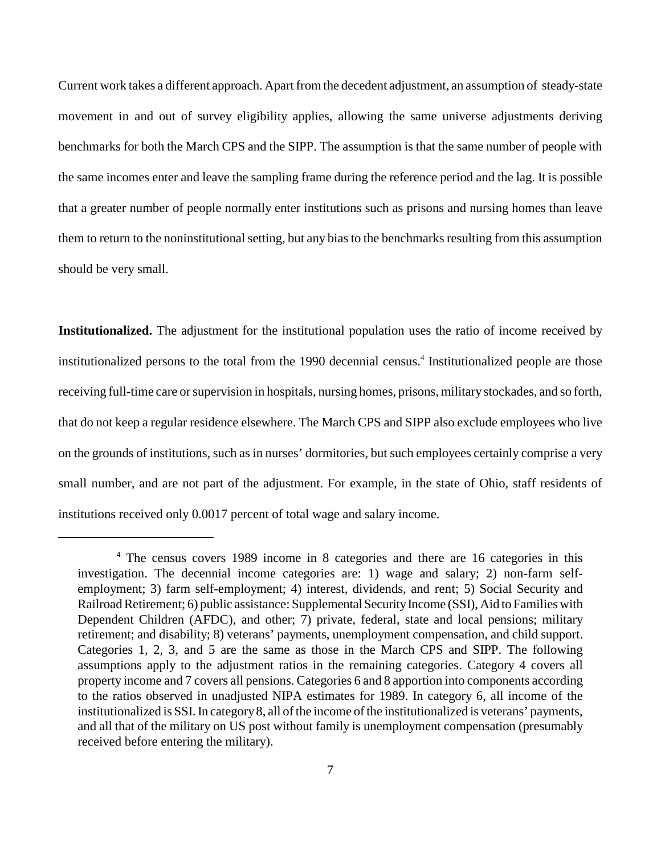Current work takes a different approach. Apart from the decedent adjustment, an assumption of steady-state movement in and out of survey eligibility applies, allowing the same universe adjustments deriving benchmarks for both the March CPS and the SIPP. The assumption is that the same number of people with the same incomes enter and leave the sampling frame during the reference period and the lag. It is possible that a greater number of people normally enter institutions such as prisons and nursing homes than leave them to return to the noninstitutional setting, but any bias to the benchmarks resulting from this assumption should be very small.

**Institutionalized.** The adjustment for the institutional population uses the ratio of income received by institutionalized persons to the total from the 1990 decennial census.<sup>4</sup> Institutionalized people are those receiving full-time care or supervision in hospitals, nursing homes, prisons, military stockades, and so forth, that do not keep a regular residence elsewhere. The March CPS and SIPP also exclude employees who live on the grounds of institutions, such as in nurses' dormitories, but such employees certainly comprise a very small number, and are not part of the adjustment. For example, in the state of Ohio, staff residents of institutions received only 0.0017 percent of total wage and salary income.

<sup>&</sup>lt;sup>4</sup> The census covers 1989 income in 8 categories and there are 16 categories in this investigation. The decennial income categories are: 1) wage and salary; 2) non-farm selfemployment; 3) farm self-employment; 4) interest, dividends, and rent; 5) Social Security and Railroad Retirement; 6) public assistance: Supplemental Security Income (SSI), Aid to Families with Dependent Children (AFDC), and other; 7) private, federal, state and local pensions; military retirement; and disability; 8) veterans' payments, unemployment compensation, and child support. Categories 1, 2, 3, and 5 are the same as those in the March CPS and SIPP. The following assumptions apply to the adjustment ratios in the remaining categories. Category 4 covers all property income and 7 covers all pensions. Categories 6 and 8 apportion into components according to the ratios observed in unadjusted NIPA estimates for 1989. In category 6, all income of the institutionalized is SSI. In category 8, all of the income of the institutionalized is veterans' payments, and all that of the military on US post without family is unemployment compensation (presumably received before entering the military).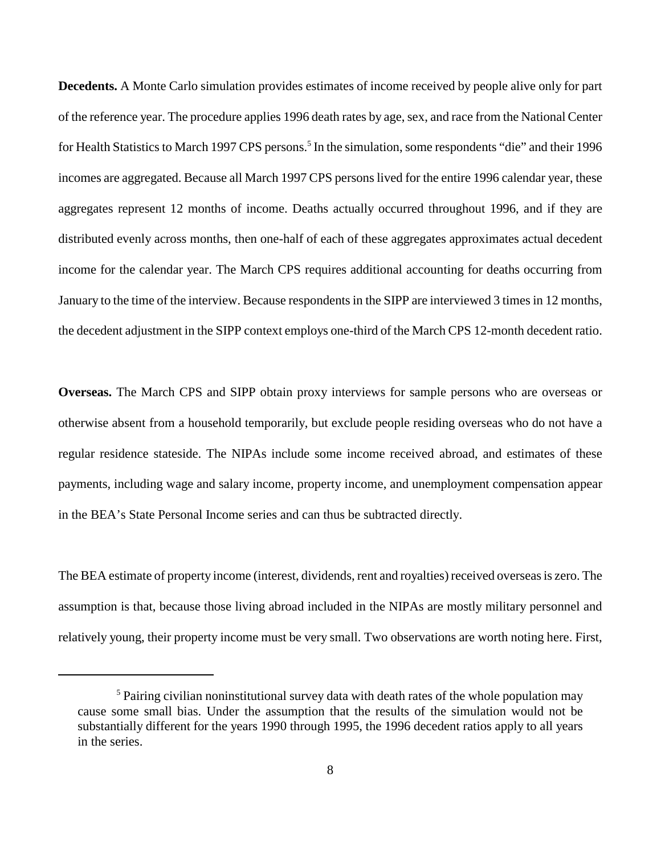**Decedents.** A Monte Carlo simulation provides estimates of income received by people alive only for part of the reference year. The procedure applies 1996 death rates by age, sex, and race from the National Center for Health Statistics to March 1997 CPS persons.<sup>5</sup> In the simulation, some respondents "die" and their 1996 incomes are aggregated. Because all March 1997 CPS persons lived for the entire 1996 calendar year, these aggregates represent 12 months of income. Deaths actually occurred throughout 1996, and if they are distributed evenly across months, then one-half of each of these aggregates approximates actual decedent income for the calendar year. The March CPS requires additional accounting for deaths occurring from January to the time of the interview. Because respondents in the SIPP are interviewed 3 times in 12 months, the decedent adjustment in the SIPP context employs one-third of the March CPS 12-month decedent ratio.

**Overseas.** The March CPS and SIPP obtain proxy interviews for sample persons who are overseas or otherwise absent from a household temporarily, but exclude people residing overseas who do not have a regular residence stateside. The NIPAs include some income received abroad, and estimates of these payments, including wage and salary income, property income, and unemployment compensation appear in the BEA's State Personal Income series and can thus be subtracted directly.

The BEA estimate of property income (interest, dividends, rent and royalties) received overseas is zero. The assumption is that, because those living abroad included in the NIPAs are mostly military personnel and relatively young, their property income must be very small. Two observations are worth noting here. First,

<sup>&</sup>lt;sup>5</sup> Pairing civilian noninstitutional survey data with death rates of the whole population may cause some small bias. Under the assumption that the results of the simulation would not be substantially different for the years 1990 through 1995, the 1996 decedent ratios apply to all years in the series.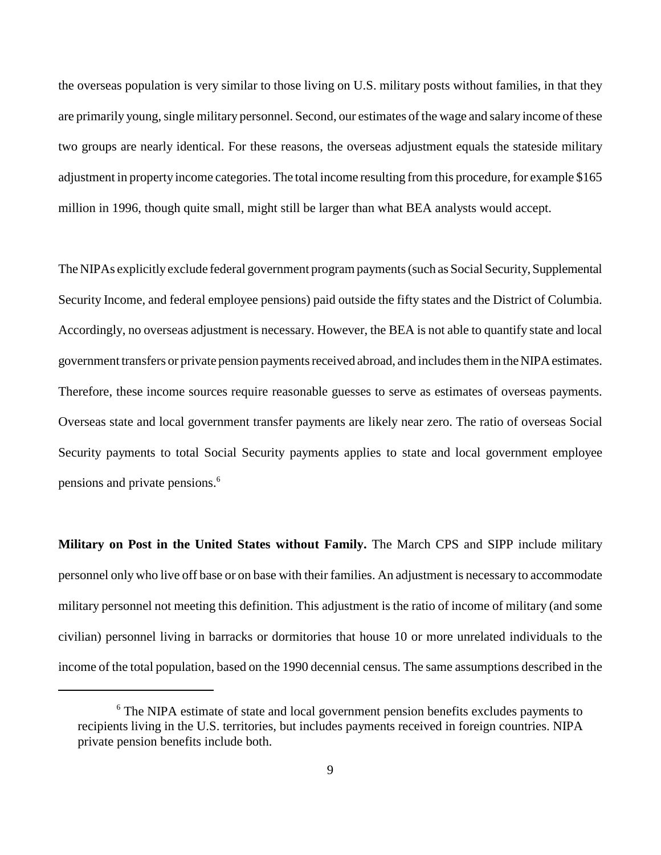the overseas population is very similar to those living on U.S. military posts without families, in that they are primarily young, single military personnel. Second, our estimates of the wage and salary income of these two groups are nearly identical. For these reasons, the overseas adjustment equals the stateside military adjustment in property income categories. The total income resulting from this procedure, for example \$165 million in 1996, though quite small, might still be larger than what BEA analysts would accept.

The NIPAs explicitly exclude federal government program payments (such as Social Security, Supplemental Security Income, and federal employee pensions) paid outside the fifty states and the District of Columbia. Accordingly, no overseas adjustment is necessary. However, the BEA is not able to quantify state and local government transfers or private pension payments received abroad, and includes them in the NIPA estimates. Therefore, these income sources require reasonable guesses to serve as estimates of overseas payments. Overseas state and local government transfer payments are likely near zero. The ratio of overseas Social Security payments to total Social Security payments applies to state and local government employee pensions and private pensions.6

**Military on Post in the United States without Family.** The March CPS and SIPP include military personnel only who live off base or on base with their families. An adjustment is necessary to accommodate military personnel not meeting this definition. This adjustment is the ratio of income of military (and some civilian) personnel living in barracks or dormitories that house 10 or more unrelated individuals to the income of the total population, based on the 1990 decennial census. The same assumptions described in the

<sup>&</sup>lt;sup>6</sup> The NIPA estimate of state and local government pension benefits excludes payments to recipients living in the U.S. territories, but includes payments received in foreign countries. NIPA private pension benefits include both.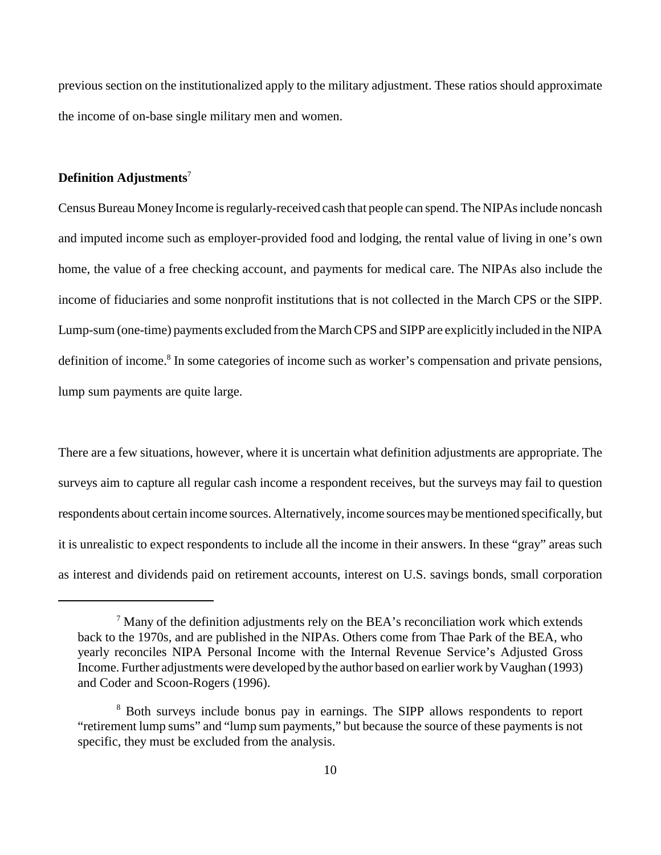previous section on the institutionalized apply to the military adjustment. These ratios should approximate the income of on-base single military men and women.

# **Definition Adjustments**<sup>7</sup>

Census Bureau Money Income is regularly-received cash that people can spend. The NIPAs include noncash and imputed income such as employer-provided food and lodging, the rental value of living in one's own home, the value of a free checking account, and payments for medical care. The NIPAs also include the income of fiduciaries and some nonprofit institutions that is not collected in the March CPS or the SIPP. Lump-sum (one-time) payments excluded from the March CPS and SIPP are explicitly included in the NIPA definition of income.<sup>8</sup> In some categories of income such as worker's compensation and private pensions, lump sum payments are quite large.

There are a few situations, however, where it is uncertain what definition adjustments are appropriate. The surveys aim to capture all regular cash income a respondent receives, but the surveys may fail to question respondents about certain income sources. Alternatively, income sources may be mentioned specifically, but it is unrealistic to expect respondents to include all the income in their answers. In these "gray" areas such as interest and dividends paid on retirement accounts, interest on U.S. savings bonds, small corporation

 $7$  Many of the definition adjustments rely on the BEA's reconciliation work which extends back to the 1970s, and are published in the NIPAs. Others come from Thae Park of the BEA, who yearly reconciles NIPA Personal Income with the Internal Revenue Service's Adjusted Gross Income. Further adjustments were developed by the author based on earlier work by Vaughan (1993) and Coder and Scoon-Rogers (1996).

<sup>&</sup>lt;sup>8</sup> Both surveys include bonus pay in earnings. The SIPP allows respondents to report "retirement lump sums" and "lump sum payments," but because the source of these payments is not specific, they must be excluded from the analysis.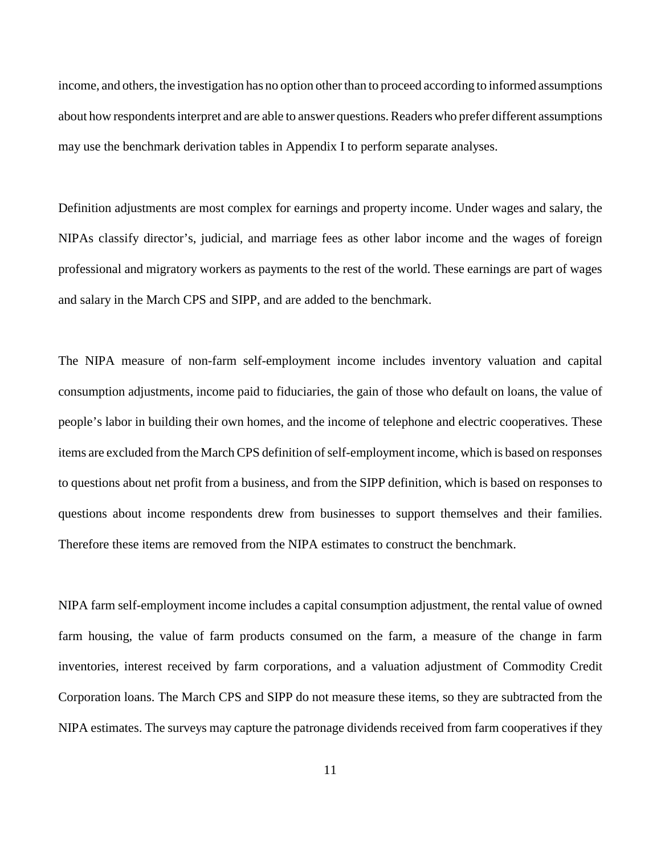income, and others, the investigation has no option other than to proceed according to informed assumptions about how respondents interpret and are able to answer questions. Readers who prefer different assumptions may use the benchmark derivation tables in Appendix I to perform separate analyses.

Definition adjustments are most complex for earnings and property income. Under wages and salary, the NIPAs classify director's, judicial, and marriage fees as other labor income and the wages of foreign professional and migratory workers as payments to the rest of the world. These earnings are part of wages and salary in the March CPS and SIPP, and are added to the benchmark.

The NIPA measure of non-farm self-employment income includes inventory valuation and capital consumption adjustments, income paid to fiduciaries, the gain of those who default on loans, the value of people's labor in building their own homes, and the income of telephone and electric cooperatives. These items are excluded from the March CPS definition of self-employment income, which is based on responses to questions about net profit from a business, and from the SIPP definition, which is based on responses to questions about income respondents drew from businesses to support themselves and their families. Therefore these items are removed from the NIPA estimates to construct the benchmark.

NIPA farm self-employment income includes a capital consumption adjustment, the rental value of owned farm housing, the value of farm products consumed on the farm, a measure of the change in farm inventories, interest received by farm corporations, and a valuation adjustment of Commodity Credit Corporation loans. The March CPS and SIPP do not measure these items, so they are subtracted from the NIPA estimates. The surveys may capture the patronage dividends received from farm cooperatives if they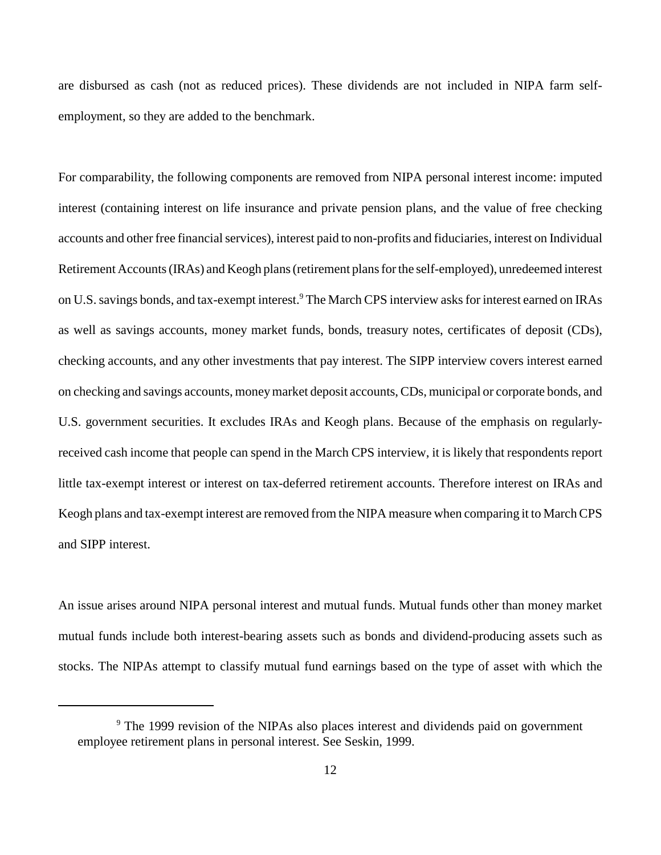are disbursed as cash (not as reduced prices). These dividends are not included in NIPA farm selfemployment, so they are added to the benchmark.

For comparability, the following components are removed from NIPA personal interest income: imputed interest (containing interest on life insurance and private pension plans, and the value of free checking accounts and other free financial services), interest paid to non-profits and fiduciaries, interest on Individual Retirement Accounts (IRAs) and Keogh plans (retirement plans for the self-employed), unredeemed interest on U.S. savings bonds, and tax-exempt interest.<sup>9</sup> The March CPS interview asks for interest earned on IRAs as well as savings accounts, money market funds, bonds, treasury notes, certificates of deposit (CDs), checking accounts, and any other investments that pay interest. The SIPP interview covers interest earned on checking and savings accounts, money market deposit accounts, CDs, municipal or corporate bonds, and U.S. government securities. It excludes IRAs and Keogh plans. Because of the emphasis on regularlyreceived cash income that people can spend in the March CPS interview, it is likely that respondents report little tax-exempt interest or interest on tax-deferred retirement accounts. Therefore interest on IRAs and Keogh plans and tax-exempt interest are removed from the NIPA measure when comparing it to March CPS and SIPP interest.

An issue arises around NIPA personal interest and mutual funds. Mutual funds other than money market mutual funds include both interest-bearing assets such as bonds and dividend-producing assets such as stocks. The NIPAs attempt to classify mutual fund earnings based on the type of asset with which the

<sup>&</sup>lt;sup>9</sup> The 1999 revision of the NIPAs also places interest and dividends paid on government employee retirement plans in personal interest. See Seskin, 1999.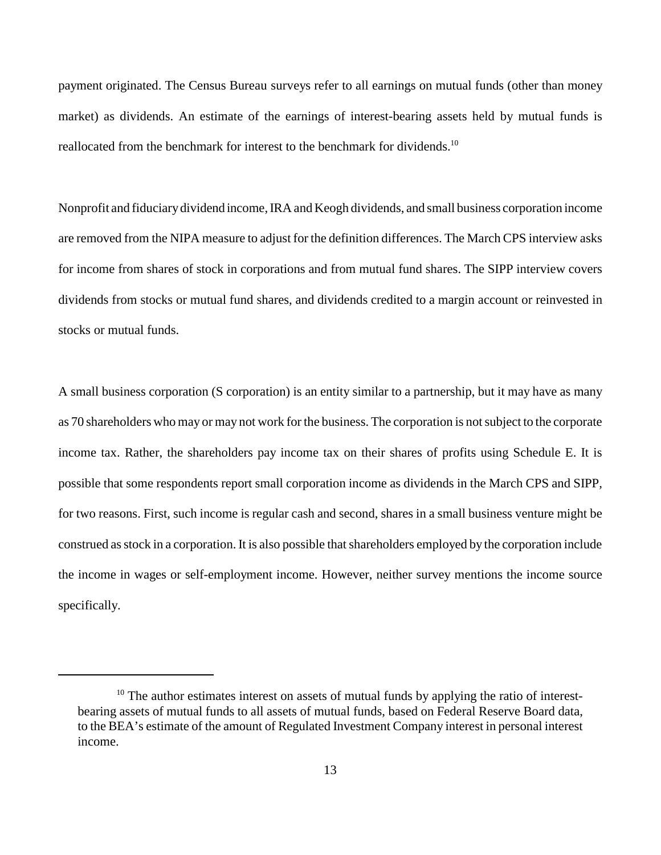payment originated. The Census Bureau surveys refer to all earnings on mutual funds (other than money market) as dividends. An estimate of the earnings of interest-bearing assets held by mutual funds is reallocated from the benchmark for interest to the benchmark for dividends.<sup>10</sup>

Nonprofit and fiduciary dividend income, IRA and Keogh dividends, and small business corporation income are removed from the NIPA measure to adjust for the definition differences. The March CPS interview asks for income from shares of stock in corporations and from mutual fund shares. The SIPP interview covers dividends from stocks or mutual fund shares, and dividends credited to a margin account or reinvested in stocks or mutual funds.

A small business corporation (S corporation) is an entity similar to a partnership, but it may have as many as 70 shareholders who may or may not work for the business. The corporation is not subject to the corporate income tax. Rather, the shareholders pay income tax on their shares of profits using Schedule E. It is possible that some respondents report small corporation income as dividends in the March CPS and SIPP, for two reasons. First, such income is regular cash and second, shares in a small business venture might be construed as stock in a corporation. It is also possible that shareholders employed by the corporation include the income in wages or self-employment income. However, neither survey mentions the income source specifically.

<sup>&</sup>lt;sup>10</sup> The author estimates interest on assets of mutual funds by applying the ratio of interestbearing assets of mutual funds to all assets of mutual funds, based on Federal Reserve Board data, to the BEA's estimate of the amount of Regulated Investment Company interest in personal interest income.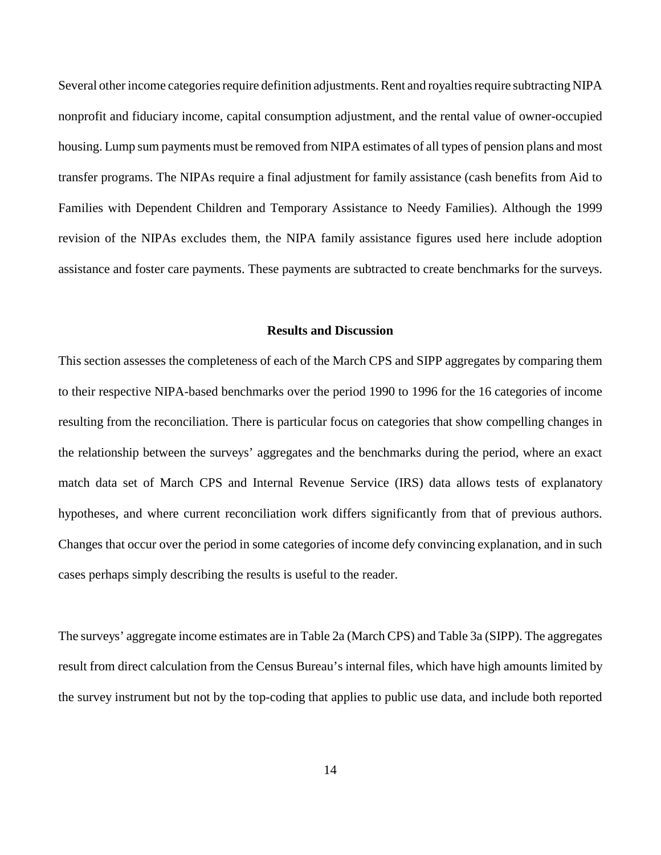Several other income categories require definition adjustments. Rent and royalties require subtracting NIPA nonprofit and fiduciary income, capital consumption adjustment, and the rental value of owner-occupied housing. Lump sum payments must be removed from NIPA estimates of all types of pension plans and most transfer programs. The NIPAs require a final adjustment for family assistance (cash benefits from Aid to Families with Dependent Children and Temporary Assistance to Needy Families). Although the 1999 revision of the NIPAs excludes them, the NIPA family assistance figures used here include adoption assistance and foster care payments. These payments are subtracted to create benchmarks for the surveys.

## **Results and Discussion**

This section assesses the completeness of each of the March CPS and SIPP aggregates by comparing them to their respective NIPA-based benchmarks over the period 1990 to 1996 for the 16 categories of income resulting from the reconciliation. There is particular focus on categories that show compelling changes in the relationship between the surveys' aggregates and the benchmarks during the period, where an exact match data set of March CPS and Internal Revenue Service (IRS) data allows tests of explanatory hypotheses, and where current reconciliation work differs significantly from that of previous authors. Changes that occur over the period in some categories of income defy convincing explanation, and in such cases perhaps simply describing the results is useful to the reader.

The surveys' aggregate income estimates are in Table 2a (March CPS) and Table 3a (SIPP). The aggregates result from direct calculation from the Census Bureau's internal files, which have high amounts limited by the survey instrument but not by the top-coding that applies to public use data, and include both reported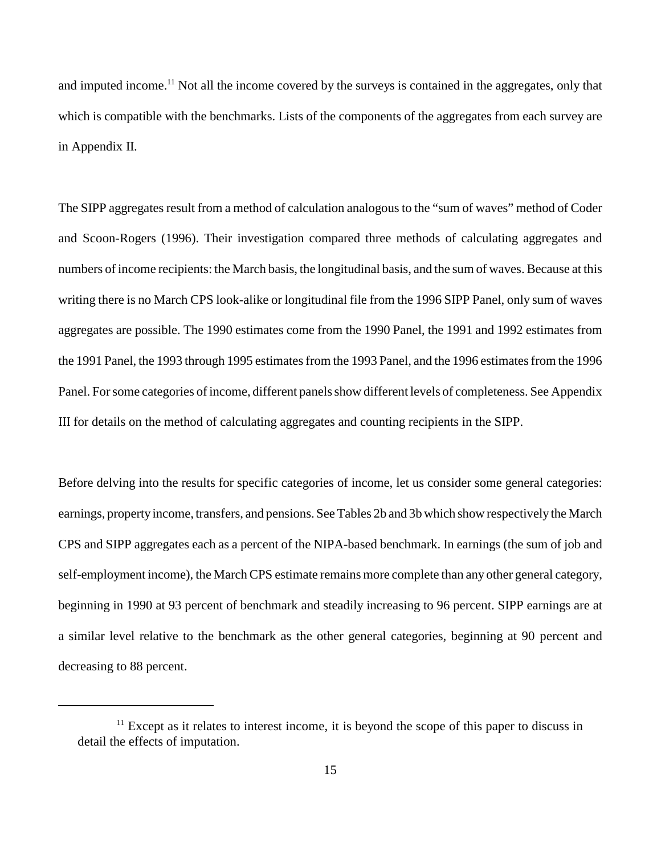and imputed income.<sup>11</sup> Not all the income covered by the surveys is contained in the aggregates, only that which is compatible with the benchmarks. Lists of the components of the aggregates from each survey are in Appendix II.

The SIPP aggregates result from a method of calculation analogous to the "sum of waves" method of Coder and Scoon-Rogers (1996). Their investigation compared three methods of calculating aggregates and numbers of income recipients: the March basis, the longitudinal basis, and the sum of waves. Because at this writing there is no March CPS look-alike or longitudinal file from the 1996 SIPP Panel, only sum of waves aggregates are possible. The 1990 estimates come from the 1990 Panel, the 1991 and 1992 estimates from the 1991 Panel, the 1993 through 1995 estimates from the 1993 Panel, and the 1996 estimates from the 1996 Panel. For some categories of income, different panels show different levels of completeness. See Appendix III for details on the method of calculating aggregates and counting recipients in the SIPP.

Before delving into the results for specific categories of income, let us consider some general categories: earnings, property income, transfers, and pensions. See Tables 2b and 3b which show respectively the March CPS and SIPP aggregates each as a percent of the NIPA-based benchmark. In earnings (the sum of job and self-employment income), the March CPS estimate remains more complete than any other general category, beginning in 1990 at 93 percent of benchmark and steadily increasing to 96 percent. SIPP earnings are at a similar level relative to the benchmark as the other general categories, beginning at 90 percent and decreasing to 88 percent.

 $11$  Except as it relates to interest income, it is beyond the scope of this paper to discuss in detail the effects of imputation.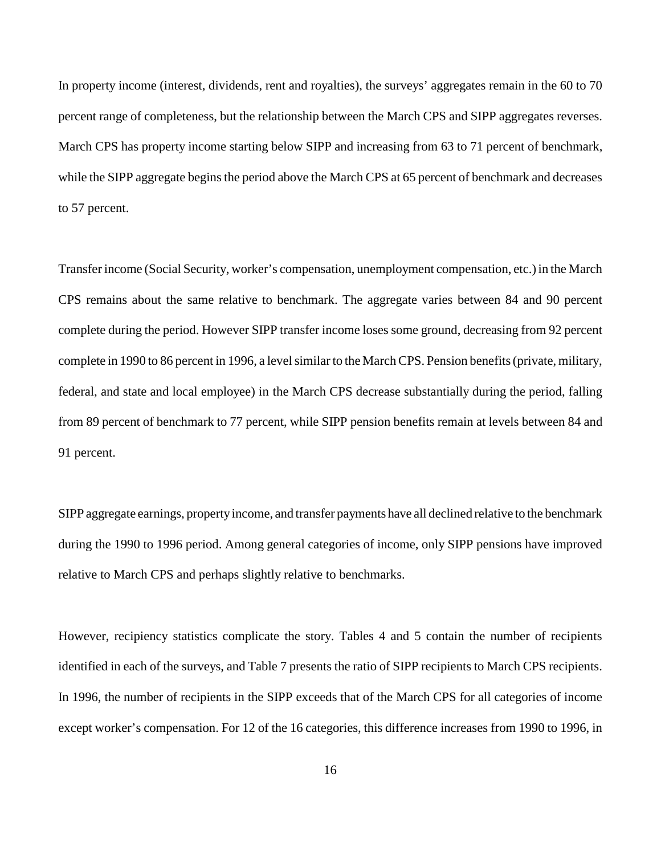In property income (interest, dividends, rent and royalties), the surveys' aggregates remain in the 60 to 70 percent range of completeness, but the relationship between the March CPS and SIPP aggregates reverses. March CPS has property income starting below SIPP and increasing from 63 to 71 percent of benchmark, while the SIPP aggregate begins the period above the March CPS at 65 percent of benchmark and decreases to 57 percent.

Transfer income (Social Security, worker's compensation, unemployment compensation, etc.) in the March CPS remains about the same relative to benchmark. The aggregate varies between 84 and 90 percent complete during the period. However SIPP transfer income loses some ground, decreasing from 92 percent complete in 1990 to 86 percent in 1996, a level similar to the March CPS. Pension benefits (private, military, federal, and state and local employee) in the March CPS decrease substantially during the period, falling from 89 percent of benchmark to 77 percent, while SIPP pension benefits remain at levels between 84 and 91 percent.

SIPP aggregate earnings, property income, and transfer payments have all declined relative to the benchmark during the 1990 to 1996 period. Among general categories of income, only SIPP pensions have improved relative to March CPS and perhaps slightly relative to benchmarks.

However, recipiency statistics complicate the story. Tables 4 and 5 contain the number of recipients identified in each of the surveys, and Table 7 presents the ratio of SIPP recipients to March CPS recipients. In 1996, the number of recipients in the SIPP exceeds that of the March CPS for all categories of income except worker's compensation. For 12 of the 16 categories, this difference increases from 1990 to 1996, in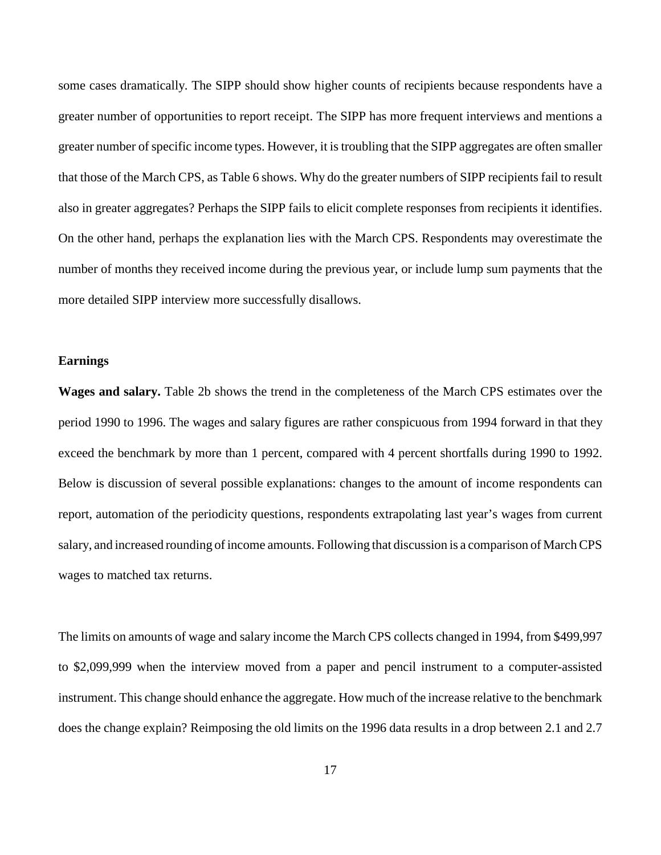some cases dramatically. The SIPP should show higher counts of recipients because respondents have a greater number of opportunities to report receipt. The SIPP has more frequent interviews and mentions a greater number of specific income types. However, it is troubling that the SIPP aggregates are often smaller that those of the March CPS, as Table 6 shows. Why do the greater numbers of SIPP recipients fail to result also in greater aggregates? Perhaps the SIPP fails to elicit complete responses from recipients it identifies. On the other hand, perhaps the explanation lies with the March CPS. Respondents may overestimate the number of months they received income during the previous year, or include lump sum payments that the more detailed SIPP interview more successfully disallows.

#### **Earnings**

**Wages and salary.** Table 2b shows the trend in the completeness of the March CPS estimates over the period 1990 to 1996. The wages and salary figures are rather conspicuous from 1994 forward in that they exceed the benchmark by more than 1 percent, compared with 4 percent shortfalls during 1990 to 1992. Below is discussion of several possible explanations: changes to the amount of income respondents can report, automation of the periodicity questions, respondents extrapolating last year's wages from current salary, and increased rounding of income amounts. Following that discussion is a comparison of March CPS wages to matched tax returns.

The limits on amounts of wage and salary income the March CPS collects changed in 1994, from \$499,997 to \$2,099,999 when the interview moved from a paper and pencil instrument to a computer-assisted instrument. This change should enhance the aggregate. How much of the increase relative to the benchmark does the change explain? Reimposing the old limits on the 1996 data results in a drop between 2.1 and 2.7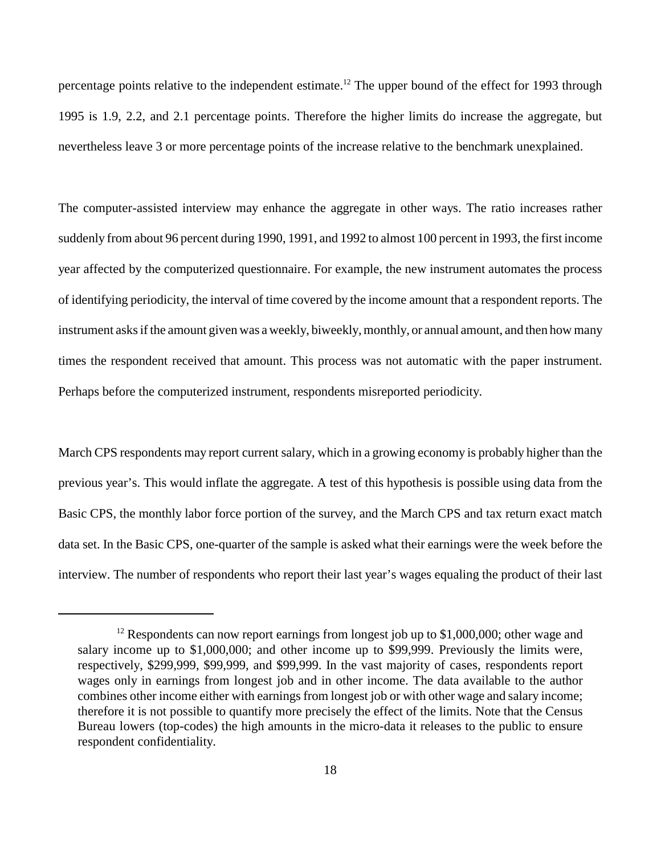percentage points relative to the independent estimate.<sup>12</sup> The upper bound of the effect for 1993 through 1995 is 1.9, 2.2, and 2.1 percentage points. Therefore the higher limits do increase the aggregate, but nevertheless leave 3 or more percentage points of the increase relative to the benchmark unexplained.

The computer-assisted interview may enhance the aggregate in other ways. The ratio increases rather suddenly from about 96 percent during 1990, 1991, and 1992 to almost 100 percent in 1993, the first income year affected by the computerized questionnaire. For example, the new instrument automates the process of identifying periodicity, the interval of time covered by the income amount that a respondent reports. The instrument asks if the amount given was a weekly, biweekly, monthly, or annual amount, and then how many times the respondent received that amount. This process was not automatic with the paper instrument. Perhaps before the computerized instrument, respondents misreported periodicity.

March CPS respondents may report current salary, which in a growing economy is probably higher than the previous year's. This would inflate the aggregate. A test of this hypothesis is possible using data from the Basic CPS, the monthly labor force portion of the survey, and the March CPS and tax return exact match data set. In the Basic CPS, one-quarter of the sample is asked what their earnings were the week before the interview. The number of respondents who report their last year's wages equaling the product of their last

 $12$  Respondents can now report earnings from longest job up to \$1,000,000; other wage and salary income up to \$1,000,000; and other income up to \$99,999. Previously the limits were, respectively, \$299,999, \$99,999, and \$99,999. In the vast majority of cases, respondents report wages only in earnings from longest job and in other income. The data available to the author combines other income either with earnings from longest job or with other wage and salary income; therefore it is not possible to quantify more precisely the effect of the limits. Note that the Census Bureau lowers (top-codes) the high amounts in the micro-data it releases to the public to ensure respondent confidentiality.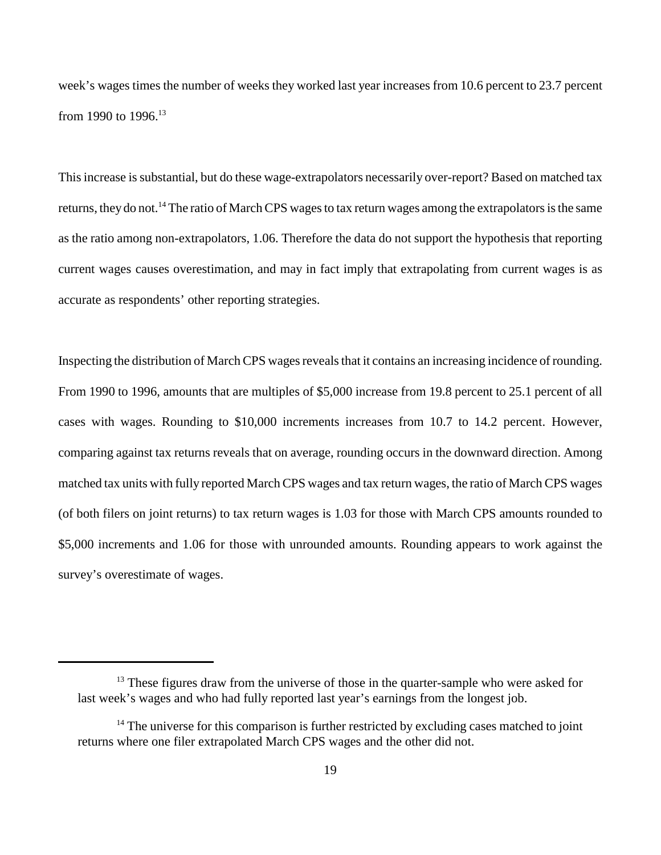week's wages times the number of weeks they worked last year increases from 10.6 percent to 23.7 percent from 1990 to 1996.<sup>13</sup>

This increase is substantial, but do these wage-extrapolators necessarily over-report? Based on matched tax returns, they do not.<sup>14</sup> The ratio of March CPS wages to tax return wages among the extrapolators is the same as the ratio among non-extrapolators, 1.06. Therefore the data do not support the hypothesis that reporting current wages causes overestimation, and may in fact imply that extrapolating from current wages is as accurate as respondents' other reporting strategies.

Inspecting the distribution of March CPS wages reveals that it contains an increasing incidence of rounding. From 1990 to 1996, amounts that are multiples of \$5,000 increase from 19.8 percent to 25.1 percent of all cases with wages. Rounding to \$10,000 increments increases from 10.7 to 14.2 percent. However, comparing against tax returns reveals that on average, rounding occurs in the downward direction. Among matched tax units with fully reported March CPS wages and tax return wages, the ratio of March CPS wages (of both filers on joint returns) to tax return wages is 1.03 for those with March CPS amounts rounded to \$5,000 increments and 1.06 for those with unrounded amounts. Rounding appears to work against the survey's overestimate of wages.

 $13$  These figures draw from the universe of those in the quarter-sample who were asked for last week's wages and who had fully reported last year's earnings from the longest job.

 $14$  The universe for this comparison is further restricted by excluding cases matched to joint returns where one filer extrapolated March CPS wages and the other did not.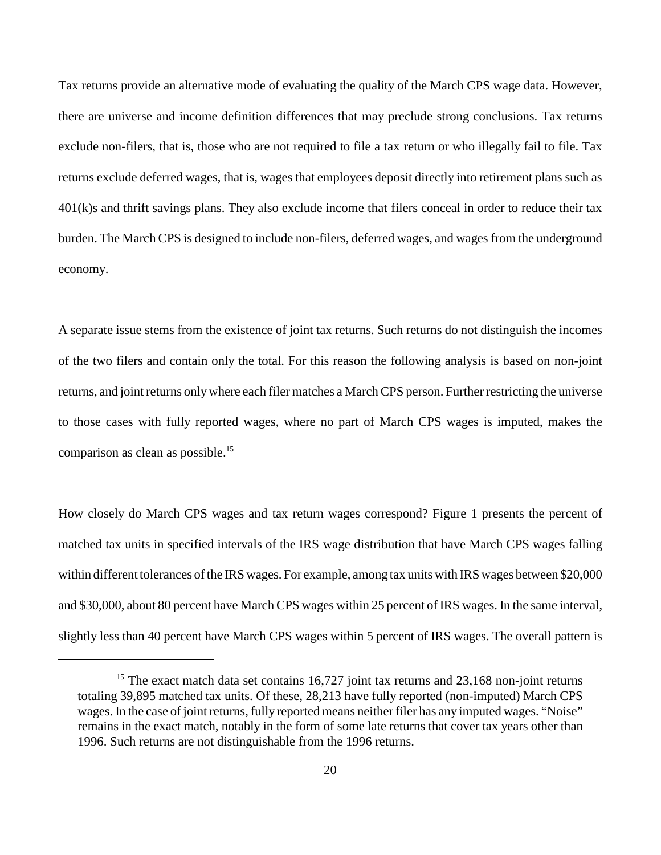Tax returns provide an alternative mode of evaluating the quality of the March CPS wage data. However, there are universe and income definition differences that may preclude strong conclusions. Tax returns exclude non-filers, that is, those who are not required to file a tax return or who illegally fail to file. Tax returns exclude deferred wages, that is, wages that employees deposit directly into retirement plans such as  $401(k)$ s and thrift savings plans. They also exclude income that filers conceal in order to reduce their tax burden. The March CPS is designed to include non-filers, deferred wages, and wages from the underground economy.

A separate issue stems from the existence of joint tax returns. Such returns do not distinguish the incomes of the two filers and contain only the total. For this reason the following analysis is based on non-joint returns, and joint returns only where each filer matches a March CPS person. Further restricting the universe to those cases with fully reported wages, where no part of March CPS wages is imputed, makes the comparison as clean as possible.15

How closely do March CPS wages and tax return wages correspond? Figure 1 presents the percent of matched tax units in specified intervals of the IRS wage distribution that have March CPS wages falling within different tolerances of the IRS wages. For example, among tax units with IRS wages between \$20,000 and \$30,000, about 80 percent have March CPS wages within 25 percent of IRS wages. In the same interval, slightly less than 40 percent have March CPS wages within 5 percent of IRS wages. The overall pattern is

<sup>&</sup>lt;sup>15</sup> The exact match data set contains  $16,727$  joint tax returns and  $23,168$  non-joint returns totaling 39,895 matched tax units. Of these, 28,213 have fully reported (non-imputed) March CPS wages. In the case of joint returns, fully reported means neither filer has any imputed wages. "Noise" remains in the exact match, notably in the form of some late returns that cover tax years other than 1996. Such returns are not distinguishable from the 1996 returns.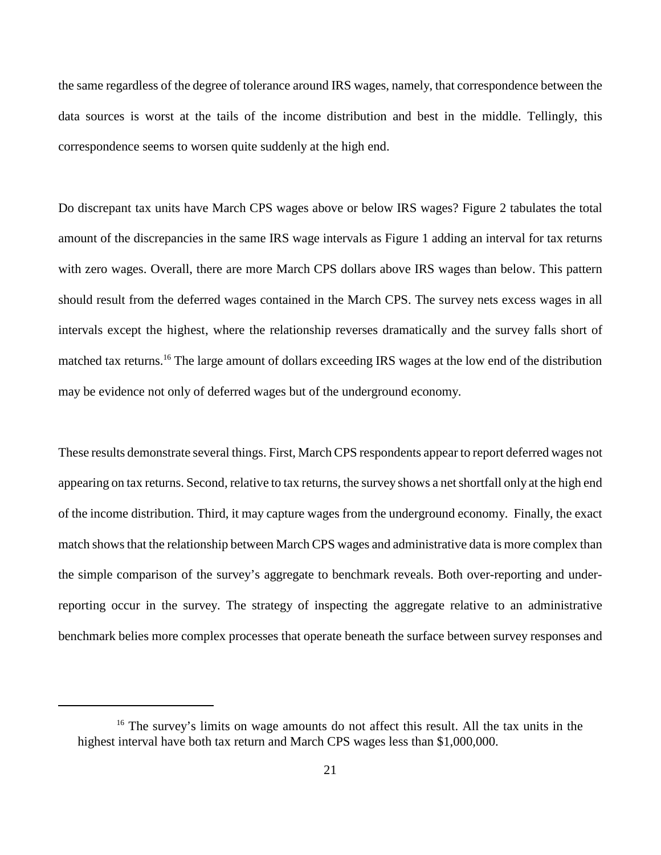the same regardless of the degree of tolerance around IRS wages, namely, that correspondence between the data sources is worst at the tails of the income distribution and best in the middle. Tellingly, this correspondence seems to worsen quite suddenly at the high end.

Do discrepant tax units have March CPS wages above or below IRS wages? Figure 2 tabulates the total amount of the discrepancies in the same IRS wage intervals as Figure 1 adding an interval for tax returns with zero wages. Overall, there are more March CPS dollars above IRS wages than below. This pattern should result from the deferred wages contained in the March CPS. The survey nets excess wages in all intervals except the highest, where the relationship reverses dramatically and the survey falls short of matched tax returns.16 The large amount of dollars exceeding IRS wages at the low end of the distribution may be evidence not only of deferred wages but of the underground economy.

These results demonstrate several things. First, March CPS respondents appear to report deferred wages not appearing on tax returns. Second, relative to tax returns, the survey shows a net shortfall only at the high end of the income distribution. Third, it may capture wages from the underground economy. Finally, the exact match shows that the relationship between March CPS wages and administrative data is more complex than the simple comparison of the survey's aggregate to benchmark reveals. Both over-reporting and underreporting occur in the survey. The strategy of inspecting the aggregate relative to an administrative benchmark belies more complex processes that operate beneath the surface between survey responses and

<sup>&</sup>lt;sup>16</sup> The survey's limits on wage amounts do not affect this result. All the tax units in the highest interval have both tax return and March CPS wages less than \$1,000,000.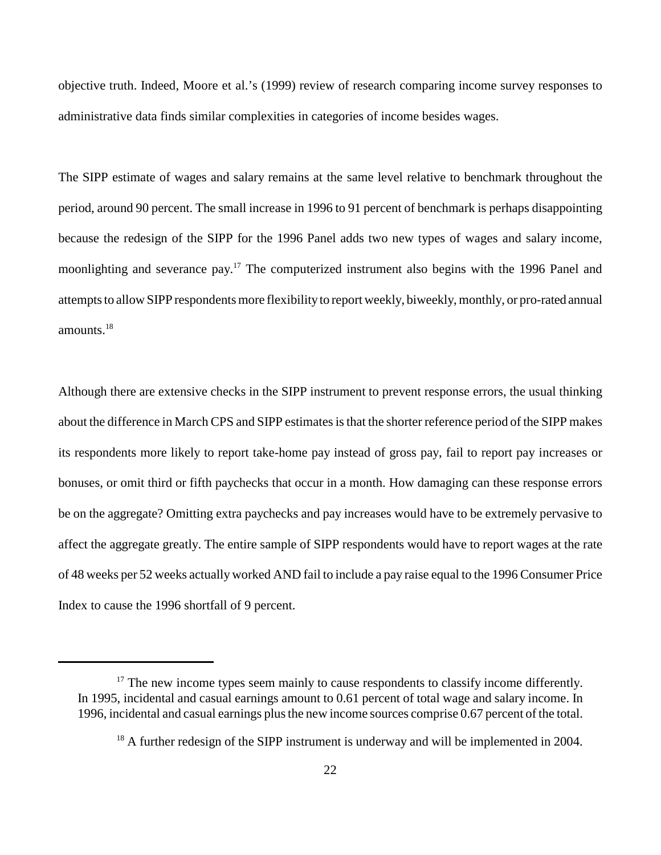objective truth. Indeed, Moore et al.'s (1999) review of research comparing income survey responses to administrative data finds similar complexities in categories of income besides wages.

The SIPP estimate of wages and salary remains at the same level relative to benchmark throughout the period, around 90 percent. The small increase in 1996 to 91 percent of benchmark is perhaps disappointing because the redesign of the SIPP for the 1996 Panel adds two new types of wages and salary income, moonlighting and severance pay.<sup>17</sup> The computerized instrument also begins with the 1996 Panel and attempts to allow SIPP respondents more flexibility to report weekly, biweekly, monthly, or pro-rated annual amounts.18

Although there are extensive checks in the SIPP instrument to prevent response errors, the usual thinking about the difference in March CPS and SIPP estimates is that the shorter reference period of the SIPP makes its respondents more likely to report take-home pay instead of gross pay, fail to report pay increases or bonuses, or omit third or fifth paychecks that occur in a month. How damaging can these response errors be on the aggregate? Omitting extra paychecks and pay increases would have to be extremely pervasive to affect the aggregate greatly. The entire sample of SIPP respondents would have to report wages at the rate of 48 weeks per 52 weeks actually worked AND fail to include a pay raise equal to the 1996 Consumer Price Index to cause the 1996 shortfall of 9 percent.

<sup>&</sup>lt;sup>17</sup> The new income types seem mainly to cause respondents to classify income differently. In 1995, incidental and casual earnings amount to 0.61 percent of total wage and salary income. In 1996, incidental and casual earnings plus the new income sources comprise 0.67 percent of the total.

 $18$  A further redesign of the SIPP instrument is underway and will be implemented in 2004.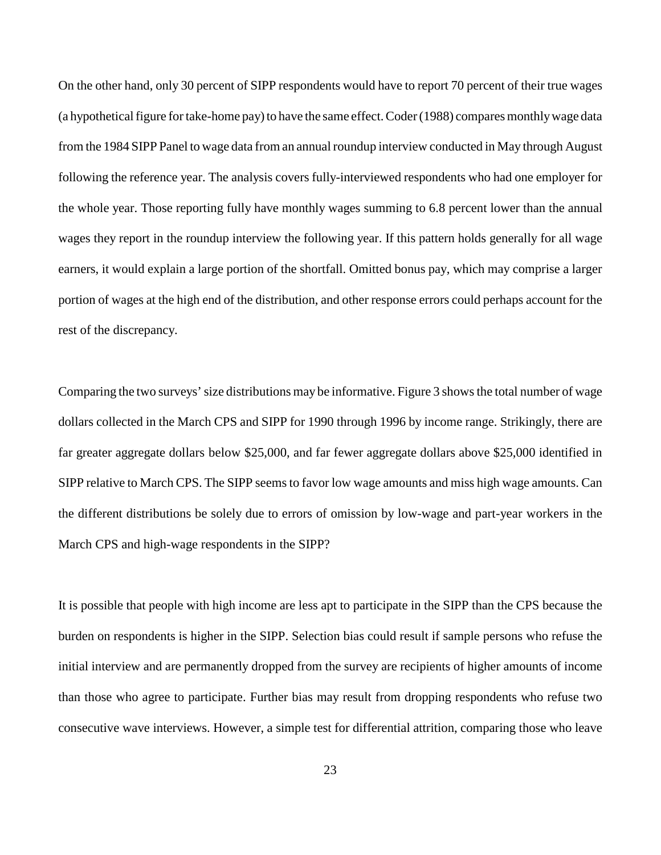On the other hand, only 30 percent of SIPP respondents would have to report 70 percent of their true wages (a hypothetical figure for take-home pay) to have the same effect. Coder (1988) compares monthly wage data from the 1984 SIPP Panel to wage data from an annual roundup interview conducted in May through August following the reference year. The analysis covers fully-interviewed respondents who had one employer for the whole year. Those reporting fully have monthly wages summing to 6.8 percent lower than the annual wages they report in the roundup interview the following year. If this pattern holds generally for all wage earners, it would explain a large portion of the shortfall. Omitted bonus pay, which may comprise a larger portion of wages at the high end of the distribution, and other response errors could perhaps account for the rest of the discrepancy.

Comparing the two surveys' size distributions may be informative. Figure 3 shows the total number of wage dollars collected in the March CPS and SIPP for 1990 through 1996 by income range. Strikingly, there are far greater aggregate dollars below \$25,000, and far fewer aggregate dollars above \$25,000 identified in SIPP relative to March CPS. The SIPP seems to favor low wage amounts and miss high wage amounts. Can the different distributions be solely due to errors of omission by low-wage and part-year workers in the March CPS and high-wage respondents in the SIPP?

It is possible that people with high income are less apt to participate in the SIPP than the CPS because the burden on respondents is higher in the SIPP. Selection bias could result if sample persons who refuse the initial interview and are permanently dropped from the survey are recipients of higher amounts of income than those who agree to participate. Further bias may result from dropping respondents who refuse two consecutive wave interviews. However, a simple test for differential attrition, comparing those who leave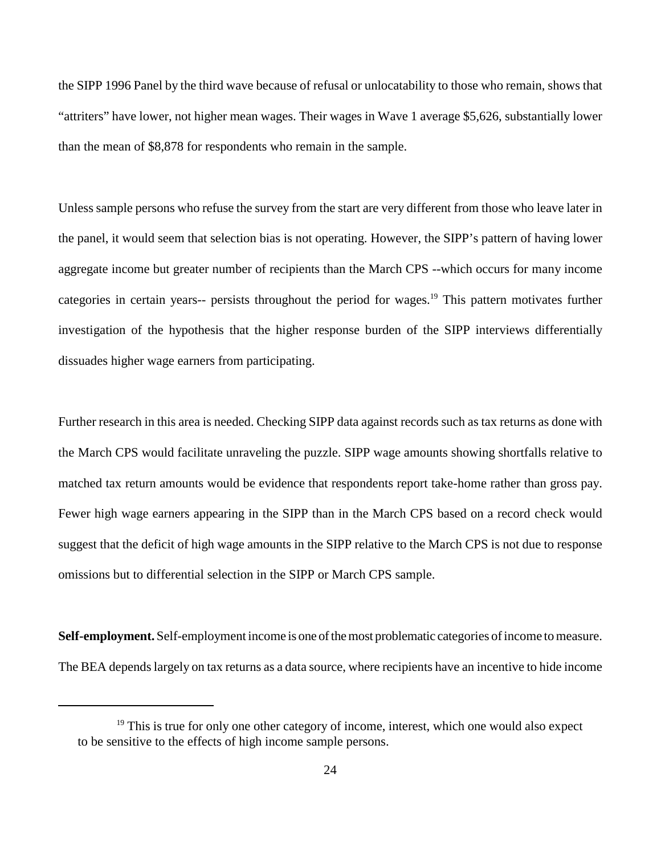the SIPP 1996 Panel by the third wave because of refusal or unlocatability to those who remain, shows that "attriters" have lower, not higher mean wages. Their wages in Wave 1 average \$5,626, substantially lower than the mean of \$8,878 for respondents who remain in the sample.

Unless sample persons who refuse the survey from the start are very different from those who leave later in the panel, it would seem that selection bias is not operating. However, the SIPP's pattern of having lower aggregate income but greater number of recipients than the March CPS --which occurs for many income categories in certain years-- persists throughout the period for wages.<sup>19</sup> This pattern motivates further investigation of the hypothesis that the higher response burden of the SIPP interviews differentially dissuades higher wage earners from participating.

Further research in this area is needed. Checking SIPP data against records such as tax returns as done with the March CPS would facilitate unraveling the puzzle. SIPP wage amounts showing shortfalls relative to matched tax return amounts would be evidence that respondents report take-home rather than gross pay. Fewer high wage earners appearing in the SIPP than in the March CPS based on a record check would suggest that the deficit of high wage amounts in the SIPP relative to the March CPS is not due to response omissions but to differential selection in the SIPP or March CPS sample.

**Self-employment.** Self-employment income is one of the most problematic categories of income to measure. The BEA depends largely on tax returns as a data source, where recipients have an incentive to hide income

 $19$ <sup>19</sup> This is true for only one other category of income, interest, which one would also expect to be sensitive to the effects of high income sample persons.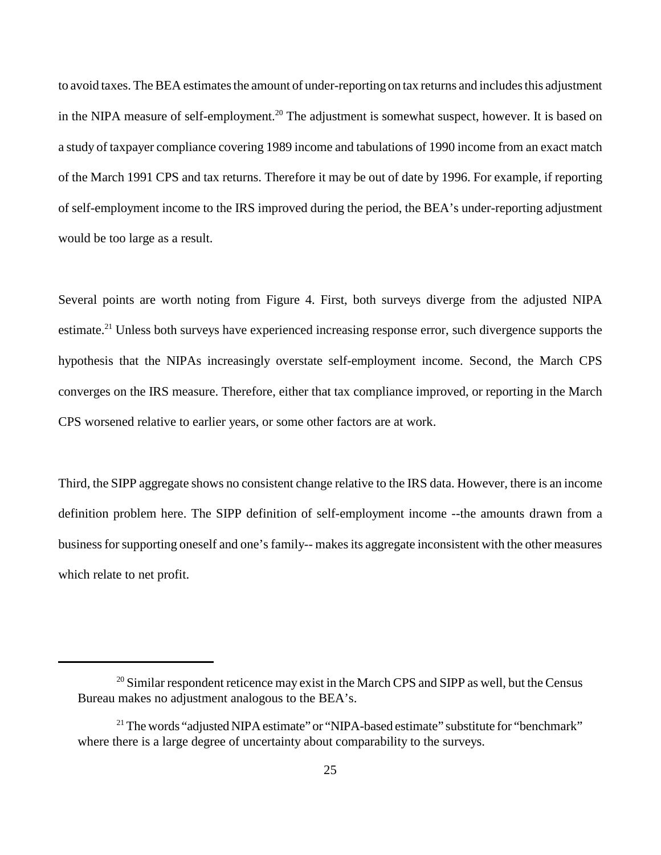to avoid taxes. The BEA estimates the amount of under-reporting on tax returns and includes this adjustment in the NIPA measure of self-employment.<sup>20</sup> The adjustment is somewhat suspect, however. It is based on a study of taxpayer compliance covering 1989 income and tabulations of 1990 income from an exact match of the March 1991 CPS and tax returns. Therefore it may be out of date by 1996. For example, if reporting of self-employment income to the IRS improved during the period, the BEA's under-reporting adjustment would be too large as a result.

Several points are worth noting from Figure 4. First, both surveys diverge from the adjusted NIPA estimate.<sup>21</sup> Unless both surveys have experienced increasing response error, such divergence supports the hypothesis that the NIPAs increasingly overstate self-employment income. Second, the March CPS converges on the IRS measure. Therefore, either that tax compliance improved, or reporting in the March CPS worsened relative to earlier years, or some other factors are at work.

Third, the SIPP aggregate shows no consistent change relative to the IRS data. However, there is an income definition problem here. The SIPP definition of self-employment income --the amounts drawn from a business for supporting oneself and one's family-- makes its aggregate inconsistent with the other measures which relate to net profit.

 $20$  Similar respondent reticence may exist in the March CPS and SIPP as well, but the Census Bureau makes no adjustment analogous to the BEA's.

<sup>&</sup>lt;sup>21</sup> The words "adjusted NIPA estimate" or "NIPA-based estimate" substitute for "benchmark" where there is a large degree of uncertainty about comparability to the surveys.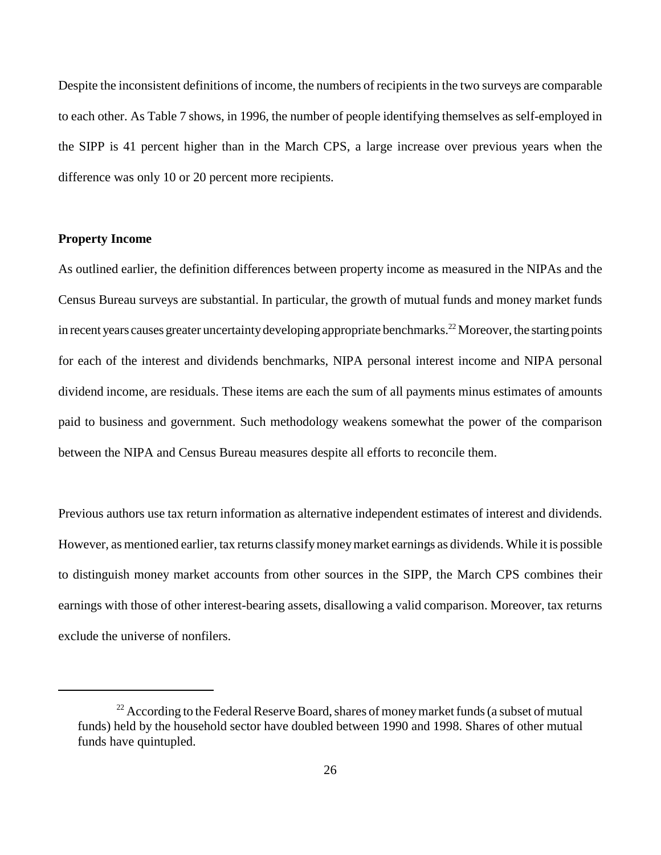Despite the inconsistent definitions of income, the numbers of recipients in the two surveys are comparable to each other. As Table 7 shows, in 1996, the number of people identifying themselves as self-employed in the SIPP is 41 percent higher than in the March CPS, a large increase over previous years when the difference was only 10 or 20 percent more recipients.

## **Property Income**

As outlined earlier, the definition differences between property income as measured in the NIPAs and the Census Bureau surveys are substantial. In particular, the growth of mutual funds and money market funds in recent years causes greater uncertainty developing appropriate benchmarks.<sup>22</sup> Moreover, the starting points for each of the interest and dividends benchmarks, NIPA personal interest income and NIPA personal dividend income, are residuals. These items are each the sum of all payments minus estimates of amounts paid to business and government. Such methodology weakens somewhat the power of the comparison between the NIPA and Census Bureau measures despite all efforts to reconcile them.

Previous authors use tax return information as alternative independent estimates of interest and dividends. However, as mentioned earlier, tax returns classify money market earnings as dividends. While it is possible to distinguish money market accounts from other sources in the SIPP, the March CPS combines their earnings with those of other interest-bearing assets, disallowing a valid comparison. Moreover, tax returns exclude the universe of nonfilers.

 $22$  According to the Federal Reserve Board, shares of money market funds (a subset of mutual funds) held by the household sector have doubled between 1990 and 1998. Shares of other mutual funds have quintupled.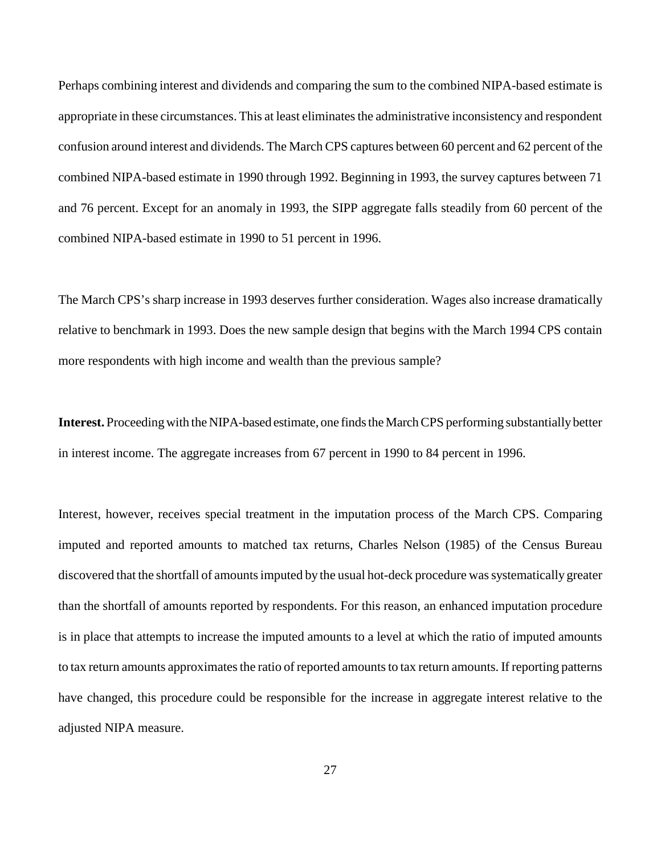Perhaps combining interest and dividends and comparing the sum to the combined NIPA-based estimate is appropriate in these circumstances. This at least eliminates the administrative inconsistency and respondent confusion around interest and dividends. The March CPS captures between 60 percent and 62 percent of the combined NIPA-based estimate in 1990 through 1992. Beginning in 1993, the survey captures between 71 and 76 percent. Except for an anomaly in 1993, the SIPP aggregate falls steadily from 60 percent of the combined NIPA-based estimate in 1990 to 51 percent in 1996.

The March CPS's sharp increase in 1993 deserves further consideration. Wages also increase dramatically relative to benchmark in 1993. Does the new sample design that begins with the March 1994 CPS contain more respondents with high income and wealth than the previous sample?

**Interest.** Proceeding with the NIPA-based estimate, one finds the March CPS performing substantially better in interest income. The aggregate increases from 67 percent in 1990 to 84 percent in 1996.

Interest, however, receives special treatment in the imputation process of the March CPS. Comparing imputed and reported amounts to matched tax returns, Charles Nelson (1985) of the Census Bureau discovered that the shortfall of amounts imputed by the usual hot-deck procedure was systematically greater than the shortfall of amounts reported by respondents. For this reason, an enhanced imputation procedure is in place that attempts to increase the imputed amounts to a level at which the ratio of imputed amounts to tax return amounts approximates the ratio of reported amounts to tax return amounts. If reporting patterns have changed, this procedure could be responsible for the increase in aggregate interest relative to the adjusted NIPA measure.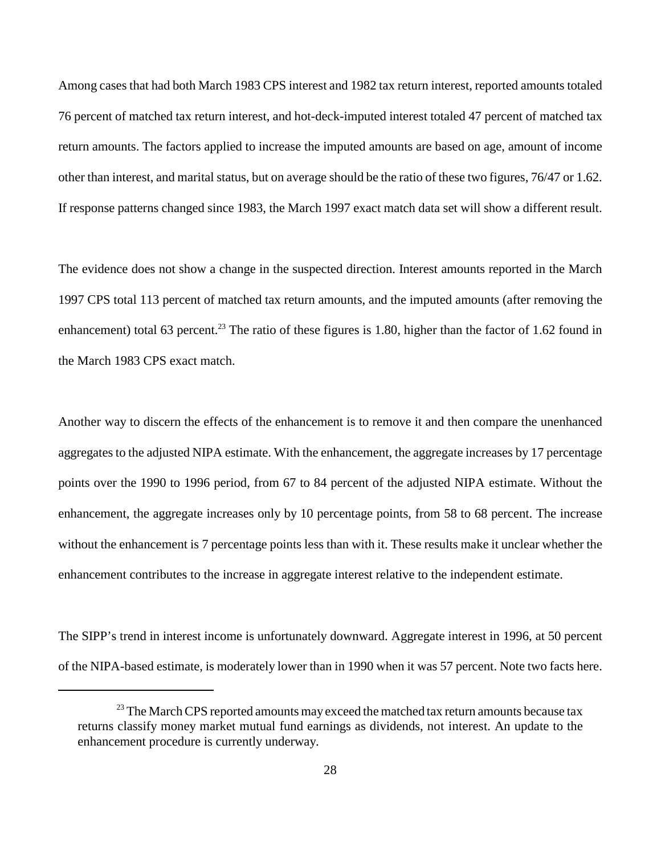Among cases that had both March 1983 CPS interest and 1982 tax return interest, reported amounts totaled 76 percent of matched tax return interest, and hot-deck-imputed interest totaled 47 percent of matched tax return amounts. The factors applied to increase the imputed amounts are based on age, amount of income other than interest, and marital status, but on average should be the ratio of these two figures, 76/47 or 1.62. If response patterns changed since 1983, the March 1997 exact match data set will show a different result.

The evidence does not show a change in the suspected direction. Interest amounts reported in the March 1997 CPS total 113 percent of matched tax return amounts, and the imputed amounts (after removing the enhancement) total 63 percent.<sup>23</sup> The ratio of these figures is 1.80, higher than the factor of 1.62 found in the March 1983 CPS exact match.

Another way to discern the effects of the enhancement is to remove it and then compare the unenhanced aggregates to the adjusted NIPA estimate. With the enhancement, the aggregate increases by 17 percentage points over the 1990 to 1996 period, from 67 to 84 percent of the adjusted NIPA estimate. Without the enhancement, the aggregate increases only by 10 percentage points, from 58 to 68 percent. The increase without the enhancement is 7 percentage points less than with it. These results make it unclear whether the enhancement contributes to the increase in aggregate interest relative to the independent estimate.

The SIPP's trend in interest income is unfortunately downward. Aggregate interest in 1996, at 50 percent of the NIPA-based estimate, is moderately lower than in 1990 when it was 57 percent. Note two facts here.

 $23$  The March CPS reported amounts may exceed the matched tax return amounts because tax returns classify money market mutual fund earnings as dividends, not interest. An update to the enhancement procedure is currently underway.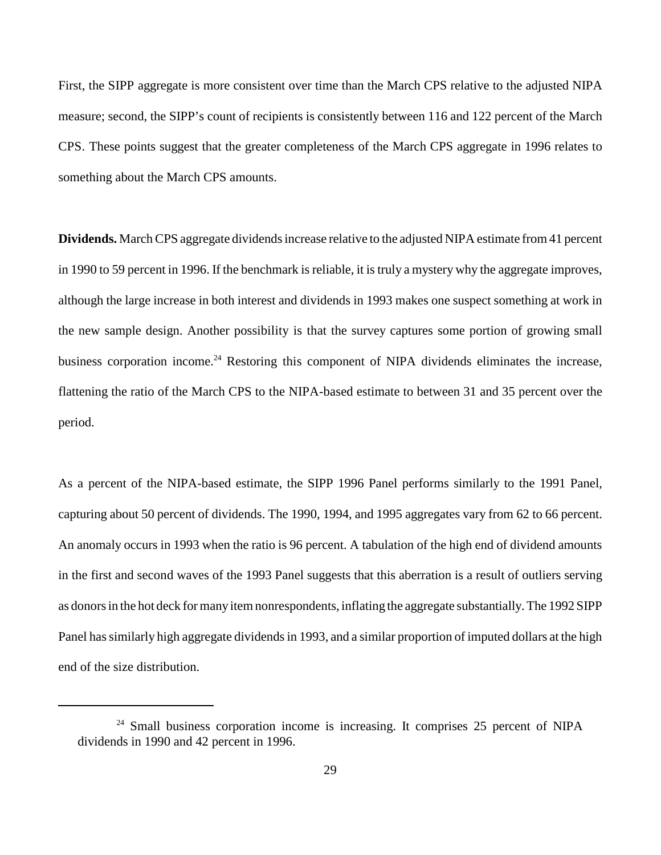First, the SIPP aggregate is more consistent over time than the March CPS relative to the adjusted NIPA measure; second, the SIPP's count of recipients is consistently between 116 and 122 percent of the March CPS. These points suggest that the greater completeness of the March CPS aggregate in 1996 relates to something about the March CPS amounts.

**Dividends.** March CPS aggregate dividends increase relative to the adjusted NIPA estimate from 41 percent in 1990 to 59 percent in 1996. If the benchmark is reliable, it is truly a mystery why the aggregate improves, although the large increase in both interest and dividends in 1993 makes one suspect something at work in the new sample design. Another possibility is that the survey captures some portion of growing small business corporation income.<sup>24</sup> Restoring this component of NIPA dividends eliminates the increase, flattening the ratio of the March CPS to the NIPA-based estimate to between 31 and 35 percent over the period.

As a percent of the NIPA-based estimate, the SIPP 1996 Panel performs similarly to the 1991 Panel, capturing about 50 percent of dividends. The 1990, 1994, and 1995 aggregates vary from 62 to 66 percent. An anomaly occurs in 1993 when the ratio is 96 percent. A tabulation of the high end of dividend amounts in the first and second waves of the 1993 Panel suggests that this aberration is a result of outliers serving as donors in the hot deck for many item nonrespondents, inflating the aggregate substantially. The 1992 SIPP Panel has similarly high aggregate dividends in 1993, and a similar proportion of imputed dollars at the high end of the size distribution.

 $24$  Small business corporation income is increasing. It comprises 25 percent of NIPA dividends in 1990 and 42 percent in 1996.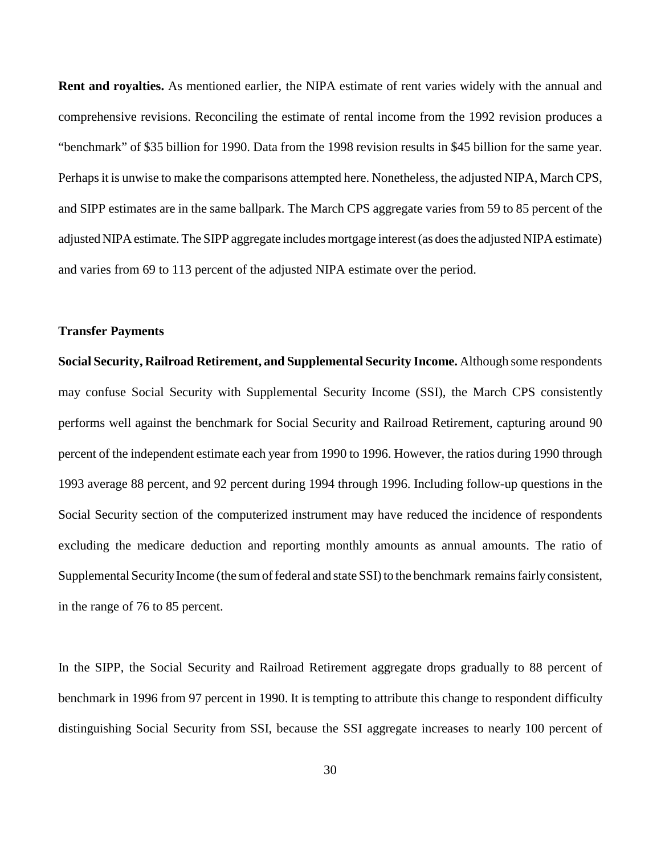**Rent and royalties.** As mentioned earlier, the NIPA estimate of rent varies widely with the annual and comprehensive revisions. Reconciling the estimate of rental income from the 1992 revision produces a "benchmark" of \$35 billion for 1990. Data from the 1998 revision results in \$45 billion for the same year. Perhaps it is unwise to make the comparisons attempted here. Nonetheless, the adjusted NIPA, March CPS, and SIPP estimates are in the same ballpark. The March CPS aggregate varies from 59 to 85 percent of the adjusted NIPA estimate. The SIPP aggregate includes mortgage interest (as does the adjusted NIPA estimate) and varies from 69 to 113 percent of the adjusted NIPA estimate over the period.

#### **Transfer Payments**

**Social Security, Railroad Retirement, and Supplemental Security Income.** Although some respondents may confuse Social Security with Supplemental Security Income (SSI), the March CPS consistently performs well against the benchmark for Social Security and Railroad Retirement, capturing around 90 percent of the independent estimate each year from 1990 to 1996. However, the ratios during 1990 through 1993 average 88 percent, and 92 percent during 1994 through 1996. Including follow-up questions in the Social Security section of the computerized instrument may have reduced the incidence of respondents excluding the medicare deduction and reporting monthly amounts as annual amounts. The ratio of Supplemental Security Income (the sum of federal and state SSI) to the benchmark remains fairly consistent, in the range of 76 to 85 percent.

In the SIPP, the Social Security and Railroad Retirement aggregate drops gradually to 88 percent of benchmark in 1996 from 97 percent in 1990. It is tempting to attribute this change to respondent difficulty distinguishing Social Security from SSI, because the SSI aggregate increases to nearly 100 percent of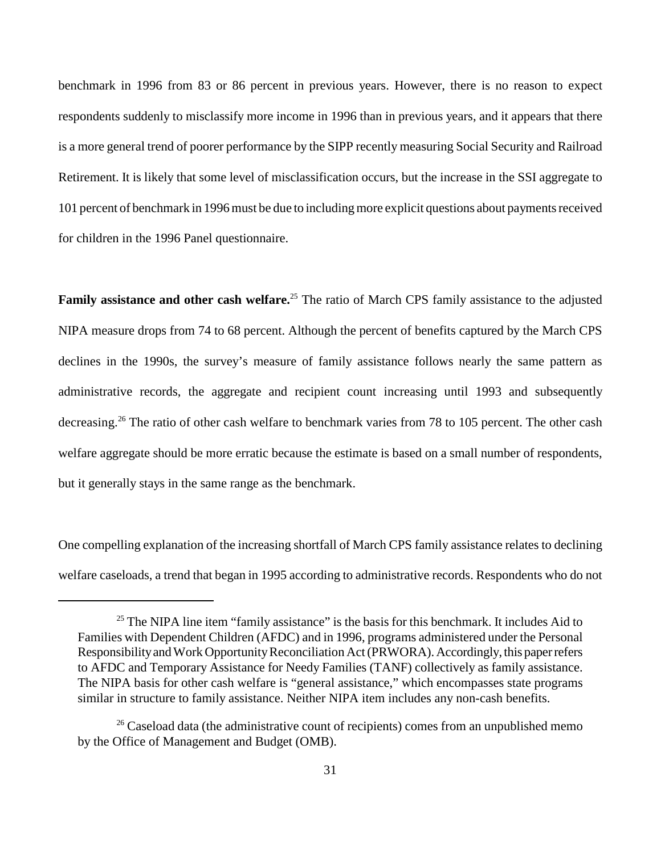benchmark in 1996 from 83 or 86 percent in previous years. However, there is no reason to expect respondents suddenly to misclassify more income in 1996 than in previous years, and it appears that there is a more general trend of poorer performance by the SIPP recently measuring Social Security and Railroad Retirement. It is likely that some level of misclassification occurs, but the increase in the SSI aggregate to 101 percent of benchmark in 1996 must be due to including more explicit questions about payments received for children in the 1996 Panel questionnaire.

**Family assistance and other cash welfare.**<sup>25</sup> The ratio of March CPS family assistance to the adjusted NIPA measure drops from 74 to 68 percent. Although the percent of benefits captured by the March CPS declines in the 1990s, the survey's measure of family assistance follows nearly the same pattern as administrative records, the aggregate and recipient count increasing until 1993 and subsequently decreasing.<sup>26</sup> The ratio of other cash welfare to benchmark varies from 78 to 105 percent. The other cash welfare aggregate should be more erratic because the estimate is based on a small number of respondents, but it generally stays in the same range as the benchmark.

One compelling explanation of the increasing shortfall of March CPS family assistance relates to declining welfare caseloads, a trend that began in 1995 according to administrative records. Respondents who do not

 $25$  The NIPA line item "family assistance" is the basis for this benchmark. It includes Aid to Families with Dependent Children (AFDC) and in 1996, programs administered under the Personal Responsibility and Work Opportunity Reconciliation Act (PRWORA). Accordingly, this paper refers to AFDC and Temporary Assistance for Needy Families (TANF) collectively as family assistance. The NIPA basis for other cash welfare is "general assistance," which encompasses state programs similar in structure to family assistance. Neither NIPA item includes any non-cash benefits.

 $26$  Caseload data (the administrative count of recipients) comes from an unpublished memo by the Office of Management and Budget (OMB).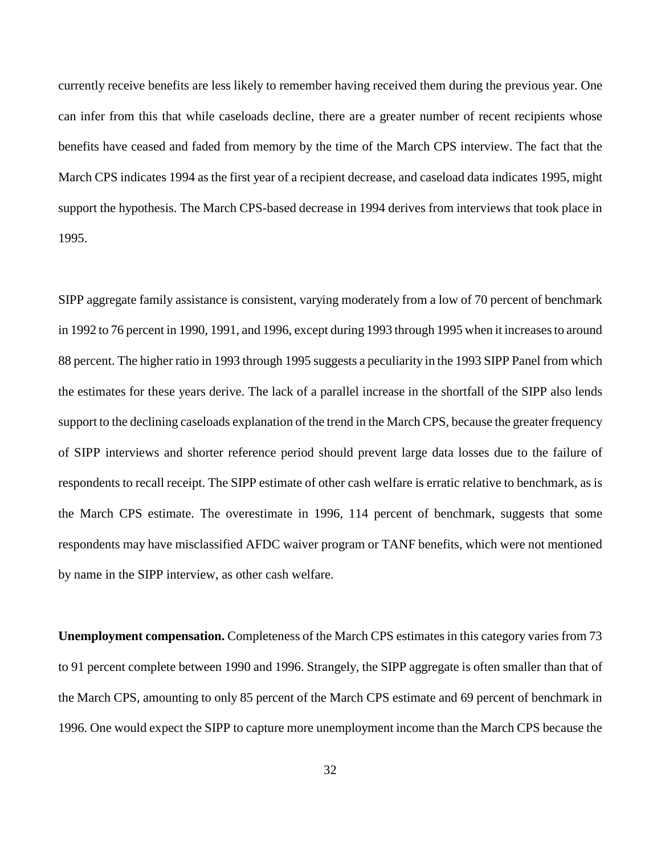currently receive benefits are less likely to remember having received them during the previous year. One can infer from this that while caseloads decline, there are a greater number of recent recipients whose benefits have ceased and faded from memory by the time of the March CPS interview. The fact that the March CPS indicates 1994 as the first year of a recipient decrease, and caseload data indicates 1995, might support the hypothesis. The March CPS-based decrease in 1994 derives from interviews that took place in 1995.

SIPP aggregate family assistance is consistent, varying moderately from a low of 70 percent of benchmark in 1992 to 76 percent in 1990, 1991, and 1996, except during 1993 through 1995 when it increases to around 88 percent. The higher ratio in 1993 through 1995 suggests a peculiarity in the 1993 SIPP Panel from which the estimates for these years derive. The lack of a parallel increase in the shortfall of the SIPP also lends support to the declining caseloads explanation of the trend in the March CPS, because the greater frequency of SIPP interviews and shorter reference period should prevent large data losses due to the failure of respondents to recall receipt. The SIPP estimate of other cash welfare is erratic relative to benchmark, as is the March CPS estimate. The overestimate in 1996, 114 percent of benchmark, suggests that some respondents may have misclassified AFDC waiver program or TANF benefits, which were not mentioned by name in the SIPP interview, as other cash welfare.

**Unemployment compensation.** Completeness of the March CPS estimates in this category varies from 73 to 91 percent complete between 1990 and 1996. Strangely, the SIPP aggregate is often smaller than that of the March CPS, amounting to only 85 percent of the March CPS estimate and 69 percent of benchmark in 1996. One would expect the SIPP to capture more unemployment income than the March CPS because the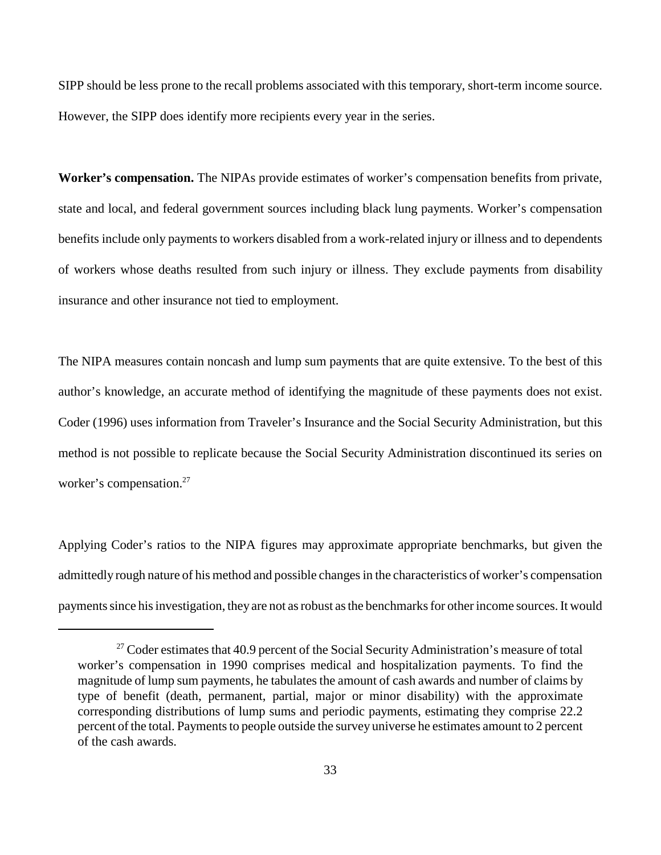SIPP should be less prone to the recall problems associated with this temporary, short-term income source. However, the SIPP does identify more recipients every year in the series.

**Worker's compensation.** The NIPAs provide estimates of worker's compensation benefits from private, state and local, and federal government sources including black lung payments. Worker's compensation benefits include only payments to workers disabled from a work-related injury or illness and to dependents of workers whose deaths resulted from such injury or illness. They exclude payments from disability insurance and other insurance not tied to employment.

The NIPA measures contain noncash and lump sum payments that are quite extensive. To the best of this author's knowledge, an accurate method of identifying the magnitude of these payments does not exist. Coder (1996) uses information from Traveler's Insurance and the Social Security Administration, but this method is not possible to replicate because the Social Security Administration discontinued its series on worker's compensation.<sup>27</sup>

Applying Coder's ratios to the NIPA figures may approximate appropriate benchmarks, but given the admittedly rough nature of his method and possible changes in the characteristics of worker's compensation payments since his investigation, they are not as robust as the benchmarks for other income sources. It would

 $27$  Coder estimates that 40.9 percent of the Social Security Administration's measure of total worker's compensation in 1990 comprises medical and hospitalization payments. To find the magnitude of lump sum payments, he tabulates the amount of cash awards and number of claims by type of benefit (death, permanent, partial, major or minor disability) with the approximate corresponding distributions of lump sums and periodic payments, estimating they comprise 22.2 percent of the total. Payments to people outside the survey universe he estimates amount to 2 percent of the cash awards.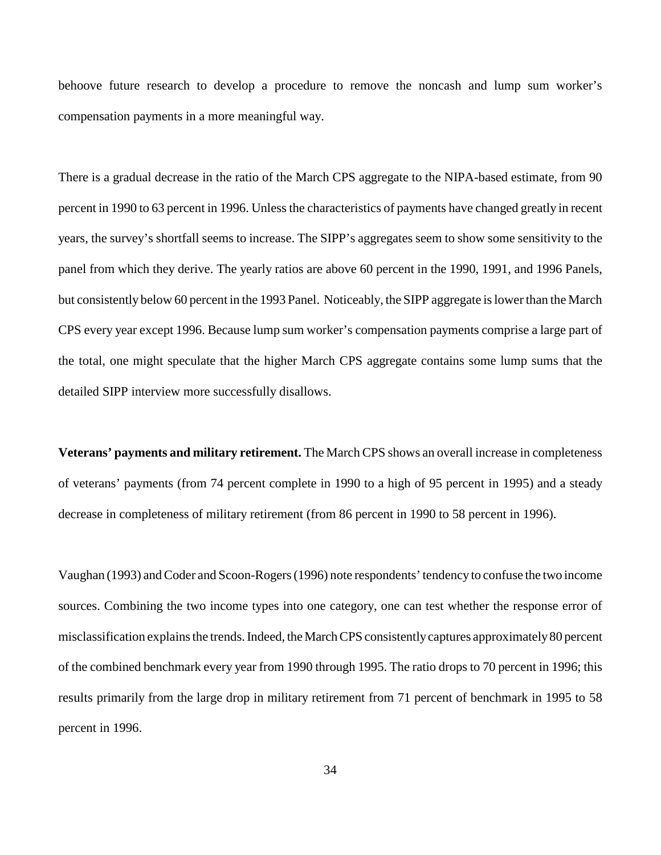behoove future research to develop a procedure to remove the noncash and lump sum worker's compensation payments in a more meaningful way.

There is a gradual decrease in the ratio of the March CPS aggregate to the NIPA-based estimate, from 90 percent in 1990 to 63 percent in 1996. Unless the characteristics of payments have changed greatly in recent years, the survey's shortfall seems to increase. The SIPP's aggregates seem to show some sensitivity to the panel from which they derive. The yearly ratios are above 60 percent in the 1990, 1991, and 1996 Panels, but consistently below 60 percent in the 1993 Panel. Noticeably, the SIPP aggregate is lower than the March CPS every year except 1996. Because lump sum worker's compensation payments comprise a large part of the total, one might speculate that the higher March CPS aggregate contains some lump sums that the detailed SIPP interview more successfully disallows.

**Veterans' payments and military retirement.** The March CPS shows an overall increase in completeness of veterans' payments (from 74 percent complete in 1990 to a high of 95 percent in 1995) and a steady decrease in completeness of military retirement (from 86 percent in 1990 to 58 percent in 1996).

Vaughan (1993) and Coder and Scoon-Rogers (1996) note respondents' tendency to confuse the two income sources. Combining the two income types into one category, one can test whether the response error of misclassification explains the trends. Indeed, the March CPS consistently captures approximately 80 percent of the combined benchmark every year from 1990 through 1995. The ratio drops to 70 percent in 1996; this results primarily from the large drop in military retirement from 71 percent of benchmark in 1995 to 58 percent in 1996.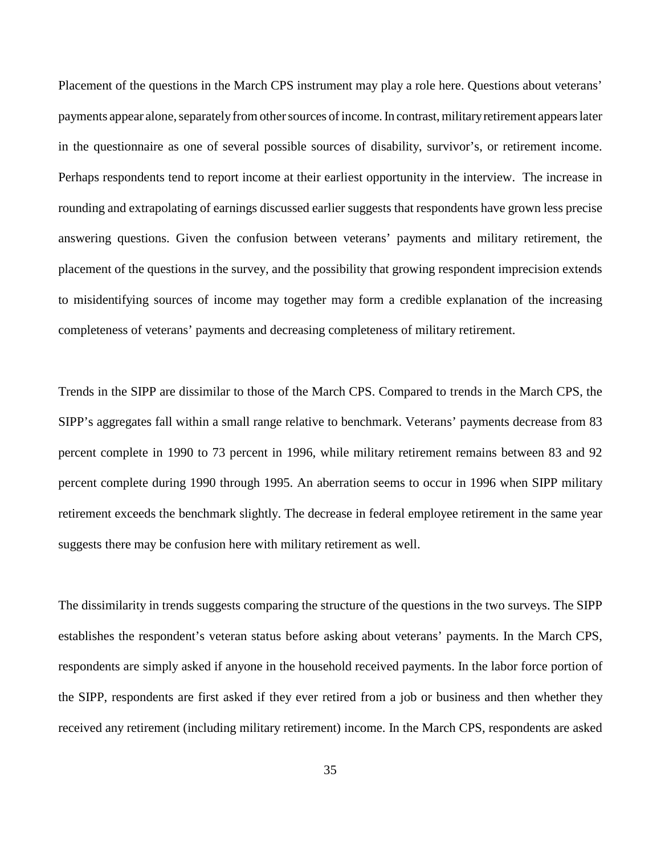Placement of the questions in the March CPS instrument may play a role here. Questions about veterans' payments appear alone, separately from other sources of income. In contrast, military retirement appears later in the questionnaire as one of several possible sources of disability, survivor's, or retirement income. Perhaps respondents tend to report income at their earliest opportunity in the interview. The increase in rounding and extrapolating of earnings discussed earlier suggests that respondents have grown less precise answering questions. Given the confusion between veterans' payments and military retirement, the placement of the questions in the survey, and the possibility that growing respondent imprecision extends to misidentifying sources of income may together may form a credible explanation of the increasing completeness of veterans' payments and decreasing completeness of military retirement.

Trends in the SIPP are dissimilar to those of the March CPS. Compared to trends in the March CPS, the SIPP's aggregates fall within a small range relative to benchmark. Veterans' payments decrease from 83 percent complete in 1990 to 73 percent in 1996, while military retirement remains between 83 and 92 percent complete during 1990 through 1995. An aberration seems to occur in 1996 when SIPP military retirement exceeds the benchmark slightly. The decrease in federal employee retirement in the same year suggests there may be confusion here with military retirement as well.

The dissimilarity in trends suggests comparing the structure of the questions in the two surveys. The SIPP establishes the respondent's veteran status before asking about veterans' payments. In the March CPS, respondents are simply asked if anyone in the household received payments. In the labor force portion of the SIPP, respondents are first asked if they ever retired from a job or business and then whether they received any retirement (including military retirement) income. In the March CPS, respondents are asked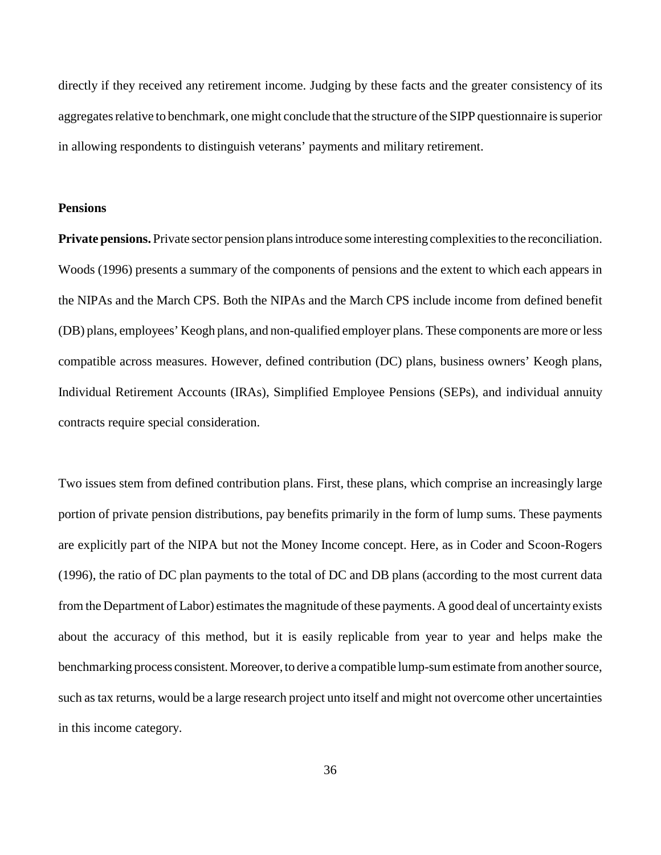directly if they received any retirement income. Judging by these facts and the greater consistency of its aggregates relative to benchmark, one might conclude that the structure of the SIPP questionnaire is superior in allowing respondents to distinguish veterans' payments and military retirement.

## **Pensions**

**Private pensions.** Private sector pension plans introduce some interesting complexities to the reconciliation. Woods (1996) presents a summary of the components of pensions and the extent to which each appears in the NIPAs and the March CPS. Both the NIPAs and the March CPS include income from defined benefit (DB) plans, employees' Keogh plans, and non-qualified employer plans. These components are more or less compatible across measures. However, defined contribution (DC) plans, business owners' Keogh plans, Individual Retirement Accounts (IRAs), Simplified Employee Pensions (SEPs), and individual annuity contracts require special consideration.

Two issues stem from defined contribution plans. First, these plans, which comprise an increasingly large portion of private pension distributions, pay benefits primarily in the form of lump sums. These payments are explicitly part of the NIPA but not the Money Income concept. Here, as in Coder and Scoon-Rogers (1996), the ratio of DC plan payments to the total of DC and DB plans (according to the most current data from the Department of Labor) estimates the magnitude of these payments. A good deal of uncertainty exists about the accuracy of this method, but it is easily replicable from year to year and helps make the benchmarking process consistent. Moreover, to derive a compatible lump-sum estimate from another source, such as tax returns, would be a large research project unto itself and might not overcome other uncertainties in this income category.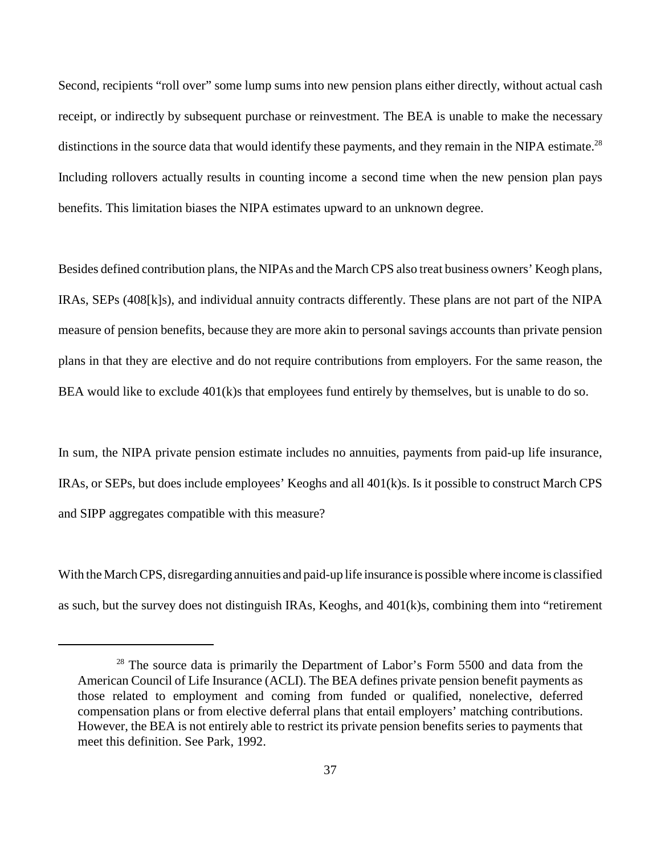Second, recipients "roll over" some lump sums into new pension plans either directly, without actual cash receipt, or indirectly by subsequent purchase or reinvestment. The BEA is unable to make the necessary distinctions in the source data that would identify these payments, and they remain in the NIPA estimate.<sup>28</sup> Including rollovers actually results in counting income a second time when the new pension plan pays benefits. This limitation biases the NIPA estimates upward to an unknown degree.

Besides defined contribution plans, the NIPAs and the March CPS also treat business owners' Keogh plans, IRAs, SEPs (408[k]s), and individual annuity contracts differently. These plans are not part of the NIPA measure of pension benefits, because they are more akin to personal savings accounts than private pension plans in that they are elective and do not require contributions from employers. For the same reason, the BEA would like to exclude 401(k)s that employees fund entirely by themselves, but is unable to do so.

In sum, the NIPA private pension estimate includes no annuities, payments from paid-up life insurance, IRAs, or SEPs, but does include employees' Keoghs and all 401(k)s. Is it possible to construct March CPS and SIPP aggregates compatible with this measure?

With the March CPS, disregarding annuities and paid-up life insurance is possible where income is classified as such, but the survey does not distinguish IRAs, Keoghs, and 401(k)s, combining them into "retirement

<sup>&</sup>lt;sup>28</sup> The source data is primarily the Department of Labor's Form 5500 and data from the American Council of Life Insurance (ACLI). The BEA defines private pension benefit payments as those related to employment and coming from funded or qualified, nonelective, deferred compensation plans or from elective deferral plans that entail employers' matching contributions. However, the BEA is not entirely able to restrict its private pension benefits series to payments that meet this definition. See Park, 1992.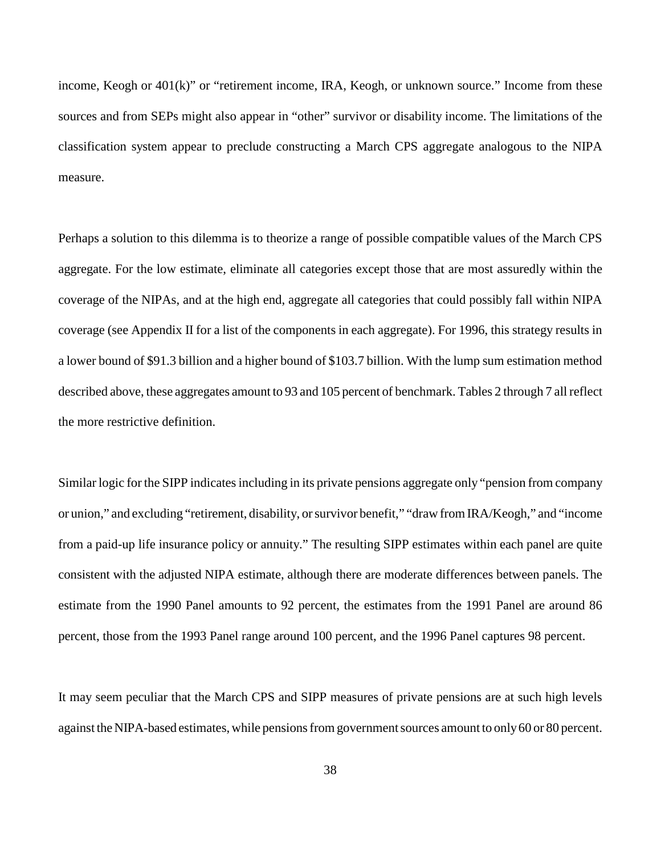income, Keogh or 401(k)" or "retirement income, IRA, Keogh, or unknown source." Income from these sources and from SEPs might also appear in "other" survivor or disability income. The limitations of the classification system appear to preclude constructing a March CPS aggregate analogous to the NIPA measure.

Perhaps a solution to this dilemma is to theorize a range of possible compatible values of the March CPS aggregate. For the low estimate, eliminate all categories except those that are most assuredly within the coverage of the NIPAs, and at the high end, aggregate all categories that could possibly fall within NIPA coverage (see Appendix II for a list of the components in each aggregate). For 1996, this strategy results in a lower bound of \$91.3 billion and a higher bound of \$103.7 billion. With the lump sum estimation method described above, these aggregates amount to 93 and 105 percent of benchmark. Tables 2 through 7 all reflect the more restrictive definition.

Similar logic for the SIPP indicates including in its private pensions aggregate only "pension from company or union," and excluding "retirement, disability, or survivor benefit," "draw from IRA/Keogh," and "income from a paid-up life insurance policy or annuity." The resulting SIPP estimates within each panel are quite consistent with the adjusted NIPA estimate, although there are moderate differences between panels. The estimate from the 1990 Panel amounts to 92 percent, the estimates from the 1991 Panel are around 86 percent, those from the 1993 Panel range around 100 percent, and the 1996 Panel captures 98 percent.

It may seem peculiar that the March CPS and SIPP measures of private pensions are at such high levels against the NIPA-based estimates, while pensions from government sources amount to only 60 or 80 percent.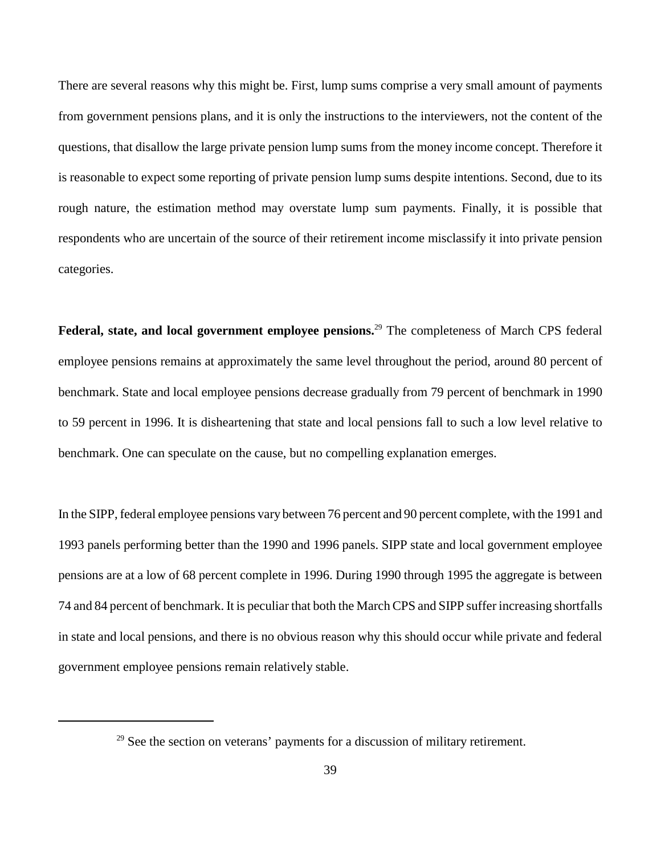There are several reasons why this might be. First, lump sums comprise a very small amount of payments from government pensions plans, and it is only the instructions to the interviewers, not the content of the questions, that disallow the large private pension lump sums from the money income concept. Therefore it is reasonable to expect some reporting of private pension lump sums despite intentions. Second, due to its rough nature, the estimation method may overstate lump sum payments. Finally, it is possible that respondents who are uncertain of the source of their retirement income misclassify it into private pension categories.

**Federal, state, and local government employee pensions.**29 The completeness of March CPS federal employee pensions remains at approximately the same level throughout the period, around 80 percent of benchmark. State and local employee pensions decrease gradually from 79 percent of benchmark in 1990 to 59 percent in 1996. It is disheartening that state and local pensions fall to such a low level relative to benchmark. One can speculate on the cause, but no compelling explanation emerges.

In the SIPP, federal employee pensions vary between 76 percent and 90 percent complete, with the 1991 and 1993 panels performing better than the 1990 and 1996 panels. SIPP state and local government employee pensions are at a low of 68 percent complete in 1996. During 1990 through 1995 the aggregate is between 74 and 84 percent of benchmark. It is peculiar that both the March CPS and SIPP suffer increasing shortfalls in state and local pensions, and there is no obvious reason why this should occur while private and federal government employee pensions remain relatively stable.

 $29$  See the section on veterans' payments for a discussion of military retirement.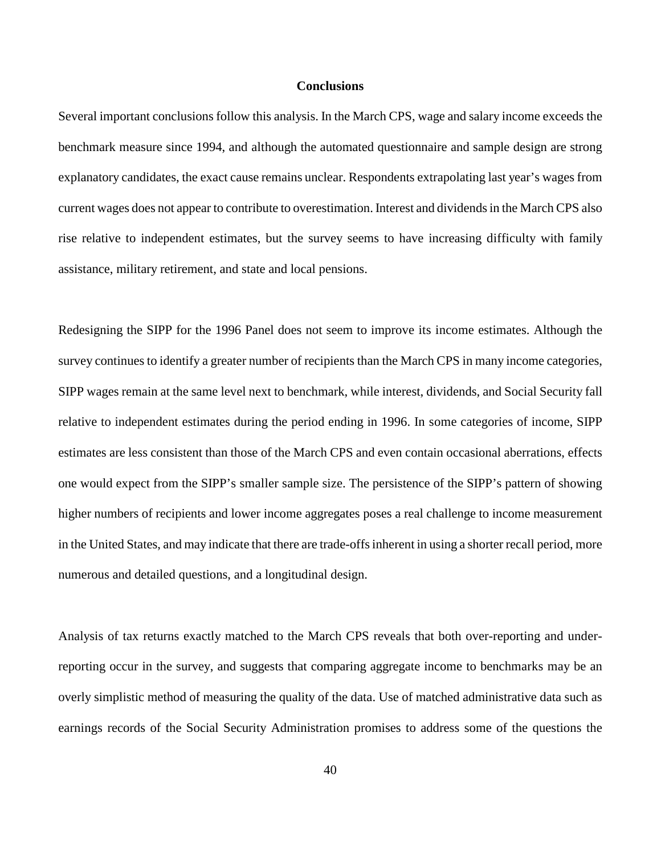### **Conclusions**

Several important conclusions follow this analysis. In the March CPS, wage and salary income exceeds the benchmark measure since 1994, and although the automated questionnaire and sample design are strong explanatory candidates, the exact cause remains unclear. Respondents extrapolating last year's wages from current wages does not appear to contribute to overestimation. Interest and dividends in the March CPS also rise relative to independent estimates, but the survey seems to have increasing difficulty with family assistance, military retirement, and state and local pensions.

Redesigning the SIPP for the 1996 Panel does not seem to improve its income estimates. Although the survey continues to identify a greater number of recipients than the March CPS in many income categories, SIPP wages remain at the same level next to benchmark, while interest, dividends, and Social Security fall relative to independent estimates during the period ending in 1996. In some categories of income, SIPP estimates are less consistent than those of the March CPS and even contain occasional aberrations, effects one would expect from the SIPP's smaller sample size. The persistence of the SIPP's pattern of showing higher numbers of recipients and lower income aggregates poses a real challenge to income measurement in the United States, and may indicate that there are trade-offs inherent in using a shorter recall period, more numerous and detailed questions, and a longitudinal design.

Analysis of tax returns exactly matched to the March CPS reveals that both over-reporting and underreporting occur in the survey, and suggests that comparing aggregate income to benchmarks may be an overly simplistic method of measuring the quality of the data. Use of matched administrative data such as earnings records of the Social Security Administration promises to address some of the questions the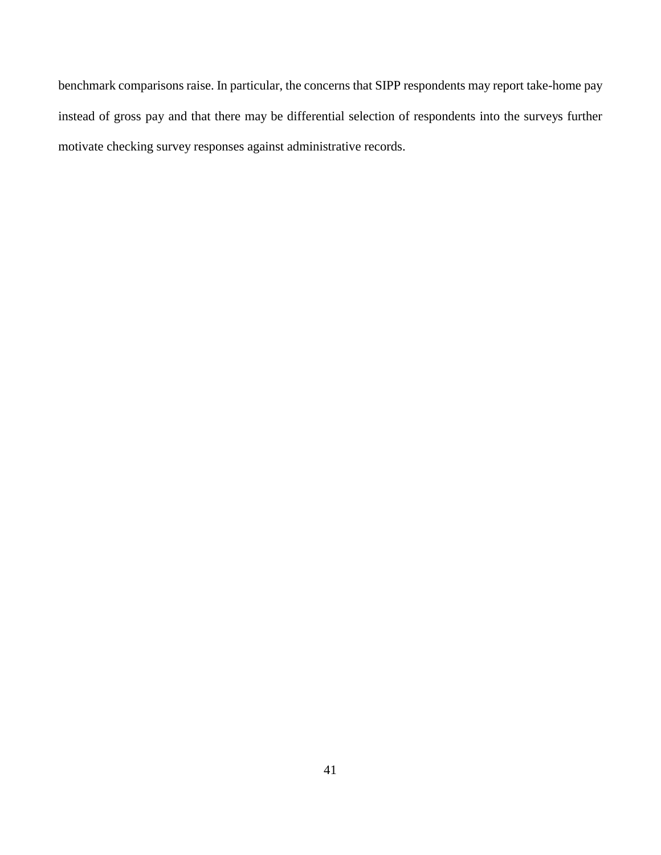benchmark comparisons raise. In particular, the concerns that SIPP respondents may report take-home pay instead of gross pay and that there may be differential selection of respondents into the surveys further motivate checking survey responses against administrative records.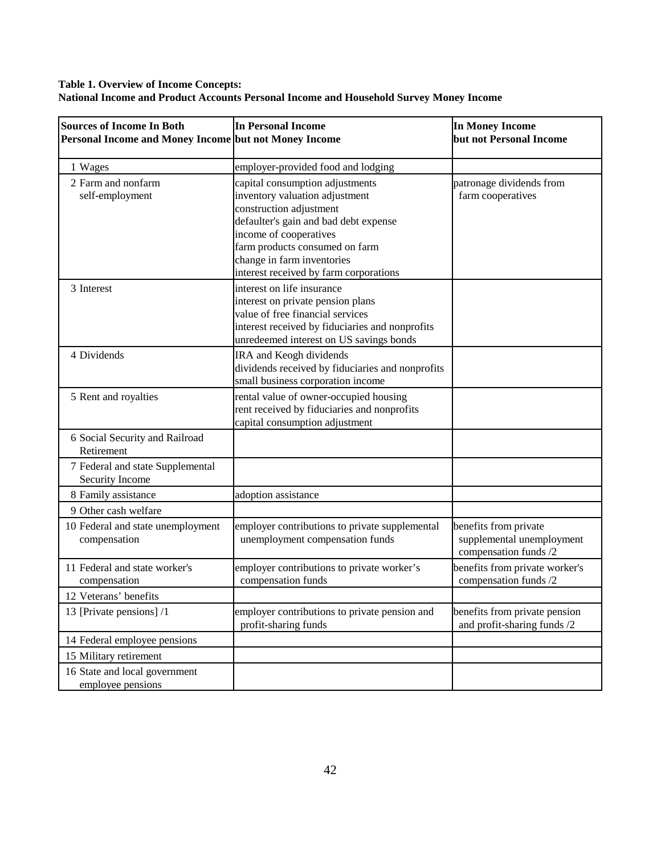## **Table 1. Overview of Income Concepts: National Income and Product Accounts Personal Income and Household Survey Money Income**

| <b>Sources of Income In Both</b><br>Personal Income and Money Income but not Money Income | In Personal Income                                                                                                                                                                                                                                                        | <b>In Money Income</b><br>but not Personal Income                           |
|-------------------------------------------------------------------------------------------|---------------------------------------------------------------------------------------------------------------------------------------------------------------------------------------------------------------------------------------------------------------------------|-----------------------------------------------------------------------------|
| 1 Wages                                                                                   | employer-provided food and lodging                                                                                                                                                                                                                                        |                                                                             |
| 2 Farm and nonfarm<br>self-employment                                                     | capital consumption adjustments<br>inventory valuation adjustment<br>construction adjustment<br>defaulter's gain and bad debt expense<br>income of cooperatives<br>farm products consumed on farm<br>change in farm inventories<br>interest received by farm corporations | patronage dividends from<br>farm cooperatives                               |
| 3 Interest                                                                                | interest on life insurance<br>interest on private pension plans<br>value of free financial services<br>interest received by fiduciaries and nonprofits<br>unredeemed interest on US savings bonds                                                                         |                                                                             |
| 4 Dividends                                                                               | IRA and Keogh dividends<br>dividends received by fiduciaries and nonprofits<br>small business corporation income                                                                                                                                                          |                                                                             |
| 5 Rent and royalties                                                                      | rental value of owner-occupied housing<br>rent received by fiduciaries and nonprofits<br>capital consumption adjustment                                                                                                                                                   |                                                                             |
| 6 Social Security and Railroad<br>Retirement                                              |                                                                                                                                                                                                                                                                           |                                                                             |
| 7 Federal and state Supplemental<br>Security Income                                       |                                                                                                                                                                                                                                                                           |                                                                             |
| 8 Family assistance                                                                       | adoption assistance                                                                                                                                                                                                                                                       |                                                                             |
| 9 Other cash welfare                                                                      |                                                                                                                                                                                                                                                                           |                                                                             |
| 10 Federal and state unemployment<br>compensation                                         | employer contributions to private supplemental<br>unemployment compensation funds                                                                                                                                                                                         | benefits from private<br>supplemental unemployment<br>compensation funds /2 |
| 11 Federal and state worker's<br>compensation                                             | employer contributions to private worker's<br>compensation funds                                                                                                                                                                                                          | benefits from private worker's<br>compensation funds /2                     |
| 12 Veterans' benefits                                                                     |                                                                                                                                                                                                                                                                           |                                                                             |
| 13 [Private pensions] /1                                                                  | employer contributions to private pension and<br>profit-sharing funds                                                                                                                                                                                                     | benefits from private pension<br>and profit-sharing funds /2                |
| 14 Federal employee pensions                                                              |                                                                                                                                                                                                                                                                           |                                                                             |
| 15 Military retirement                                                                    |                                                                                                                                                                                                                                                                           |                                                                             |
| 16 State and local government<br>employee pensions                                        |                                                                                                                                                                                                                                                                           |                                                                             |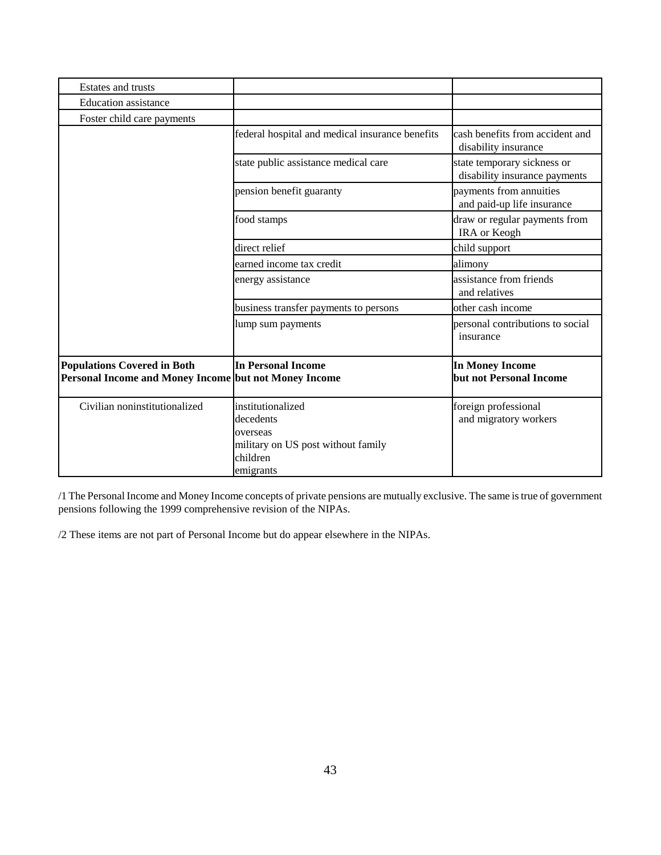| Estates and trusts                                                                          |                                                                                                           |                                                              |  |  |
|---------------------------------------------------------------------------------------------|-----------------------------------------------------------------------------------------------------------|--------------------------------------------------------------|--|--|
| <b>Education</b> assistance                                                                 |                                                                                                           |                                                              |  |  |
| Foster child care payments                                                                  |                                                                                                           |                                                              |  |  |
|                                                                                             | federal hospital and medical insurance benefits                                                           | cash benefits from accident and<br>disability insurance      |  |  |
|                                                                                             | state public assistance medical care                                                                      | state temporary sickness or<br>disability insurance payments |  |  |
|                                                                                             | pension benefit guaranty                                                                                  | payments from annuities<br>and paid-up life insurance        |  |  |
|                                                                                             | food stamps                                                                                               | draw or regular payments from<br>IRA or Keogh                |  |  |
|                                                                                             | direct relief                                                                                             | child support                                                |  |  |
|                                                                                             | earned income tax credit                                                                                  | alimony                                                      |  |  |
|                                                                                             | energy assistance                                                                                         | assistance from friends<br>and relatives                     |  |  |
|                                                                                             | business transfer payments to persons                                                                     | other cash income                                            |  |  |
|                                                                                             | lump sum payments                                                                                         | personal contributions to social<br>insurance                |  |  |
| <b>Populations Covered in Both</b><br>Personal Income and Money Income but not Money Income | <b>In Personal Income</b>                                                                                 | <b>In Money Income</b><br>but not Personal Income            |  |  |
| Civilian noninstitutionalized                                                               | institutionalized<br>decedents<br>overseas<br>military on US post without family<br>children<br>emigrants | foreign professional<br>and migratory workers                |  |  |

/1 The Personal Income and Money Income concepts of private pensions are mutually exclusive. The same is true of government pensions following the 1999 comprehensive revision of the NIPAs.

/2 These items are not part of Personal Income but do appear elsewhere in the NIPAs.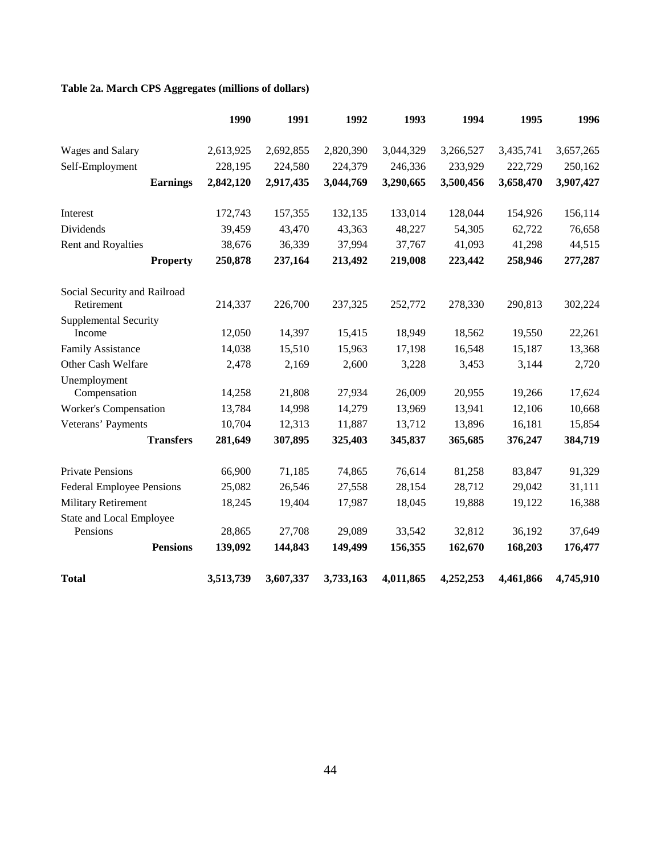# **Table 2a. March CPS Aggregates (millions of dollars)**

|                                      | 1990      | 1991      | 1992      | 1993      | 1994      | 1995      | 1996      |
|--------------------------------------|-----------|-----------|-----------|-----------|-----------|-----------|-----------|
| Wages and Salary                     | 2,613,925 | 2,692,855 | 2,820,390 | 3,044,329 | 3,266,527 | 3,435,741 | 3,657,265 |
| Self-Employment                      | 228,195   | 224,580   | 224,379   | 246,336   | 233,929   | 222,729   | 250,162   |
| <b>Earnings</b>                      | 2,842,120 | 2,917,435 | 3,044,769 | 3,290,665 | 3,500,456 | 3,658,470 | 3,907,427 |
| Interest                             | 172,743   | 157,355   | 132,135   | 133,014   | 128,044   | 154,926   | 156,114   |
| Dividends                            | 39,459    | 43,470    | 43,363    | 48,227    | 54,305    | 62,722    | 76,658    |
| Rent and Royalties                   | 38,676    | 36,339    | 37,994    | 37,767    | 41,093    | 41,298    | 44,515    |
| <b>Property</b>                      | 250,878   | 237,164   | 213,492   | 219,008   | 223,442   | 258,946   | 277,287   |
| Social Security and Railroad         |           |           |           |           |           |           |           |
| Retirement                           | 214,337   | 226,700   | 237,325   | 252,772   | 278,330   | 290,813   | 302,224   |
| <b>Supplemental Security</b>         |           |           |           |           |           |           |           |
| Income                               | 12,050    | 14,397    | 15,415    | 18,949    | 18,562    | 19,550    | 22,261    |
| <b>Family Assistance</b>             | 14,038    | 15,510    | 15,963    | 17,198    | 16,548    | 15,187    | 13,368    |
| Other Cash Welfare                   | 2,478     | 2,169     | 2,600     | 3,228     | 3,453     | 3,144     | 2,720     |
| Unemployment<br>Compensation         | 14,258    | 21,808    | 27,934    | 26,009    | 20,955    | 19,266    | 17,624    |
| <b>Worker's Compensation</b>         | 13,784    | 14,998    | 14,279    | 13,969    | 13,941    | 12,106    | 10,668    |
| Veterans' Payments                   | 10,704    | 12,313    | 11,887    | 13,712    | 13,896    | 16,181    | 15,854    |
| <b>Transfers</b>                     | 281,649   | 307,895   | 325,403   | 345,837   | 365,685   | 376,247   | 384,719   |
| <b>Private Pensions</b>              | 66,900    | 71,185    | 74,865    | 76,614    | 81,258    | 83,847    | 91,329    |
| <b>Federal Employee Pensions</b>     | 25,082    | 26,546    | 27,558    | 28,154    | 28,712    | 29,042    | 31,111    |
| <b>Military Retirement</b>           | 18,245    | 19,404    | 17,987    | 18,045    | 19,888    | 19,122    | 16,388    |
| State and Local Employee<br>Pensions | 28,865    | 27,708    | 29,089    | 33,542    | 32,812    | 36,192    | 37,649    |
| <b>Pensions</b>                      | 139,092   | 144,843   | 149,499   | 156,355   | 162,670   | 168,203   | 176,477   |
| <b>Total</b>                         | 3,513,739 | 3,607,337 | 3,733,163 | 4,011,865 | 4,252,253 | 4,461,866 | 4,745,910 |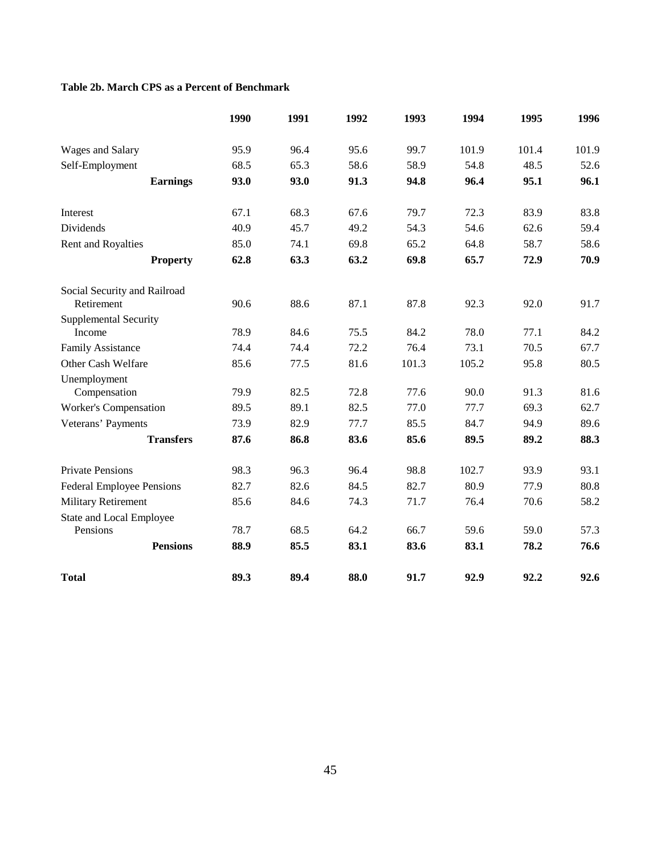## **Table 2b. March CPS as a Percent of Benchmark**

|                                        | 1990 | 1991 | 1992 | 1993  | 1994  | 1995  | 1996  |
|----------------------------------------|------|------|------|-------|-------|-------|-------|
| Wages and Salary                       | 95.9 | 96.4 | 95.6 | 99.7  | 101.9 | 101.4 | 101.9 |
| Self-Employment                        | 68.5 | 65.3 | 58.6 | 58.9  | 54.8  | 48.5  | 52.6  |
| <b>Earnings</b>                        | 93.0 | 93.0 | 91.3 | 94.8  | 96.4  | 95.1  | 96.1  |
| Interest                               | 67.1 | 68.3 | 67.6 | 79.7  | 72.3  | 83.9  | 83.8  |
| Dividends                              | 40.9 | 45.7 | 49.2 | 54.3  | 54.6  | 62.6  | 59.4  |
| Rent and Royalties                     | 85.0 | 74.1 | 69.8 | 65.2  | 64.8  | 58.7  | 58.6  |
| <b>Property</b>                        | 62.8 | 63.3 | 63.2 | 69.8  | 65.7  | 72.9  | 70.9  |
| Social Security and Railroad           |      | 88.6 |      |       |       |       |       |
| Retirement                             | 90.6 |      | 87.1 | 87.8  | 92.3  | 92.0  | 91.7  |
| <b>Supplemental Security</b><br>Income | 78.9 | 84.6 | 75.5 | 84.2  | 78.0  | 77.1  | 84.2  |
| <b>Family Assistance</b>               | 74.4 | 74.4 | 72.2 | 76.4  | 73.1  | 70.5  | 67.7  |
| Other Cash Welfare                     | 85.6 | 77.5 | 81.6 | 101.3 | 105.2 | 95.8  | 80.5  |
| Unemployment                           |      |      |      |       |       |       |       |
| Compensation                           | 79.9 | 82.5 | 72.8 | 77.6  | 90.0  | 91.3  | 81.6  |
| <b>Worker's Compensation</b>           | 89.5 | 89.1 | 82.5 | 77.0  | 77.7  | 69.3  | 62.7  |
| Veterans' Payments                     | 73.9 | 82.9 | 77.7 | 85.5  | 84.7  | 94.9  | 89.6  |
| <b>Transfers</b>                       | 87.6 | 86.8 | 83.6 | 85.6  | 89.5  | 89.2  | 88.3  |
| <b>Private Pensions</b>                | 98.3 | 96.3 | 96.4 | 98.8  | 102.7 | 93.9  | 93.1  |
| <b>Federal Employee Pensions</b>       | 82.7 | 82.6 | 84.5 | 82.7  | 80.9  | 77.9  | 80.8  |
| <b>Military Retirement</b>             | 85.6 | 84.6 | 74.3 | 71.7  | 76.4  | 70.6  | 58.2  |
| State and Local Employee               |      |      |      |       |       |       |       |
| Pensions                               | 78.7 | 68.5 | 64.2 | 66.7  | 59.6  | 59.0  | 57.3  |
| <b>Pensions</b>                        | 88.9 | 85.5 | 83.1 | 83.6  | 83.1  | 78.2  | 76.6  |
| <b>Total</b>                           | 89.3 | 89.4 | 88.0 | 91.7  | 92.9  | 92.2  | 92.6  |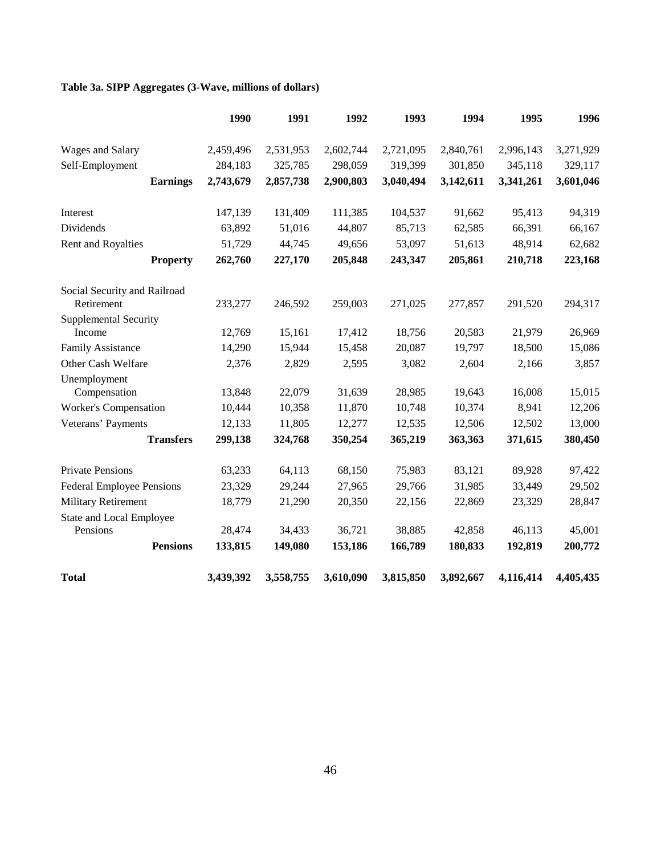# **Table 3a. SIPP Aggregates (3-Wave, millions of dollars)**

|                                            | 1990      | 1991      | 1992      | 1993      | 1994      | 1995      | 1996      |
|--------------------------------------------|-----------|-----------|-----------|-----------|-----------|-----------|-----------|
| Wages and Salary                           | 2,459,496 | 2,531,953 | 2,602,744 | 2,721,095 | 2,840,761 | 2,996,143 | 3,271,929 |
| Self-Employment                            | 284,183   | 325,785   | 298,059   | 319,399   | 301,850   | 345,118   | 329,117   |
| <b>Earnings</b>                            | 2,743,679 | 2,857,738 | 2,900,803 | 3,040,494 | 3,142,611 | 3,341,261 | 3,601,046 |
| Interest                                   | 147,139   | 131,409   | 111,385   | 104,537   | 91,662    | 95,413    | 94,319    |
| Dividends                                  | 63,892    | 51,016    | 44,807    | 85,713    | 62,585    | 66,391    | 66,167    |
| Rent and Royalties                         | 51,729    | 44,745    | 49,656    | 53,097    | 51,613    | 48,914    | 62,682    |
| <b>Property</b>                            | 262,760   | 227,170   | 205,848   | 243,347   | 205,861   | 210,718   | 223,168   |
| Social Security and Railroad<br>Retirement | 233,277   | 246,592   | 259,003   | 271,025   | 277,857   | 291,520   | 294,317   |
| <b>Supplemental Security</b>               |           |           |           |           |           |           |           |
| Income                                     | 12,769    | 15,161    | 17,412    | 18,756    | 20,583    | 21,979    | 26,969    |
| <b>Family Assistance</b>                   | 14,290    | 15,944    | 15,458    | 20,087    | 19,797    | 18,500    | 15,086    |
| Other Cash Welfare                         | 2,376     | 2,829     | 2,595     | 3,082     | 2,604     | 2,166     | 3,857     |
| Unemployment                               |           |           |           |           |           |           |           |
| Compensation                               | 13,848    | 22,079    | 31,639    | 28,985    | 19,643    | 16,008    | 15,015    |
| <b>Worker's Compensation</b>               | 10,444    | 10,358    | 11,870    | 10,748    | 10,374    | 8,941     | 12,206    |
| Veterans' Payments                         | 12,133    | 11,805    | 12,277    | 12,535    | 12,506    | 12,502    | 13,000    |
| <b>Transfers</b>                           | 299,138   | 324,768   | 350,254   | 365,219   | 363,363   | 371,615   | 380,450   |
| <b>Private Pensions</b>                    | 63,233    | 64,113    | 68,150    | 75,983    | 83,121    | 89,928    | 97,422    |
| <b>Federal Employee Pensions</b>           | 23,329    | 29,244    | 27,965    | 29,766    | 31,985    | 33,449    | 29,502    |
| <b>Military Retirement</b>                 | 18,779    | 21,290    | 20,350    | 22,156    | 22,869    | 23,329    | 28,847    |
| <b>State and Local Employee</b>            |           |           |           |           |           |           |           |
| Pensions                                   | 28,474    | 34,433    | 36,721    | 38,885    | 42,858    | 46,113    | 45,001    |
| <b>Pensions</b>                            | 133,815   | 149,080   | 153,186   | 166,789   | 180,833   | 192,819   | 200,772   |
| <b>Total</b>                               | 3,439,392 | 3,558,755 | 3,610,090 | 3,815,850 | 3,892,667 | 4,116,414 | 4,405,435 |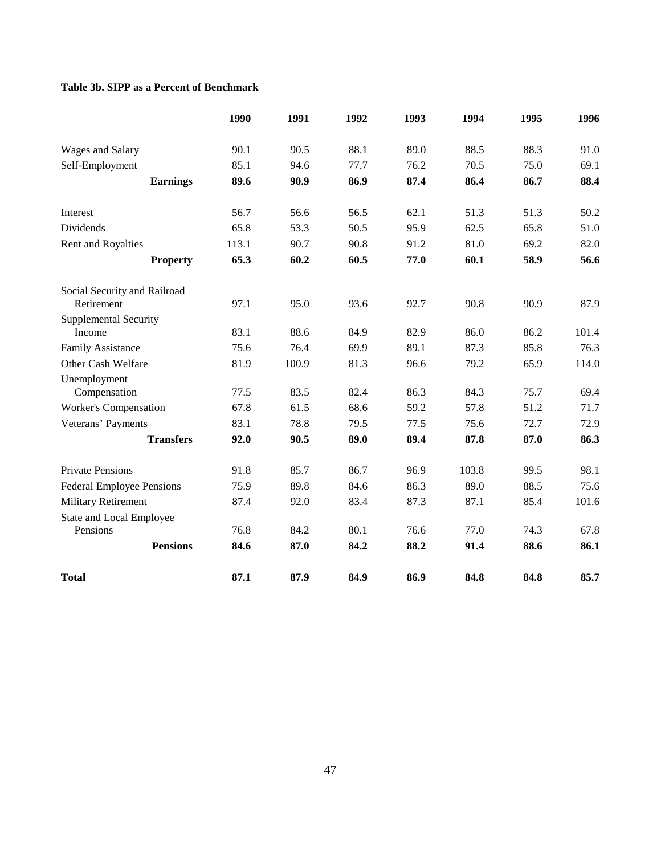## **Table 3b. SIPP as a Percent of Benchmark**

|                                  | 1990  | 1991  | 1992 | 1993 | 1994  | 1995 | 1996  |
|----------------------------------|-------|-------|------|------|-------|------|-------|
| Wages and Salary                 | 90.1  | 90.5  | 88.1 | 89.0 | 88.5  | 88.3 | 91.0  |
| Self-Employment                  | 85.1  | 94.6  | 77.7 | 76.2 | 70.5  | 75.0 | 69.1  |
| <b>Earnings</b>                  | 89.6  | 90.9  | 86.9 | 87.4 | 86.4  | 86.7 | 88.4  |
| Interest                         | 56.7  | 56.6  | 56.5 | 62.1 | 51.3  | 51.3 | 50.2  |
| <b>Dividends</b>                 | 65.8  | 53.3  | 50.5 | 95.9 | 62.5  | 65.8 | 51.0  |
| Rent and Royalties               | 113.1 | 90.7  | 90.8 | 91.2 | 81.0  | 69.2 | 82.0  |
| <b>Property</b>                  | 65.3  | 60.2  | 60.5 | 77.0 | 60.1  | 58.9 | 56.6  |
| Social Security and Railroad     |       |       |      |      |       |      |       |
| Retirement                       | 97.1  | 95.0  | 93.6 | 92.7 | 90.8  | 90.9 | 87.9  |
| <b>Supplemental Security</b>     |       |       |      |      |       |      |       |
| Income                           | 83.1  | 88.6  | 84.9 | 82.9 | 86.0  | 86.2 | 101.4 |
| <b>Family Assistance</b>         | 75.6  | 76.4  | 69.9 | 89.1 | 87.3  | 85.8 | 76.3  |
| Other Cash Welfare               | 81.9  | 100.9 | 81.3 | 96.6 | 79.2  | 65.9 | 114.0 |
| Unemployment                     |       |       |      |      |       |      |       |
| Compensation                     | 77.5  | 83.5  | 82.4 | 86.3 | 84.3  | 75.7 | 69.4  |
| <b>Worker's Compensation</b>     | 67.8  | 61.5  | 68.6 | 59.2 | 57.8  | 51.2 | 71.7  |
| Veterans' Payments               | 83.1  | 78.8  | 79.5 | 77.5 | 75.6  | 72.7 | 72.9  |
| <b>Transfers</b>                 | 92.0  | 90.5  | 89.0 | 89.4 | 87.8  | 87.0 | 86.3  |
| <b>Private Pensions</b>          | 91.8  | 85.7  | 86.7 | 96.9 | 103.8 | 99.5 | 98.1  |
| <b>Federal Employee Pensions</b> | 75.9  | 89.8  | 84.6 | 86.3 | 89.0  | 88.5 | 75.6  |
| <b>Military Retirement</b>       | 87.4  | 92.0  | 83.4 | 87.3 | 87.1  | 85.4 | 101.6 |
| <b>State and Local Employee</b>  |       |       |      |      |       |      |       |
| Pensions                         | 76.8  | 84.2  | 80.1 | 76.6 | 77.0  | 74.3 | 67.8  |
| <b>Pensions</b>                  | 84.6  | 87.0  | 84.2 | 88.2 | 91.4  | 88.6 | 86.1  |
| <b>Total</b>                     | 87.1  | 87.9  | 84.9 | 86.9 | 84.8  | 84.8 | 85.7  |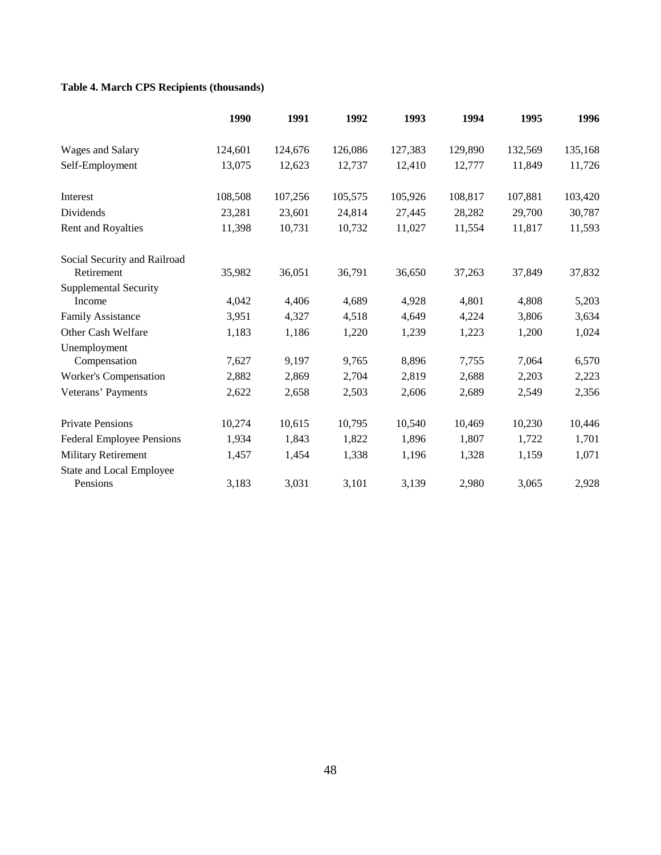# **Table 4. March CPS Recipients (thousands)**

|                                        | 1990    | 1991    | 1992    | 1993    | 1994    | 1995    | 1996    |
|----------------------------------------|---------|---------|---------|---------|---------|---------|---------|
| Wages and Salary                       | 124,601 | 124,676 | 126,086 | 127,383 | 129,890 | 132,569 | 135,168 |
| Self-Employment                        | 13,075  | 12,623  | 12,737  | 12,410  | 12,777  | 11,849  | 11,726  |
| Interest                               | 108,508 | 107,256 | 105,575 | 105,926 | 108,817 | 107,881 | 103,420 |
| Dividends                              | 23,281  | 23,601  | 24,814  | 27,445  | 28,282  | 29,700  | 30,787  |
| Rent and Royalties                     | 11,398  | 10,731  | 10,732  | 11,027  | 11,554  | 11,817  | 11,593  |
| Social Security and Railroad           |         |         |         |         |         |         |         |
| Retirement                             | 35,982  | 36,051  | 36,791  | 36,650  | 37,263  | 37,849  | 37,832  |
| <b>Supplemental Security</b><br>Income | 4,042   | 4,406   | 4,689   | 4,928   | 4,801   | 4,808   | 5,203   |
| <b>Family Assistance</b>               | 3,951   | 4,327   | 4,518   | 4,649   | 4,224   | 3,806   | 3,634   |
| Other Cash Welfare                     | 1,183   | 1,186   | 1,220   | 1,239   | 1,223   | 1,200   | 1,024   |
| Unemployment                           |         |         |         |         |         |         |         |
| Compensation                           | 7,627   | 9,197   | 9,765   | 8,896   | 7,755   | 7,064   | 6,570   |
| Worker's Compensation                  | 2,882   | 2,869   | 2,704   | 2,819   | 2,688   | 2,203   | 2,223   |
| Veterans' Payments                     | 2,622   | 2,658   | 2,503   | 2,606   | 2,689   | 2,549   | 2,356   |
| <b>Private Pensions</b>                | 10,274  | 10,615  | 10,795  | 10,540  | 10,469  | 10,230  | 10,446  |
| <b>Federal Employee Pensions</b>       | 1,934   | 1,843   | 1,822   | 1,896   | 1,807   | 1,722   | 1,701   |
| <b>Military Retirement</b>             | 1,457   | 1,454   | 1,338   | 1,196   | 1,328   | 1,159   | 1,071   |
| State and Local Employee<br>Pensions   | 3,183   | 3,031   | 3,101   | 3,139   | 2,980   | 3,065   | 2,928   |
|                                        |         |         |         |         |         |         |         |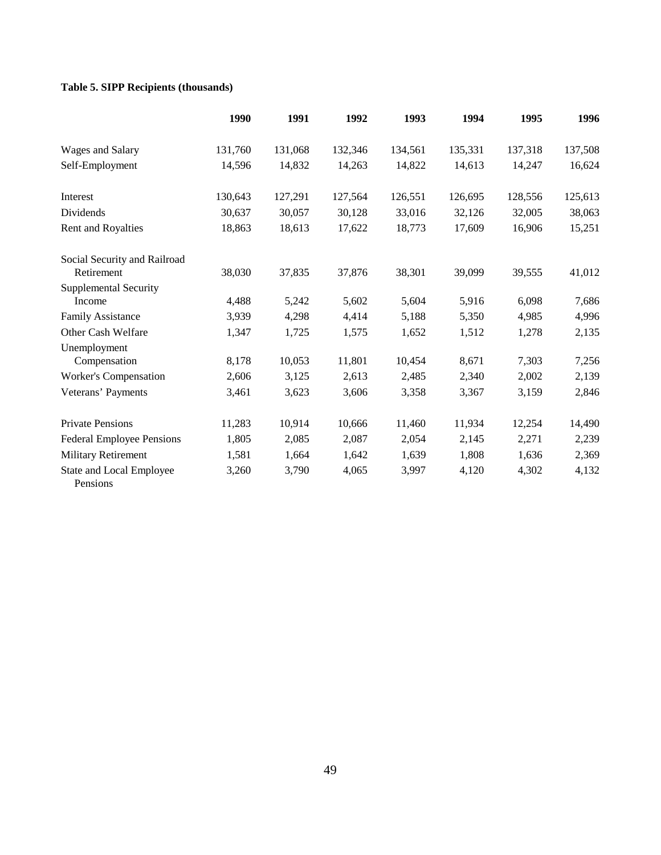# **Table 5. SIPP Recipients (thousands)**

|                                            | 1990    | 1991    | 1992    | 1993    | 1994    | 1995    | 1996    |
|--------------------------------------------|---------|---------|---------|---------|---------|---------|---------|
| Wages and Salary                           | 131,760 | 131,068 | 132,346 | 134,561 | 135,331 | 137,318 | 137,508 |
| Self-Employment                            | 14,596  | 14,832  | 14,263  | 14,822  | 14,613  | 14,247  | 16,624  |
| Interest                                   | 130,643 | 127,291 | 127,564 | 126,551 | 126,695 | 128,556 | 125,613 |
| Dividends                                  | 30,637  | 30,057  | 30,128  | 33,016  | 32,126  | 32,005  | 38,063  |
| Rent and Royalties                         | 18,863  | 18,613  | 17,622  | 18,773  | 17,609  | 16,906  | 15,251  |
| Social Security and Railroad<br>Retirement | 38,030  | 37,835  | 37,876  | 38,301  | 39,099  | 39,555  | 41,012  |
| <b>Supplemental Security</b><br>Income     | 4,488   | 5,242   | 5,602   | 5,604   | 5,916   | 6,098   | 7,686   |
| <b>Family Assistance</b>                   | 3,939   | 4,298   | 4,414   | 5,188   | 5,350   | 4,985   | 4,996   |
| Other Cash Welfare                         | 1,347   | 1,725   | 1,575   | 1,652   | 1,512   | 1,278   | 2,135   |
| Unemployment<br>Compensation               | 8,178   | 10,053  | 11,801  | 10,454  | 8,671   | 7,303   | 7,256   |
| Worker's Compensation                      | 2,606   | 3,125   | 2,613   | 2,485   | 2,340   | 2,002   | 2,139   |
| Veterans' Payments                         | 3,461   | 3,623   | 3,606   | 3,358   | 3,367   | 3,159   | 2,846   |
| <b>Private Pensions</b>                    | 11,283  | 10,914  | 10,666  | 11,460  | 11,934  | 12,254  | 14,490  |
| <b>Federal Employee Pensions</b>           | 1,805   | 2,085   | 2,087   | 2,054   | 2,145   | 2,271   | 2,239   |
| <b>Military Retirement</b>                 | 1,581   | 1,664   | 1,642   | 1,639   | 1,808   | 1,636   | 2,369   |
| State and Local Employee<br>Pensions       | 3,260   | 3,790   | 4,065   | 3,997   | 4,120   | 4,302   | 4,132   |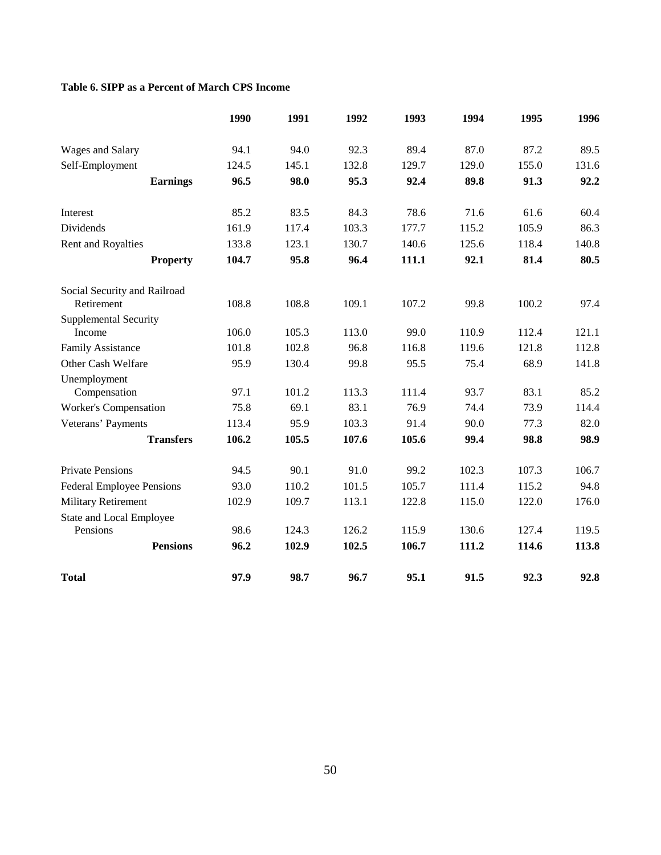## **Table 6. SIPP as a Percent of March CPS Income**

|                                            | 1990  | 1991  | 1992  | 1993  | 1994  | 1995  | 1996  |
|--------------------------------------------|-------|-------|-------|-------|-------|-------|-------|
| Wages and Salary                           | 94.1  | 94.0  | 92.3  | 89.4  | 87.0  | 87.2  | 89.5  |
| Self-Employment                            | 124.5 | 145.1 | 132.8 | 129.7 | 129.0 | 155.0 | 131.6 |
| <b>Earnings</b>                            | 96.5  | 98.0  | 95.3  | 92.4  | 89.8  | 91.3  | 92.2  |
| Interest                                   | 85.2  | 83.5  | 84.3  | 78.6  | 71.6  | 61.6  | 60.4  |
| Dividends                                  | 161.9 | 117.4 | 103.3 | 177.7 | 115.2 | 105.9 | 86.3  |
| Rent and Royalties                         | 133.8 | 123.1 | 130.7 | 140.6 | 125.6 | 118.4 | 140.8 |
| <b>Property</b>                            | 104.7 | 95.8  | 96.4  | 111.1 | 92.1  | 81.4  | 80.5  |
| Social Security and Railroad<br>Retirement | 108.8 | 108.8 | 109.1 | 107.2 | 99.8  | 100.2 | 97.4  |
| <b>Supplemental Security</b>               |       |       |       |       |       |       |       |
| Income                                     | 106.0 | 105.3 | 113.0 | 99.0  | 110.9 | 112.4 | 121.1 |
| <b>Family Assistance</b>                   | 101.8 | 102.8 | 96.8  | 116.8 | 119.6 | 121.8 | 112.8 |
| Other Cash Welfare                         | 95.9  | 130.4 | 99.8  | 95.5  | 75.4  | 68.9  | 141.8 |
| Unemployment                               |       |       |       |       |       |       |       |
| Compensation                               | 97.1  | 101.2 | 113.3 | 111.4 | 93.7  | 83.1  | 85.2  |
| <b>Worker's Compensation</b>               | 75.8  | 69.1  | 83.1  | 76.9  | 74.4  | 73.9  | 114.4 |
| Veterans' Payments                         | 113.4 | 95.9  | 103.3 | 91.4  | 90.0  | 77.3  | 82.0  |
| <b>Transfers</b>                           | 106.2 | 105.5 | 107.6 | 105.6 | 99.4  | 98.8  | 98.9  |
| <b>Private Pensions</b>                    | 94.5  | 90.1  | 91.0  | 99.2  | 102.3 | 107.3 | 106.7 |
| <b>Federal Employee Pensions</b>           | 93.0  | 110.2 | 101.5 | 105.7 | 111.4 | 115.2 | 94.8  |
| <b>Military Retirement</b>                 | 102.9 | 109.7 | 113.1 | 122.8 | 115.0 | 122.0 | 176.0 |
| State and Local Employee                   |       |       |       |       |       |       |       |
| Pensions                                   | 98.6  | 124.3 | 126.2 | 115.9 | 130.6 | 127.4 | 119.5 |
| <b>Pensions</b>                            | 96.2  | 102.9 | 102.5 | 106.7 | 111.2 | 114.6 | 113.8 |
| <b>Total</b>                               | 97.9  | 98.7  | 96.7  | 95.1  | 91.5  | 92.3  | 92.8  |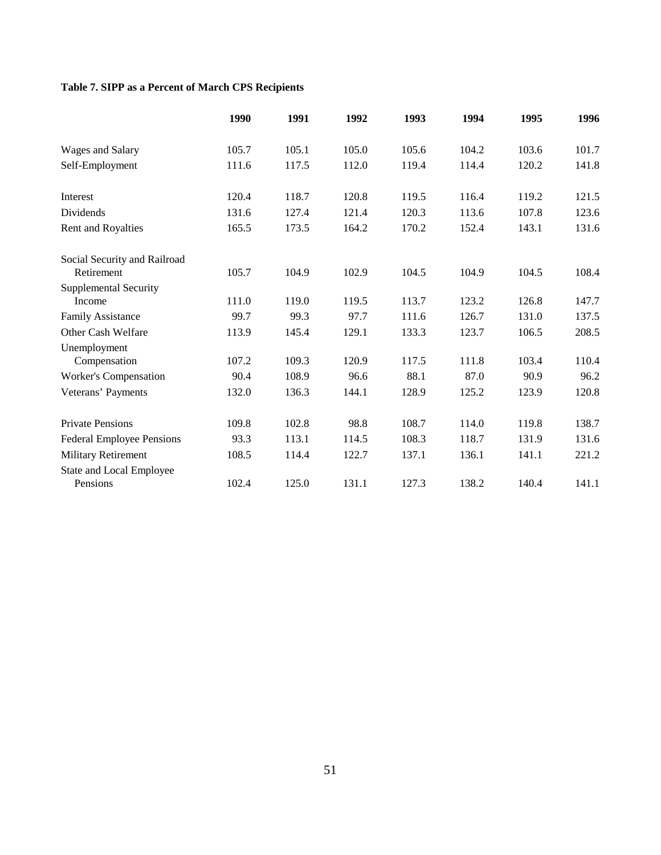# **Table 7. SIPP as a Percent of March CPS Recipients**

|                                  | 1990  | 1991  | 1992  | 1993  | 1994  | 1995  | 1996  |
|----------------------------------|-------|-------|-------|-------|-------|-------|-------|
| Wages and Salary                 | 105.7 | 105.1 | 105.0 | 105.6 | 104.2 | 103.6 | 101.7 |
| Self-Employment                  | 111.6 | 117.5 | 112.0 | 119.4 | 114.4 | 120.2 | 141.8 |
| <b>Interest</b>                  | 120.4 | 118.7 | 120.8 | 119.5 | 116.4 | 119.2 | 121.5 |
| Dividends                        | 131.6 | 127.4 | 121.4 | 120.3 | 113.6 | 107.8 | 123.6 |
| Rent and Royalties               | 165.5 | 173.5 | 164.2 | 170.2 | 152.4 | 143.1 | 131.6 |
| Social Security and Railroad     |       |       |       |       |       |       |       |
| Retirement                       | 105.7 | 104.9 | 102.9 | 104.5 | 104.9 | 104.5 | 108.4 |
| <b>Supplemental Security</b>     |       |       |       |       |       |       |       |
| Income                           | 111.0 | 119.0 | 119.5 | 113.7 | 123.2 | 126.8 | 147.7 |
| <b>Family Assistance</b>         | 99.7  | 99.3  | 97.7  | 111.6 | 126.7 | 131.0 | 137.5 |
| Other Cash Welfare               | 113.9 | 145.4 | 129.1 | 133.3 | 123.7 | 106.5 | 208.5 |
| Unemployment                     |       |       |       |       |       |       |       |
| Compensation                     | 107.2 | 109.3 | 120.9 | 117.5 | 111.8 | 103.4 | 110.4 |
| Worker's Compensation            | 90.4  | 108.9 | 96.6  | 88.1  | 87.0  | 90.9  | 96.2  |
| Veterans' Payments               | 132.0 | 136.3 | 144.1 | 128.9 | 125.2 | 123.9 | 120.8 |
| <b>Private Pensions</b>          | 109.8 | 102.8 | 98.8  | 108.7 | 114.0 | 119.8 | 138.7 |
| <b>Federal Employee Pensions</b> | 93.3  | 113.1 | 114.5 | 108.3 | 118.7 | 131.9 | 131.6 |
| <b>Military Retirement</b>       | 108.5 | 114.4 | 122.7 | 137.1 | 136.1 | 141.1 | 221.2 |
| State and Local Employee         |       |       |       |       |       |       |       |
| Pensions                         | 102.4 | 125.0 | 131.1 | 127.3 | 138.2 | 140.4 | 141.1 |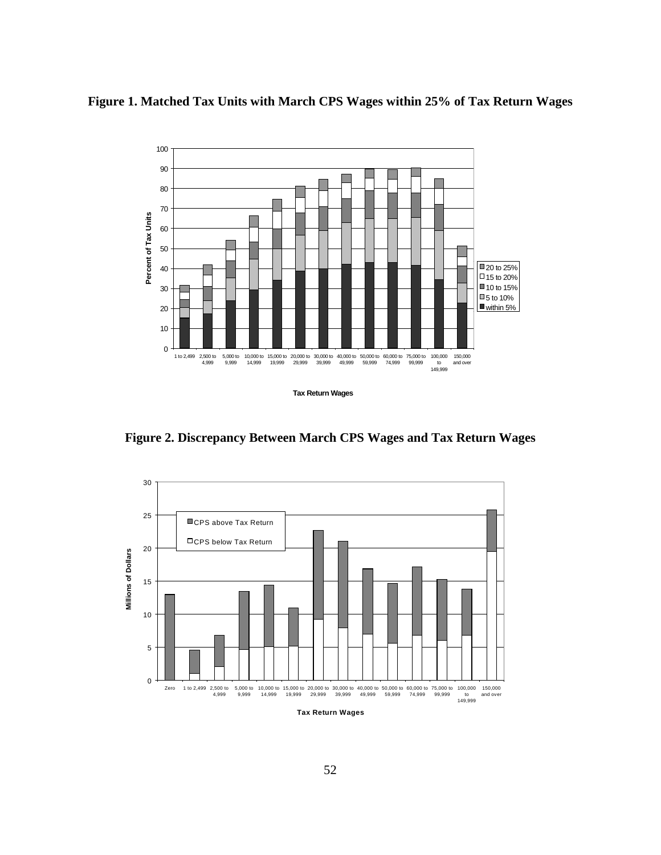



**Figure 2. Discrepancy Between March CPS Wages and Tax Return Wages**

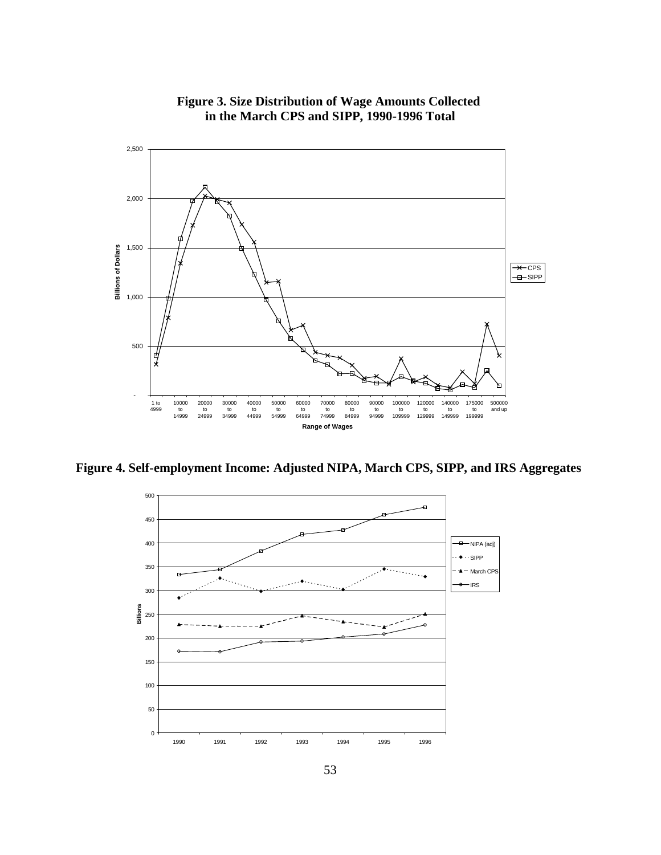

**Figure 3. Size Distribution of Wage Amounts Collected in the March CPS and SIPP, 1990-1996 Total**

**Figure 4. Self-employment Income: Adjusted NIPA, March CPS, SIPP, and IRS Aggregates**

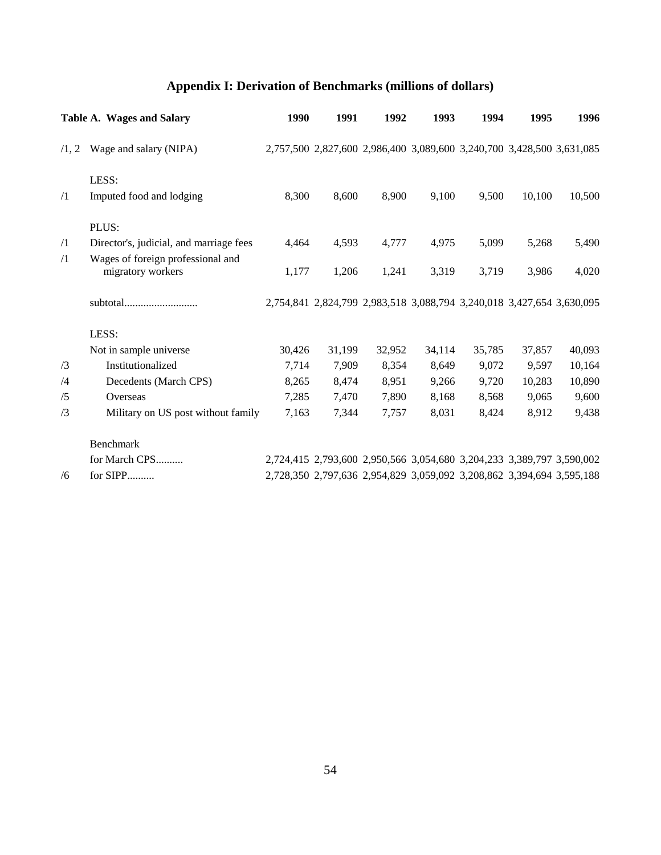# **Appendix I: Derivation of Benchmarks (millions of dollars)**

|            | Table A. Wages and Salary                              | 1990   | 1991   | 1992   | 1993   | 1994                                                                  | 1995   | 1996   |
|------------|--------------------------------------------------------|--------|--------|--------|--------|-----------------------------------------------------------------------|--------|--------|
| /1, 2      | Wage and salary (NIPA)                                 |        |        |        |        | 2,757,500 2,827,600 2,986,400 3,089,600 3,240,700 3,428,500 3,631,085 |        |        |
|            | LESS:                                                  |        |        |        |        |                                                                       |        |        |
| $\sqrt{1}$ | Imputed food and lodging                               | 8,300  | 8,600  | 8,900  | 9,100  | 9,500                                                                 | 10,100 | 10,500 |
|            | PLUS:                                                  |        |        |        |        |                                                                       |        |        |
| $\sqrt{1}$ | Director's, judicial, and marriage fees                | 4,464  | 4,593  | 4,777  | 4,975  | 5,099                                                                 | 5,268  | 5,490  |
| $\sqrt{1}$ | Wages of foreign professional and<br>migratory workers | 1,177  | 1,206  | 1,241  | 3,319  | 3,719                                                                 | 3,986  | 4,020  |
|            |                                                        |        |        |        |        | 2,754,841 2,824,799 2,983,518 3,088,794 3,240,018 3,427,654 3,630,095 |        |        |
|            | LESS:                                                  |        |        |        |        |                                                                       |        |        |
|            | Not in sample universe                                 | 30,426 | 31,199 | 32,952 | 34,114 | 35,785                                                                | 37,857 | 40,093 |
| /3         | Institutionalized                                      | 7,714  | 7,909  | 8,354  | 8,649  | 9,072                                                                 | 9,597  | 10,164 |
| /4         | Decedents (March CPS)                                  | 8,265  | 8,474  | 8,951  | 9,266  | 9,720                                                                 | 10,283 | 10,890 |
| /5         | Overseas                                               | 7,285  | 7,470  | 7,890  | 8,168  | 8,568                                                                 | 9,065  | 9,600  |
| /3         | Military on US post without family                     | 7,163  | 7,344  | 7,757  | 8,031  | 8,424                                                                 | 8,912  | 9,438  |
|            | Benchmark                                              |        |        |        |        |                                                                       |        |        |
|            | for March CPS                                          |        |        |        |        | 2,724,415 2,793,600 2,950,566 3,054,680 3,204,233 3,389,797 3,590,002 |        |        |
| /6         | for SIPP                                               |        |        |        |        | 2,728,350 2,797,636 2,954,829 3,059,092 3,208,862 3,394,694 3,595,188 |        |        |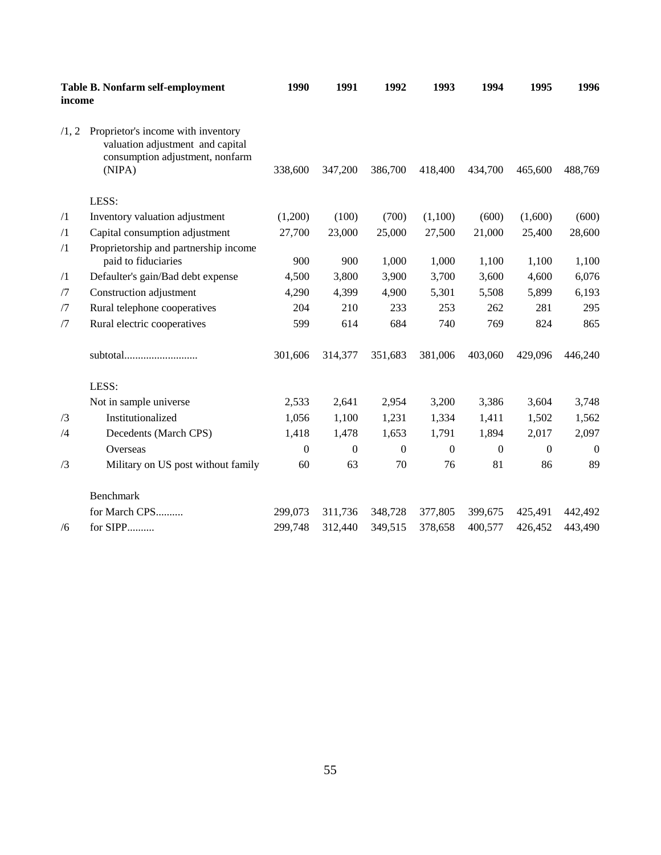| income     | Table B. Nonfarm self-employment                                                                                    | 1990         | 1991     | 1992           | 1993           | 1994     | 1995           | 1996     |
|------------|---------------------------------------------------------------------------------------------------------------------|--------------|----------|----------------|----------------|----------|----------------|----------|
| /1, 2      | Proprietor's income with inventory<br>valuation adjustment and capital<br>consumption adjustment, nonfarm<br>(NIPA) | 338,600      | 347,200  | 386,700        | 418,400        | 434,700  | 465,600        | 488,769  |
|            | LESS:                                                                                                               |              |          |                |                |          |                |          |
| $\sqrt{1}$ | Inventory valuation adjustment                                                                                      | (1,200)      | (100)    | (700)          | (1,100)        | (600)    | (1,600)        | (600)    |
| $\sqrt{1}$ | Capital consumption adjustment                                                                                      | 27,700       | 23,000   | 25,000         | 27,500         | 21,000   | 25,400         | 28,600   |
| $\sqrt{1}$ | Proprietorship and partnership income<br>paid to fiduciaries                                                        | 900          | 900      | 1,000          | 1,000          | 1,100    | 1,100          | 1,100    |
| $\sqrt{1}$ | Defaulter's gain/Bad debt expense                                                                                   | 4,500        | 3,800    | 3,900          | 3,700          | 3,600    | 4,600          | 6,076    |
| /7         | Construction adjustment                                                                                             | 4,290        | 4,399    | 4,900          | 5,301          | 5,508    | 5,899          | 6,193    |
| /7         | Rural telephone cooperatives                                                                                        | 204          | 210      | 233            | 253            | 262      | 281            | 295      |
| /7         | Rural electric cooperatives                                                                                         | 599          | 614      | 684            | 740            | 769      | 824            | 865      |
|            | subtotal                                                                                                            | 301,606      | 314,377  | 351,683        | 381,006        | 403,060  | 429,096        | 446,240  |
|            | LESS:                                                                                                               |              |          |                |                |          |                |          |
|            | Not in sample universe                                                                                              | 2,533        | 2,641    | 2,954          | 3,200          | 3,386    | 3,604          | 3,748    |
| /3         | Institutionalized                                                                                                   | 1,056        | 1,100    | 1,231          | 1,334          | 1,411    | 1,502          | 1,562    |
| /4         | Decedents (March CPS)                                                                                               | 1,418        | 1,478    | 1,653          | 1,791          | 1,894    | 2,017          | 2,097    |
|            | Overseas                                                                                                            | $\mathbf{0}$ | $\Omega$ | $\overline{0}$ | $\overline{0}$ | $\theta$ | $\overline{0}$ | $\Omega$ |
| /3         | Military on US post without family                                                                                  | 60           | 63       | 70             | 76             | 81       | 86             | 89       |
|            | Benchmark                                                                                                           |              |          |                |                |          |                |          |
|            | for March CPS                                                                                                       | 299,073      | 311,736  | 348,728        | 377,805        | 399,675  | 425,491        | 442,492  |
| /6         | for SIPP                                                                                                            | 299,748      | 312,440  | 349,515        | 378,658        | 400,577  | 426,452        | 443,490  |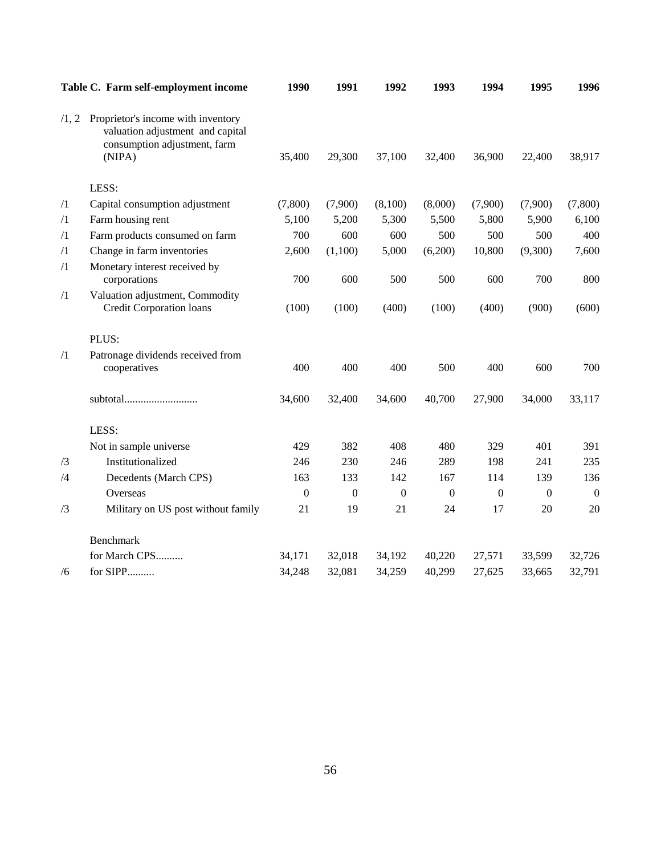|            | Table C. Farm self-employment income                                                                             | 1990             | 1991     | 1992             | 1993             | 1994             | 1995             | 1996             |
|------------|------------------------------------------------------------------------------------------------------------------|------------------|----------|------------------|------------------|------------------|------------------|------------------|
| /1, 2      | Proprietor's income with inventory<br>valuation adjustment and capital<br>consumption adjustment, farm<br>(NIPA) | 35,400           | 29,300   | 37,100           | 32,400           | 36,900           | 22,400           | 38,917           |
|            | LESS:                                                                                                            |                  |          |                  |                  |                  |                  |                  |
| $\sqrt{1}$ | Capital consumption adjustment                                                                                   | (7,800)          | (7,900)  | (8,100)          | (8,000)          | (7,900)          | (7,900)          | (7,800)          |
| $\sqrt{1}$ | Farm housing rent                                                                                                | 5,100            | 5,200    | 5,300            | 5,500            | 5,800            | 5,900            | 6,100            |
| $\sqrt{1}$ | Farm products consumed on farm                                                                                   | 700              | 600      | 600              | 500              | 500              | 500              | 400              |
| $\sqrt{1}$ | Change in farm inventories                                                                                       | 2,600            | (1,100)  | 5,000            | (6,200)          | 10,800           | (9,300)          | 7,600            |
| $\sqrt{1}$ | Monetary interest received by<br>corporations                                                                    | 700              | 600      | 500              | 500              | 600              | 700              | 800              |
| $\sqrt{1}$ | Valuation adjustment, Commodity<br><b>Credit Corporation loans</b>                                               | (100)            | (100)    | (400)            | (100)            | (400)            | (900)            | (600)            |
|            | PLUS:                                                                                                            |                  |          |                  |                  |                  |                  |                  |
| $\sqrt{1}$ | Patronage dividends received from<br>cooperatives                                                                | 400              | 400      | 400              | 500              | 400              | 600              | 700              |
|            | subtotal                                                                                                         | 34,600           | 32,400   | 34,600           | 40,700           | 27,900           | 34,000           | 33,117           |
|            | LESS:                                                                                                            |                  |          |                  |                  |                  |                  |                  |
|            | Not in sample universe                                                                                           | 429              | 382      | 408              | 480              | 329              | 401              | 391              |
| /3         | Institutionalized                                                                                                | 246              | 230      | 246              | 289              | 198              | 241              | 235              |
| /4         | Decedents (March CPS)                                                                                            | 163              | 133      | 142              | 167              | 114              | 139              | 136              |
|            | Overseas                                                                                                         | $\boldsymbol{0}$ | $\Omega$ | $\boldsymbol{0}$ | $\boldsymbol{0}$ | $\boldsymbol{0}$ | $\boldsymbol{0}$ | $\boldsymbol{0}$ |
| /3         | Military on US post without family                                                                               | 21               | 19       | 21               | 24               | 17               | 20               | 20               |
|            | Benchmark                                                                                                        |                  |          |                  |                  |                  |                  |                  |
|            | for March CPS                                                                                                    | 34,171           | 32,018   | 34,192           | 40,220           | 27,571           | 33,599           | 32,726           |
| /6         | for SIPP                                                                                                         | 34,248           | 32,081   | 34,259           | 40,299           | 27,625           | 33,665           | 32,791           |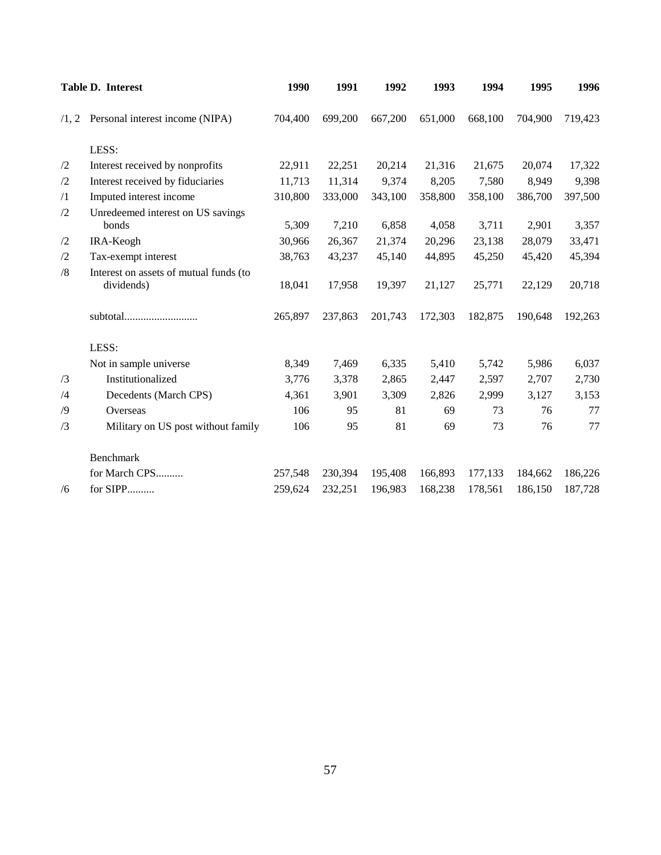|            | Table D. Interest                                    | 1990    | 1991    | 1992    | 1993    | 1994    | 1995    | 1996    |
|------------|------------------------------------------------------|---------|---------|---------|---------|---------|---------|---------|
|            | $/1, 2$ Personal interest income (NIPA)              | 704,400 | 699,200 | 667,200 | 651,000 | 668,100 | 704,900 | 719,423 |
|            | LESS:                                                |         |         |         |         |         |         |         |
| /2         | Interest received by nonprofits                      | 22,911  | 22,251  | 20,214  | 21,316  | 21,675  | 20,074  | 17,322  |
| /2         | Interest received by fiduciaries                     | 11,713  | 11,314  | 9,374   | 8,205   | 7,580   | 8,949   | 9,398   |
| $\sqrt{1}$ | Imputed interest income                              | 310,800 | 333,000 | 343,100 | 358,800 | 358,100 | 386,700 | 397,500 |
| /2         | Unredeemed interest on US savings<br>bonds           | 5,309   | 7,210   | 6,858   | 4,058   | 3,711   | 2,901   | 3,357   |
| /2         | IRA-Keogh                                            | 30,966  | 26,367  | 21,374  | 20,296  | 23,138  | 28,079  | 33,471  |
| /2         | Tax-exempt interest                                  | 38,763  | 43,237  | 45,140  | 44,895  | 45,250  | 45,420  | 45,394  |
| /8         | Interest on assets of mutual funds (to<br>dividends) | 18,041  | 17,958  | 19,397  | 21,127  | 25,771  | 22,129  | 20,718  |
|            | subtotal                                             | 265,897 | 237,863 | 201,743 | 172,303 | 182,875 | 190,648 | 192,263 |
|            | LESS:                                                |         |         |         |         |         |         |         |
|            | Not in sample universe                               | 8,349   | 7,469   | 6,335   | 5,410   | 5,742   | 5,986   | 6,037   |
| /3         | Institutionalized                                    | 3,776   | 3,378   | 2,865   | 2,447   | 2,597   | 2,707   | 2,730   |
| /4         | Decedents (March CPS)                                | 4,361   | 3,901   | 3,309   | 2,826   | 2,999   | 3,127   | 3,153   |
| /9         | Overseas                                             | 106     | 95      | 81      | 69      | 73      | 76      | 77      |
| /3         | Military on US post without family                   | 106     | 95      | 81      | 69      | 73      | 76      | 77      |
|            | <b>Benchmark</b>                                     |         |         |         |         |         |         |         |
|            | for March CPS                                        | 257,548 | 230,394 | 195,408 | 166,893 | 177,133 | 184,662 | 186,226 |
| /6         | for SIPP                                             | 259,624 | 232,251 | 196,983 | 168,238 | 178,561 | 186,150 | 187,728 |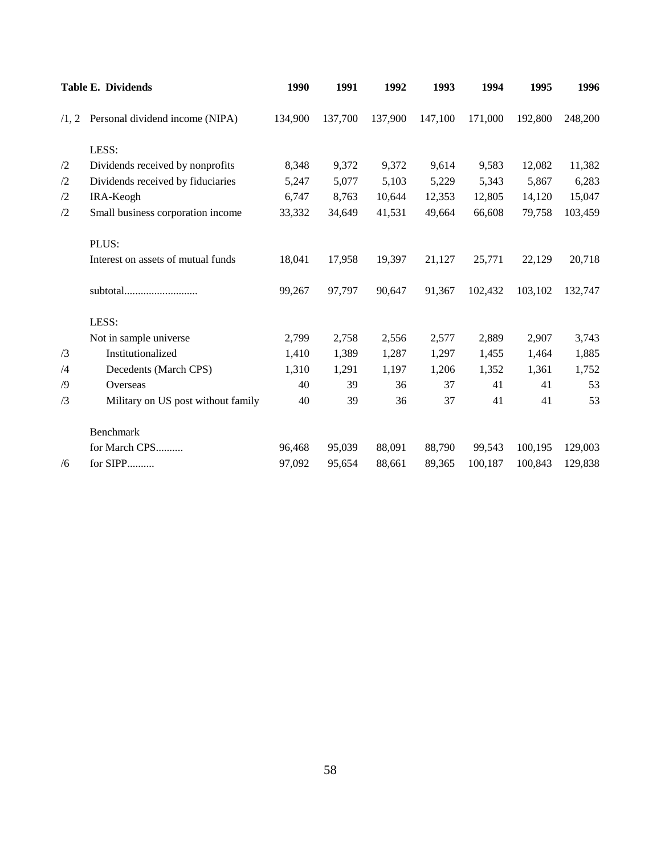|    | <b>Table E. Dividends</b>               | 1990    | 1991    | 1992    | 1993    | 1994    | 1995    | 1996    |
|----|-----------------------------------------|---------|---------|---------|---------|---------|---------|---------|
|    | $/1, 2$ Personal dividend income (NIPA) | 134,900 | 137,700 | 137,900 | 147,100 | 171,000 | 192,800 | 248,200 |
|    | LESS:                                   |         |         |         |         |         |         |         |
| /2 | Dividends received by nonprofits        | 8,348   | 9,372   | 9,372   | 9,614   | 9,583   | 12,082  | 11,382  |
| /2 | Dividends received by fiduciaries       | 5,247   | 5,077   | 5,103   | 5,229   | 5,343   | 5,867   | 6,283   |
| /2 | IRA-Keogh                               | 6,747   | 8,763   | 10,644  | 12,353  | 12,805  | 14,120  | 15,047  |
| /2 | Small business corporation income       | 33,332  | 34,649  | 41,531  | 49,664  | 66,608  | 79,758  | 103,459 |
|    | PLUS:                                   |         |         |         |         |         |         |         |
|    | Interest on assets of mutual funds      | 18,041  | 17,958  | 19,397  | 21,127  | 25,771  | 22,129  | 20,718  |
|    |                                         | 99,267  | 97,797  | 90,647  | 91,367  | 102,432 | 103,102 | 132,747 |
|    | LESS:                                   |         |         |         |         |         |         |         |
|    | Not in sample universe                  | 2,799   | 2,758   | 2,556   | 2,577   | 2,889   | 2,907   | 3,743   |
| /3 | Institutionalized                       | 1,410   | 1,389   | 1,287   | 1,297   | 1,455   | 1,464   | 1,885   |
| /4 | Decedents (March CPS)                   | 1,310   | 1,291   | 1,197   | 1,206   | 1,352   | 1,361   | 1,752   |
| /9 | Overseas                                | 40      | 39      | 36      | 37      | 41      | 41      | 53      |
| /3 | Military on US post without family      | 40      | 39      | 36      | 37      | 41      | 41      | 53      |
|    | <b>Benchmark</b>                        |         |         |         |         |         |         |         |
|    | for March CPS                           | 96,468  | 95,039  | 88,091  | 88,790  | 99,543  | 100,195 | 129,003 |
| /6 | for SIPP                                | 97,092  | 95,654  | 88,661  | 89,365  | 100,187 | 100,843 | 129,838 |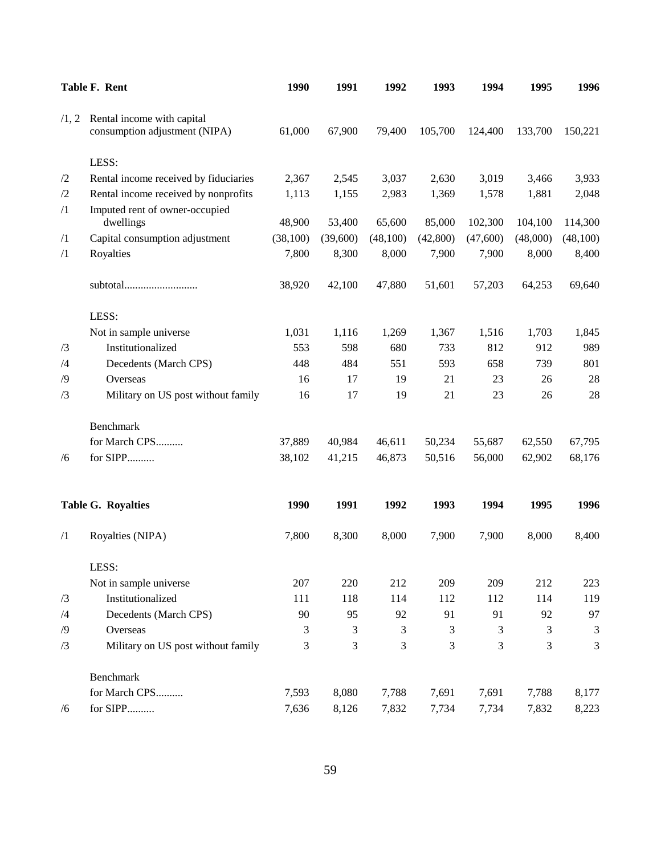|            | Table F. Rent                         | 1990      | 1991     | 1992     | 1993      | 1994     | 1995     | 1996     |
|------------|---------------------------------------|-----------|----------|----------|-----------|----------|----------|----------|
| /1, 2      | Rental income with capital            |           |          |          |           |          |          |          |
|            | consumption adjustment (NIPA)         | 61,000    | 67,900   | 79,400   | 105,700   | 124,400  | 133,700  | 150,221  |
|            | LESS:                                 |           |          |          |           |          |          |          |
| $\sqrt{2}$ | Rental income received by fiduciaries | 2,367     | 2,545    | 3,037    | 2,630     | 3,019    | 3,466    | 3,933    |
| /2         | Rental income received by nonprofits  | 1,113     | 1,155    | 2,983    | 1,369     | 1,578    | 1,881    | 2,048    |
| $\sqrt{1}$ | Imputed rent of owner-occupied        |           |          |          |           |          |          |          |
|            | dwellings                             | 48,900    | 53,400   | 65,600   | 85,000    | 102,300  | 104,100  | 114,300  |
| $\sqrt{1}$ | Capital consumption adjustment        | (38, 100) | (39,600) | (48,100) | (42, 800) | (47,600) | (48,000) | (48,100) |
| $\sqrt{1}$ | Royalties                             | 7,800     | 8,300    | 8,000    | 7,900     | 7,900    | 8,000    | 8,400    |
|            | subtotal                              | 38,920    | 42,100   | 47,880   | 51,601    | 57,203   | 64,253   | 69,640   |
|            | LESS:                                 |           |          |          |           |          |          |          |
|            | Not in sample universe                | 1,031     | 1,116    | 1,269    | 1,367     | 1,516    | 1,703    | 1,845    |
| /3         | Institutionalized                     | 553       | 598      | 680      | 733       | 812      | 912      | 989      |
| /4         | Decedents (March CPS)                 | 448       | 484      | 551      | 593       | 658      | 739      | 801      |
| /9         | Overseas                              | 16        | 17       | 19       | 21        | 23       | 26       | 28       |
| /3         | Military on US post without family    | 16        | 17       | 19       | 21        | 23       | 26       | 28       |
|            | Benchmark                             |           |          |          |           |          |          |          |
|            | for March CPS                         | 37,889    | 40,984   | 46,611   | 50,234    | 55,687   | 62,550   | 67,795   |
| /6         | for SIPP                              | 38,102    | 41,215   | 46,873   | 50,516    | 56,000   | 62,902   | 68,176   |
|            | <b>Table G. Royalties</b>             | 1990      | 1991     | 1992     | 1993      | 1994     | 1995     | 1996     |
| $\sqrt{1}$ | Royalties (NIPA)                      | 7,800     | 8,300    | 8,000    | 7,900     | 7,900    | 8,000    | 8,400    |
|            | LESS:                                 |           |          |          |           |          |          |          |
|            | Not in sample universe                | 207       | 220      | 212      | 209       | 209      | 212      | 223      |
| /3         | Institutionalized                     | 111       | 118      | 114      | 112       | 112      | 114      | 119      |
| /4         | Decedents (March CPS)                 | 90        | 95       | 92       | 91        | 91       | 92       | 97       |
| /9         | Overseas                              | 3         | 3        | 3        | 3         | 3        | 3        | 3        |
| /3         | Military on US post without family    | 3         | 3        | 3        | 3         | 3        | 3        | 3        |
|            | Benchmark                             |           |          |          |           |          |          |          |
|            | for March CPS                         | 7,593     | 8,080    | 7,788    | 7,691     | 7,691    | 7,788    | 8,177    |
| /6         | for SIPP                              | 7,636     | 8,126    | 7,832    | 7,734     | 7,734    | 7,832    | 8,223    |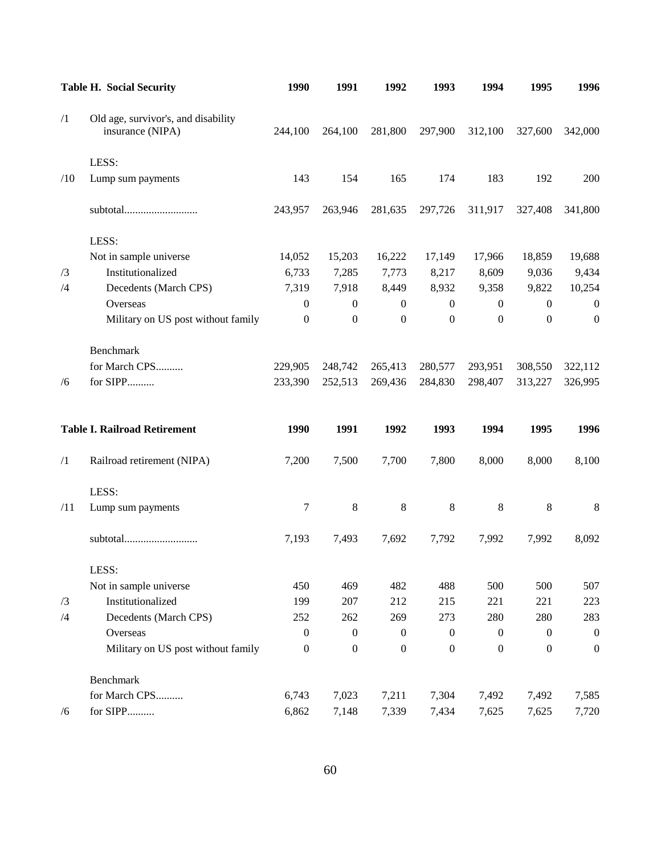|            | <b>Table H. Social Security</b>                         | 1990             | 1991             | 1992             | 1993             | 1994             | 1995             | 1996             |
|------------|---------------------------------------------------------|------------------|------------------|------------------|------------------|------------------|------------------|------------------|
| $\sqrt{1}$ | Old age, survivor's, and disability<br>insurance (NIPA) | 244,100          | 264,100          | 281,800          | 297,900          | 312,100          | 327,600          | 342,000          |
|            | LESS:                                                   |                  |                  |                  |                  |                  |                  |                  |
| /10        | Lump sum payments                                       | 143              | 154              | 165              | 174              | 183              | 192              | 200              |
|            | subtotal                                                | 243,957          | 263,946          | 281,635          | 297,726          | 311,917          | 327,408          | 341,800          |
|            | LESS:                                                   |                  |                  |                  |                  |                  |                  |                  |
|            | Not in sample universe                                  | 14,052           | 15,203           | 16,222           | 17,149           | 17,966           | 18,859           | 19,688           |
| /3         | Institutionalized                                       | 6,733            | 7,285            | 7,773            | 8,217            | 8,609            | 9,036            | 9,434            |
| /4         | Decedents (March CPS)                                   | 7,319            | 7,918            | 8,449            | 8,932            | 9,358            | 9,822            | 10,254           |
|            | Overseas                                                | $\boldsymbol{0}$ | $\mathbf{0}$     | $\overline{0}$   | $\boldsymbol{0}$ | $\boldsymbol{0}$ | $\overline{0}$   | $\mathbf{0}$     |
|            | Military on US post without family                      | $\boldsymbol{0}$ | $\overline{0}$   | $\boldsymbol{0}$ | $\boldsymbol{0}$ | $\mathbf{0}$     | $\mathbf{0}$     | $\mathbf{0}$     |
|            | Benchmark                                               |                  |                  |                  |                  |                  |                  |                  |
|            | for March CPS                                           | 229,905          | 248,742          | 265,413          | 280,577          | 293,951          | 308,550          | 322,112          |
| /6         | for SIPP                                                | 233,390          | 252,513          | 269,436          | 284,830          | 298,407          | 313,227          | 326,995          |
|            | <b>Table I. Railroad Retirement</b>                     | 1990             | 1991             | 1992             | 1993             | 1994             | 1995             | 1996             |
| $\sqrt{1}$ | Railroad retirement (NIPA)                              | 7,200            | 7,500            | 7,700            | 7,800            | 8,000            | 8,000            | 8,100            |
|            | LESS:                                                   |                  |                  |                  |                  |                  |                  |                  |
| /11        | Lump sum payments                                       | 7                | $8\phantom{1}$   | 8                | 8                | $\,8\,$          | 8                | 8                |
|            |                                                         | 7,193            | 7,493            | 7,692            | 7,792            | 7,992            | 7,992            | 8,092            |
|            | LESS:                                                   |                  |                  |                  |                  |                  |                  |                  |
|            | Not in sample universe                                  | 450              | 469              | 482              | 488              | 500              | 500              | 507              |
| /3         | Institutionalized                                       | 199              | 207              | 212              | 215              | 221              | 221              | 223              |
| /4         | Decedents (March CPS)                                   | 252              | 262              | 269              | 273              | 280              | 280              | 283              |
|            | Overseas                                                | $\mathbf{0}$     | $\boldsymbol{0}$ | $\boldsymbol{0}$ | $\boldsymbol{0}$ | $\mathbf{0}$     | $\boldsymbol{0}$ | $\boldsymbol{0}$ |
|            | Military on US post without family                      | $\boldsymbol{0}$ | $\boldsymbol{0}$ | $\boldsymbol{0}$ | $\boldsymbol{0}$ | $\boldsymbol{0}$ | $\boldsymbol{0}$ | $\boldsymbol{0}$ |
|            | Benchmark                                               |                  |                  |                  |                  |                  |                  |                  |
|            | for March CPS                                           | 6,743            | 7,023            | 7,211            | 7,304            | 7,492            | 7,492            | 7,585            |
| /6         | for SIPP                                                | 6,862            | 7,148            | 7,339            | 7,434            | 7,625            | 7,625            | 7,720            |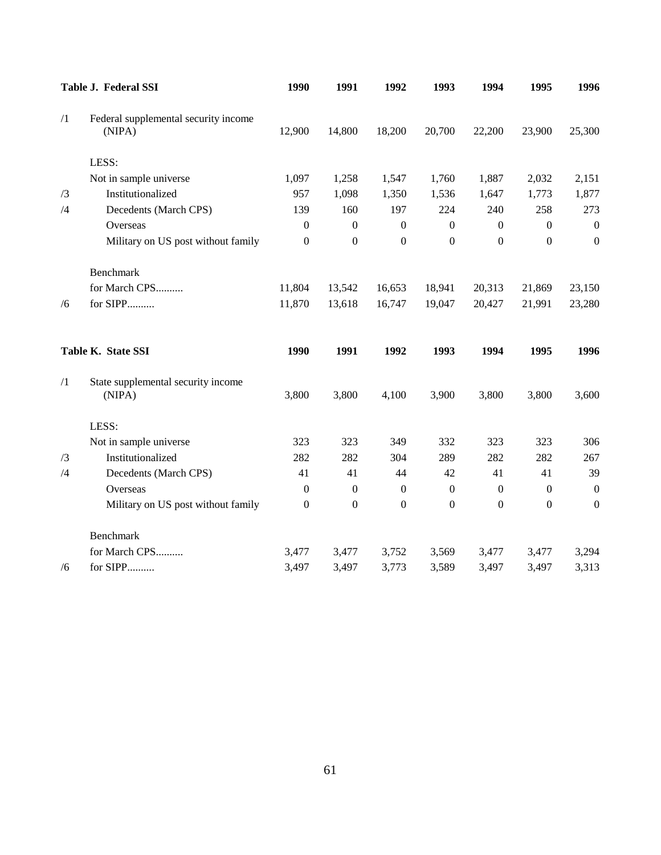|            | Table J. Federal SSI                           | 1990             | 1991             | 1992             | 1993             | 1994             | 1995             | 1996             |
|------------|------------------------------------------------|------------------|------------------|------------------|------------------|------------------|------------------|------------------|
| $\sqrt{1}$ | Federal supplemental security income<br>(NIPA) | 12,900           | 14,800           | 18,200           | 20,700           | 22,200           | 23,900           | 25,300           |
|            | LESS:                                          |                  |                  |                  |                  |                  |                  |                  |
|            | Not in sample universe                         | 1,097            | 1,258            | 1,547            | 1,760            | 1,887            | 2,032            | 2,151            |
| /3         | Institutionalized                              | 957              | 1,098            | 1,350            | 1,536            | 1,647            | 1,773            | 1,877            |
| /4         | Decedents (March CPS)                          | 139              | 160              | 197              | 224              | 240              | 258              | 273              |
|            | Overseas                                       | $\mathbf{0}$     | $\mathbf{0}$     | $\mathbf{0}$     | $\boldsymbol{0}$ | $\mathbf{0}$     | $\boldsymbol{0}$ | $\boldsymbol{0}$ |
|            | Military on US post without family             | $\boldsymbol{0}$ | $\mathbf{0}$     | $\boldsymbol{0}$ | $\boldsymbol{0}$ | $\boldsymbol{0}$ | $\boldsymbol{0}$ | $\mathbf{0}$     |
|            | Benchmark                                      |                  |                  |                  |                  |                  |                  |                  |
|            | for March CPS                                  | 11,804           | 13,542           | 16,653           | 18,941           | 20,313           | 21,869           | 23,150           |
| /6         | for SIPP                                       | 11,870           | 13,618           | 16,747           | 19,047           | 20,427           | 21,991           | 23,280           |
|            | Table K. State SSI                             | 1990             | 1991             | 1992             | 1993             | 1994             | 1995             | 1996             |
| $\sqrt{1}$ | State supplemental security income<br>(NIPA)   | 3,800            | 3,800            | 4,100            | 3,900            | 3,800            | 3,800            | 3,600            |
|            | LESS:                                          |                  |                  |                  |                  |                  |                  |                  |
|            | Not in sample universe                         | 323              | 323              | 349              | 332              | 323              | 323              | 306              |
| /3         | Institutionalized                              | 282              | 282              | 304              | 289              | 282              | 282              | 267              |
| /4         | Decedents (March CPS)                          | 41               | 41               | 44               | 42               | 41               | 41               | 39               |
|            | Overseas                                       | $\boldsymbol{0}$ | $\boldsymbol{0}$ | $\boldsymbol{0}$ | $\boldsymbol{0}$ | $\boldsymbol{0}$ | $\boldsymbol{0}$ | $\boldsymbol{0}$ |
|            | Military on US post without family             | $\boldsymbol{0}$ | $\boldsymbol{0}$ | $\boldsymbol{0}$ | $\boldsymbol{0}$ | $\boldsymbol{0}$ | $\boldsymbol{0}$ | $\mathbf{0}$     |
|            | Benchmark                                      |                  |                  |                  |                  |                  |                  |                  |
|            | for March CPS                                  | 3,477            | 3,477            | 3,752            | 3,569            | 3,477            | 3,477            | 3,294            |
| /6         | for SIPP                                       | 3,497            | 3,497            | 3,773            | 3,589            | 3,497            | 3,497            | 3,313            |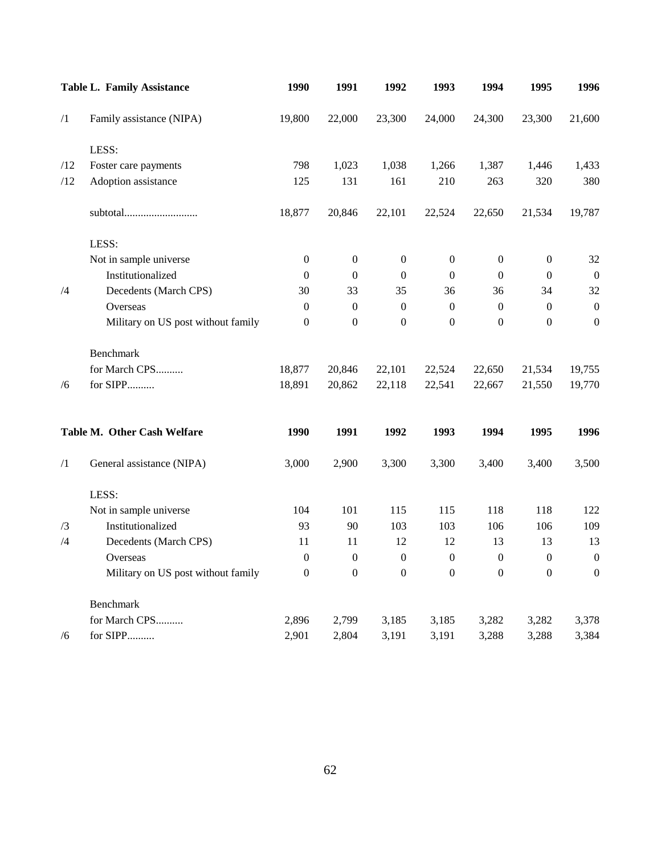|            | <b>Table L. Family Assistance</b>  | 1990             | 1991             | 1992             | 1993             | 1994             | 1995             | 1996             |
|------------|------------------------------------|------------------|------------------|------------------|------------------|------------------|------------------|------------------|
| $\sqrt{1}$ | Family assistance (NIPA)           | 19,800           | 22,000           | 23,300           | 24,000           | 24,300           | 23,300           | 21,600           |
|            | LESS:                              |                  |                  |                  |                  |                  |                  |                  |
| /12        | Foster care payments               | 798              | 1,023            | 1,038            | 1,266            | 1,387            | 1,446            | 1,433            |
| /12        | Adoption assistance                | 125              | 131              | 161              | 210              | 263              | 320              | 380              |
|            | subtotal                           | 18,877           | 20,846           | 22,101           | 22,524           | 22,650           | 21,534           | 19,787           |
|            | LESS:                              |                  |                  |                  |                  |                  |                  |                  |
|            | Not in sample universe             | $\boldsymbol{0}$ | $\boldsymbol{0}$ | $\boldsymbol{0}$ | $\boldsymbol{0}$ | $\boldsymbol{0}$ | $\boldsymbol{0}$ | 32               |
|            | Institutionalized                  | $\mathbf{0}$     | $\mathbf{0}$     | $\theta$         | $\overline{0}$   | $\mathbf{0}$     | $\overline{0}$   | $\mathbf{0}$     |
| /4         | Decedents (March CPS)              | 30               | 33               | 35               | 36               | 36               | 34               | 32               |
|            | Overseas                           | $\mathbf{0}$     | $\boldsymbol{0}$ | $\boldsymbol{0}$ | $\mathbf{0}$     | $\boldsymbol{0}$ | $\mathbf{0}$     | $\boldsymbol{0}$ |
|            | Military on US post without family | $\boldsymbol{0}$ | $\boldsymbol{0}$ | $\boldsymbol{0}$ | $\boldsymbol{0}$ | $\Omega$         | $\boldsymbol{0}$ | $\boldsymbol{0}$ |
|            | Benchmark                          |                  |                  |                  |                  |                  |                  |                  |
|            | for March CPS                      | 18,877           | 20,846           | 22,101           | 22,524           | 22,650           | 21,534           | 19,755           |
| /6         | for SIPP                           | 18,891           | 20,862           | 22,118           | 22,541           | 22,667           | 21,550           | 19,770           |
|            | Table M. Other Cash Welfare        | 1990             | 1991             | 1992             | 1993             | 1994             | 1995             | 1996             |
| $\sqrt{1}$ | General assistance (NIPA)          | 3,000            | 2,900            | 3,300            | 3,300            | 3,400            | 3,400            | 3,500            |
|            | LESS:                              |                  |                  |                  |                  |                  |                  |                  |
|            | Not in sample universe             | 104              | 101              | 115              | 115              | 118              | 118              | 122              |
| /3         | Institutionalized                  | 93               | 90               | 103              | 103              | 106              | 106              | 109              |
| /4         | Decedents (March CPS)              | 11               | 11               | 12               | 12               | 13               | 13               | 13               |
|            | Overseas                           | $\boldsymbol{0}$ | $\boldsymbol{0}$ | $\boldsymbol{0}$ | $\boldsymbol{0}$ | $\boldsymbol{0}$ | $\boldsymbol{0}$ | $\boldsymbol{0}$ |
|            | Military on US post without family | $\mathbf{0}$     | $\overline{0}$   | $\mathbf{0}$     | $\mathbf{0}$     | $\overline{0}$   | $\overline{0}$   | $\overline{0}$   |
|            | Benchmark                          |                  |                  |                  |                  |                  |                  |                  |
|            | for March CPS                      | 2,896            | 2,799            | 3,185            | 3,185            | 3,282            | 3,282            | 3,378            |
| /6         | for SIPP                           | 2,901            | 2,804            | 3,191            | 3,191            | 3,288            | 3,288            | 3,384            |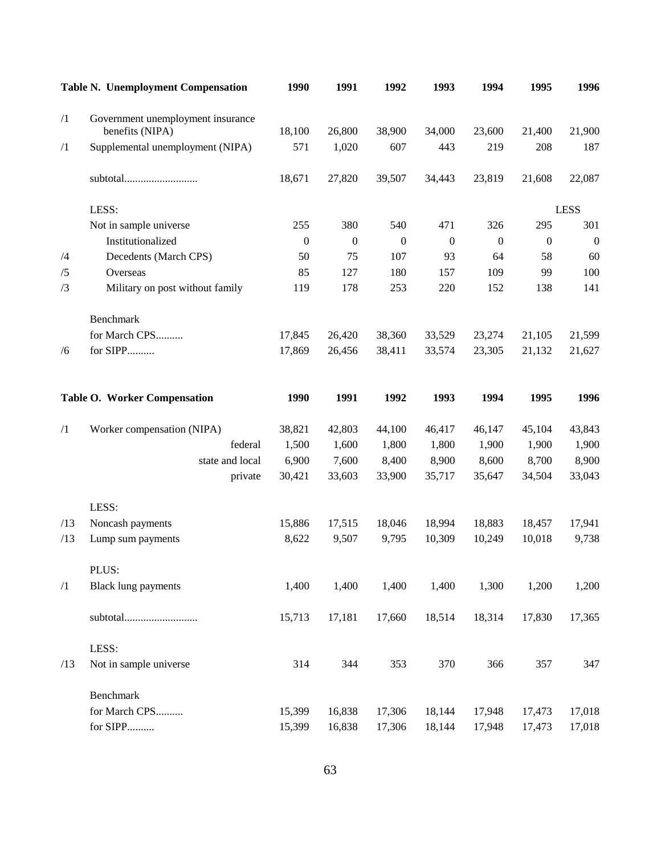|            | <b>Table N. Unemployment Compensation</b> | 1990         | 1991         | 1992             | 1993             | 1994             | 1995             | 1996             |
|------------|-------------------------------------------|--------------|--------------|------------------|------------------|------------------|------------------|------------------|
| $\sqrt{1}$ | Government unemployment insurance         |              |              |                  |                  |                  |                  |                  |
|            | benefits (NIPA)                           | 18,100       | 26,800       | 38,900           | 34,000           | 23,600           | 21,400           | 21,900           |
| $\sqrt{1}$ | Supplemental unemployment (NIPA)          | 571          | 1,020        | 607              | 443              | 219              | 208              | 187              |
|            | subtotal                                  | 18,671       | 27,820       | 39,507           | 34,443           | 23,819           | 21,608           | 22,087           |
|            | LESS:                                     |              |              |                  |                  |                  |                  | <b>LESS</b>      |
|            | Not in sample universe                    | 255          | 380          | 540              | 471              | 326              | 295              | 301              |
|            | Institutionalized                         | $\mathbf{0}$ | $\mathbf{0}$ | $\boldsymbol{0}$ | $\boldsymbol{0}$ | $\boldsymbol{0}$ | $\boldsymbol{0}$ | $\boldsymbol{0}$ |
| /4         | Decedents (March CPS)                     | 50           | 75           | 107              | 93               | 64               | 58               | 60               |
| /5         | Overseas                                  | 85           | 127          | 180              | 157              | 109              | 99               | 100              |
| /3         | Military on post without family           | 119          | 178          | 253              | 220              | 152              | 138              | 141              |
|            | Benchmark                                 |              |              |                  |                  |                  |                  |                  |
|            | for March CPS                             | 17,845       | 26,420       | 38,360           | 33,529           | 23,274           | 21,105           | 21,599           |
| /6         | for SIPP                                  | 17,869       | 26,456       | 38,411           | 33,574           | 23,305           | 21,132           | 21,627           |
|            | Table O. Worker Compensation              | 1990         | 1991         | 1992             | 1993             | 1994             | 1995             | 1996             |
| $\sqrt{1}$ | Worker compensation (NIPA)                | 38,821       | 42,803       | 44,100           | 46,417           | 46,147           | 45,104           | 43,843           |
|            | federal                                   | 1,500        | 1,600        | 1,800            | 1,800            | 1,900            | 1,900            | 1,900            |
|            | state and local                           | 6,900        | 7,600        | 8,400            | 8,900            | 8,600            | 8,700            | 8,900            |
|            | private                                   | 30,421       | 33,603       | 33,900           | 35,717           | 35,647           | 34,504           | 33,043           |
|            | LESS:                                     |              |              |                  |                  |                  |                  |                  |
| /13        | Noncash payments                          | 15,886       | 17,515       | 18,046           | 18,994           | 18,883           | 18,457           | 17,941           |
| /13        | Lump sum payments                         | 8,622        | 9,507        | 9,795            | 10,309           | 10,249           | 10,018           | 9,738            |
|            | PLUS:                                     |              |              |                  |                  |                  |                  |                  |
| $\sqrt{1}$ | <b>Black lung payments</b>                | 1,400        | 1,400        | 1,400            | 1,400            | 1,300            | 1,200            | 1,200            |
|            | subtotal                                  | 15,713       | 17,181       | 17,660           | 18,514           | 18,314           | 17,830           | 17,365           |
|            | LESS:                                     |              |              |                  |                  |                  |                  |                  |
| /13        | Not in sample universe                    | 314          | 344          | 353              | 370              | 366              | 357              | 347              |
|            | Benchmark                                 |              |              |                  |                  |                  |                  |                  |
|            | for March CPS                             | 15,399       | 16,838       | 17,306           | 18,144           | 17,948           | 17,473           | 17,018           |
|            | for SIPP                                  | 15,399       | 16,838       | 17,306           | 18,144           | 17,948           | 17,473           | 17,018           |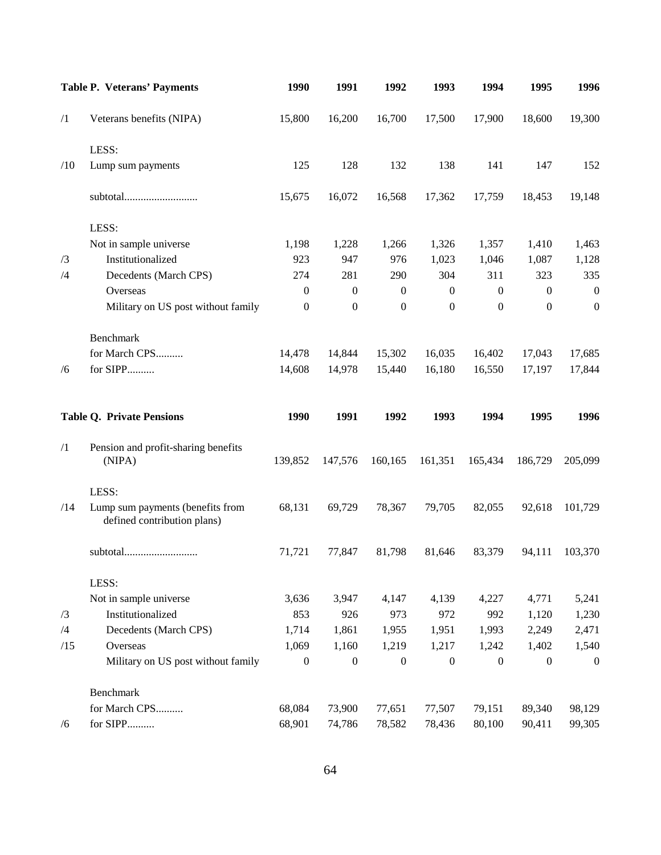|            | <b>Table P. Veterans' Payments</b>                              | 1990             | 1991             | 1992             | 1993             | 1994             | 1995             | 1996             |
|------------|-----------------------------------------------------------------|------------------|------------------|------------------|------------------|------------------|------------------|------------------|
| $\sqrt{1}$ | Veterans benefits (NIPA)                                        | 15,800           | 16,200           | 16,700           | 17,500           | 17,900           | 18,600           | 19,300           |
|            | LESS:                                                           |                  |                  |                  |                  |                  |                  |                  |
| /10        | Lump sum payments                                               | 125              | 128              | 132              | 138              | 141              | 147              | 152              |
|            | subtotal                                                        | 15,675           | 16,072           | 16,568           | 17,362           | 17,759           | 18,453           | 19,148           |
|            | LESS:                                                           |                  |                  |                  |                  |                  |                  |                  |
|            | Not in sample universe                                          | 1,198            | 1,228            | 1,266            | 1,326            | 1,357            | 1,410            | 1,463            |
| /3         | Institutionalized                                               | 923              | 947              | 976              | 1,023            | 1,046            | 1,087            | 1,128            |
| /4         | Decedents (March CPS)                                           | 274              | 281              | 290              | 304              | 311              | 323              | 335              |
|            | Overseas                                                        | $\boldsymbol{0}$ | $\boldsymbol{0}$ | $\boldsymbol{0}$ | $\boldsymbol{0}$ | $\mathbf{0}$     | $\boldsymbol{0}$ | $\boldsymbol{0}$ |
|            | Military on US post without family                              | $\boldsymbol{0}$ | $\boldsymbol{0}$ | $\boldsymbol{0}$ | $\boldsymbol{0}$ | $\boldsymbol{0}$ | $\boldsymbol{0}$ | $\boldsymbol{0}$ |
|            | Benchmark                                                       |                  |                  |                  |                  |                  |                  |                  |
|            | for March CPS                                                   | 14,478           | 14,844           | 15,302           | 16,035           | 16,402           | 17,043           | 17,685           |
| /6         | for SIPP                                                        | 14,608           | 14,978           | 15,440           | 16,180           | 16,550           | 17,197           | 17,844           |
|            |                                                                 |                  |                  |                  |                  |                  |                  |                  |
|            | <b>Table Q. Private Pensions</b>                                | 1990             | 1991             | 1992             | 1993             | 1994             | 1995             | 1996             |
| $\sqrt{1}$ | Pension and profit-sharing benefits<br>(NIPA)                   | 139,852          | 147,576          | 160,165          |                  |                  |                  | 205,099          |
|            |                                                                 |                  |                  |                  | 161,351          | 165,434          | 186,729          |                  |
|            | LESS:                                                           |                  |                  |                  |                  |                  |                  |                  |
| /14        | Lump sum payments (benefits from<br>defined contribution plans) | 68,131           | 69,729           | 78,367           | 79,705           | 82,055           | 92,618           | 101,729          |
|            | subtotal                                                        | 71,721           | 77,847           | 81,798           | 81,646           | 83,379           | 94,111           | 103,370          |
|            | LESS:                                                           |                  |                  |                  |                  |                  |                  |                  |
|            | Not in sample universe                                          | 3,636            | 3,947            | 4,147            | 4,139            | 4,227            | 4,771            | 5,241            |
| /3         | Institutionalized                                               | 853              | 926              | 973              | 972              | 992              | 1,120            | 1,230            |
| /4         | Decedents (March CPS)                                           | 1,714            | 1,861            | 1,955            | 1,951            | 1,993            | 2,249            | 2,471            |
| /15        | Overseas                                                        | 1,069            | 1,160            | 1,219            | 1,217            | 1,242            | 1,402            | 1,540            |
|            | Military on US post without family                              | $\boldsymbol{0}$ | $\boldsymbol{0}$ | $\mathbf{0}$     | $\boldsymbol{0}$ | $\mathbf{0}$     | $\boldsymbol{0}$ | $\overline{0}$   |
|            | Benchmark                                                       |                  |                  |                  |                  |                  |                  |                  |
|            | for March CPS                                                   | 68,084           | 73,900           | 77,651           | 77,507           | 79,151           | 89,340           | 98,129           |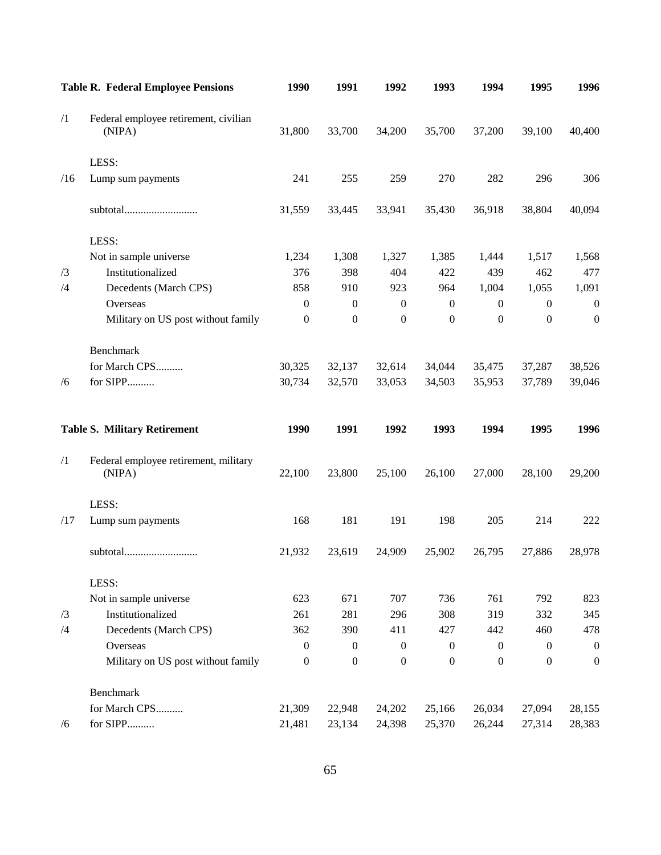|            | <b>Table R. Federal Employee Pensions</b>       | 1990             | 1991             | 1992             | 1993             | 1994             | 1995             | 1996             |
|------------|-------------------------------------------------|------------------|------------------|------------------|------------------|------------------|------------------|------------------|
| $\sqrt{1}$ | Federal employee retirement, civilian<br>(NIPA) | 31,800           | 33,700           | 34,200           | 35,700           | 37,200           | 39,100           | 40,400           |
|            | LESS:                                           |                  |                  |                  |                  |                  |                  |                  |
| /16        | Lump sum payments                               | 241              | 255              | 259              | 270              | 282              | 296              | 306              |
|            | subtotal                                        | 31,559           | 33,445           | 33,941           | 35,430           | 36,918           | 38,804           | 40,094           |
|            | LESS:                                           |                  |                  |                  |                  |                  |                  |                  |
|            | Not in sample universe                          | 1,234            | 1,308            | 1,327            | 1,385            | 1,444            | 1,517            | 1,568            |
| /3         | Institutionalized                               | 376              | 398              | 404              | 422              | 439              | 462              | 477              |
| /4         | Decedents (March CPS)                           | 858              | 910              | 923              | 964              | 1,004            | 1,055            | 1,091            |
|            | Overseas                                        | $\boldsymbol{0}$ | $\boldsymbol{0}$ | $\boldsymbol{0}$ | $\boldsymbol{0}$ | $\boldsymbol{0}$ | $\boldsymbol{0}$ | $\boldsymbol{0}$ |
|            | Military on US post without family              | $\boldsymbol{0}$ | $\boldsymbol{0}$ | $\overline{0}$   | $\mathbf{0}$     | $\boldsymbol{0}$ | $\boldsymbol{0}$ | $\mathbf{0}$     |
|            | Benchmark                                       |                  |                  |                  |                  |                  |                  |                  |
|            | for March CPS                                   | 30,325           | 32,137           | 32,614           | 34,044           | 35,475           | 37,287           | 38,526           |
| /6         | for SIPP                                        | 30,734           | 32,570           | 33,053           | 34,503           | 35,953           | 37,789           | 39,046           |
|            | <b>Table S. Military Retirement</b>             | 1990             | 1991             | 1992             | 1993             | 1994             | 1995             | 1996             |
| $\sqrt{1}$ | Federal employee retirement, military<br>(NIPA) | 22,100           | 23,800           | 25,100           | 26,100           | 27,000           | 28,100           | 29,200           |
|            | LESS:                                           |                  |                  |                  |                  |                  |                  |                  |
| /17        | Lump sum payments                               | 168              | 181              | 191              | 198              | 205              | 214              | 222              |
|            | subtotal                                        | 21,932           | 23,619           | 24,909           | 25,902           | 26,795           | 27,886           | 28,978           |
|            | LESS:                                           |                  |                  |                  |                  |                  |                  |                  |
|            |                                                 |                  |                  |                  |                  |                  |                  |                  |
|            | Not in sample universe                          | 623              | 671              | 707              | 736              | 761              | 792              | 823              |
| /3         | Institutionalized                               | 261              | 281              | 296              | 308              | 319              | 332              | 345              |
| /4         | Decedents (March CPS)                           | 362              | 390              | 411              | 427              | 442              | 460              | 478              |
|            | Overseas                                        | $\boldsymbol{0}$ | $\boldsymbol{0}$ | $\boldsymbol{0}$ | $\boldsymbol{0}$ | $\mathbf{0}$     | $\boldsymbol{0}$ | $\boldsymbol{0}$ |
|            | Military on US post without family              | $\boldsymbol{0}$ | $\boldsymbol{0}$ | $\boldsymbol{0}$ | $\boldsymbol{0}$ | $\boldsymbol{0}$ | $\boldsymbol{0}$ | $\boldsymbol{0}$ |
|            | Benchmark                                       |                  |                  |                  |                  |                  |                  |                  |
|            | for March CPS                                   | 21,309           | 22,948           | 24,202           | 25,166           | 26,034           | 27,094           | 28,155           |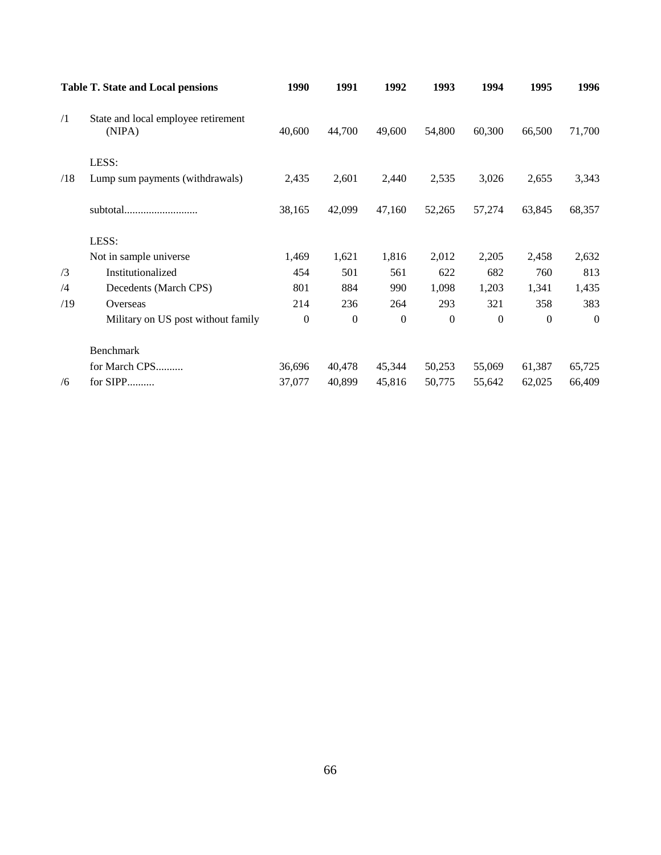|            | <b>Table T. State and Local pensions</b>      | 1990     | 1991     | 1992           | 1993             | 1994     | 1995     | 1996     |
|------------|-----------------------------------------------|----------|----------|----------------|------------------|----------|----------|----------|
| $\sqrt{1}$ | State and local employee retirement<br>(NIPA) | 40,600   | 44,700   | 49,600         | 54,800           | 60,300   | 66,500   | 71,700   |
|            | LESS:                                         |          |          |                |                  |          |          |          |
| /18        | Lump sum payments (withdrawals)               | 2,435    | 2,601    | 2,440          | 2,535            | 3,026    | 2,655    | 3,343    |
|            | subtotal                                      | 38,165   | 42,099   | 47,160         | 52,265           | 57,274   | 63,845   | 68,357   |
|            | LESS:                                         |          |          |                |                  |          |          |          |
|            | Not in sample universe                        | 1,469    | 1,621    | 1,816          | 2,012            | 2,205    | 2,458    | 2,632    |
| /3         | Institutionalized                             | 454      | 501      | 561            | 622              | 682      | 760      | 813      |
| /4         | Decedents (March CPS)                         | 801      | 884      | 990            | 1,098            | 1,203    | 1,341    | 1,435    |
| /19        | Overseas                                      | 214      | 236      | 264            | 293              | 321      | 358      | 383      |
|            | Military on US post without family            | $\theta$ | $\Omega$ | $\overline{0}$ | $\boldsymbol{0}$ | $\Omega$ | $\Omega$ | $\theta$ |
|            | Benchmark                                     |          |          |                |                  |          |          |          |
|            | for March CPS                                 | 36,696   | 40,478   | 45,344         | 50,253           | 55,069   | 61,387   | 65,725   |
| /6         | for SIPP                                      | 37,077   | 40,899   | 45,816         | 50,775           | 55,642   | 62,025   | 66,409   |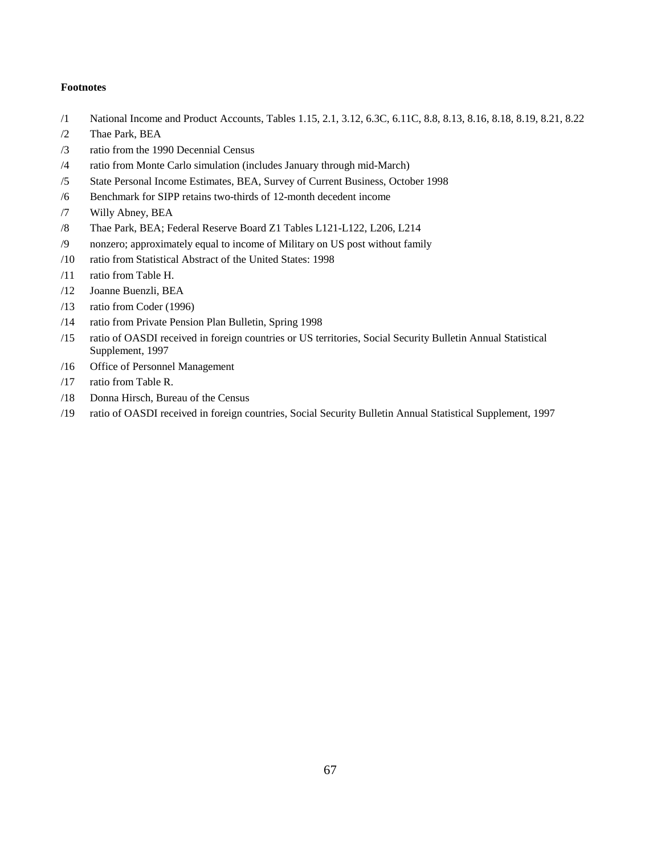### **Footnotes**

- /1 National Income and Product Accounts, Tables 1.15, 2.1, 3.12, 6.3C, 6.11C, 8.8, 8.13, 8.16, 8.18, 8.19, 8.21, 8.22
- /2 Thae Park, BEA
- /3 ratio from the 1990 Decennial Census
- /4 ratio from Monte Carlo simulation (includes January through mid-March)
- /5 State Personal Income Estimates, BEA, Survey of Current Business, October 1998
- /6 Benchmark for SIPP retains two-thirds of 12-month decedent income
- /7 Willy Abney, BEA
- /8 Thae Park, BEA; Federal Reserve Board Z1 Tables L121-L122, L206, L214
- /9 nonzero; approximately equal to income of Military on US post without family
- /10 ratio from Statistical Abstract of the United States: 1998
- /11 ratio from Table H.
- /12 Joanne Buenzli, BEA
- /13 ratio from Coder (1996)
- /14 ratio from Private Pension Plan Bulletin, Spring 1998
- /15 ratio of OASDI received in foreign countries or US territories, Social Security Bulletin Annual Statistical Supplement, 1997
- /16 Office of Personnel Management
- /17 ratio from Table R.
- /18 Donna Hirsch, Bureau of the Census
- /19 ratio of OASDI received in foreign countries, Social Security Bulletin Annual Statistical Supplement, 1997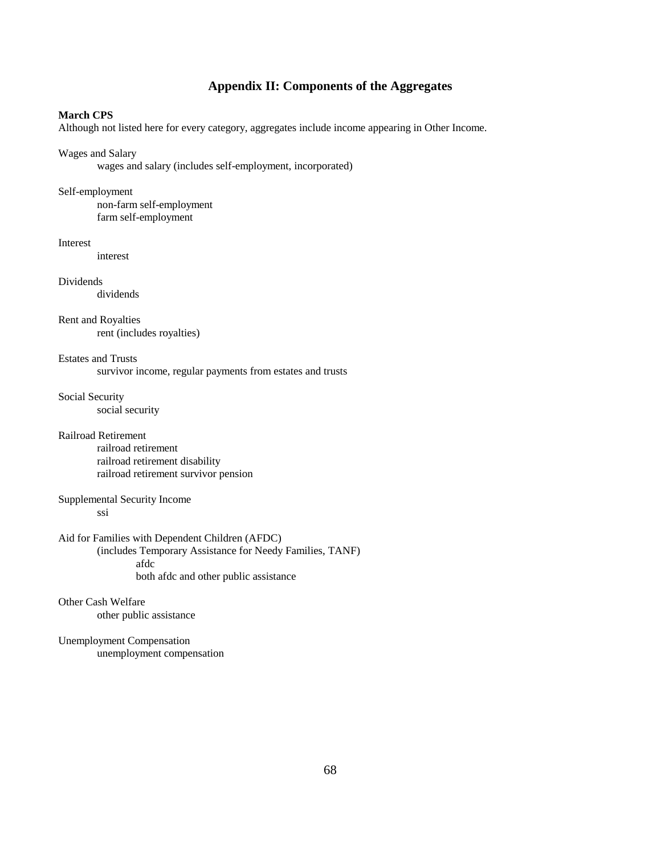## **Appendix II: Components of the Aggregates**

### **March CPS**

Although not listed here for every category, aggregates include income appearing in Other Income.

### Wages and Salary

wages and salary (includes self-employment, incorporated)

### Self-employment

non-farm self-employment farm self-employment

### Interest

interest

Dividends dividends

Rent and Royalties rent (includes royalties)

Estates and Trusts survivor income, regular payments from estates and trusts

Social Security social security

## Railroad Retirement

railroad retirement railroad retirement disability railroad retirement survivor pension

### Supplemental Security Income ssi

Aid for Families with Dependent Children (AFDC) (includes Temporary Assistance for Needy Families, TANF) afdc both afdc and other public assistance

### Other Cash Welfare other public assistance

Unemployment Compensation unemployment compensation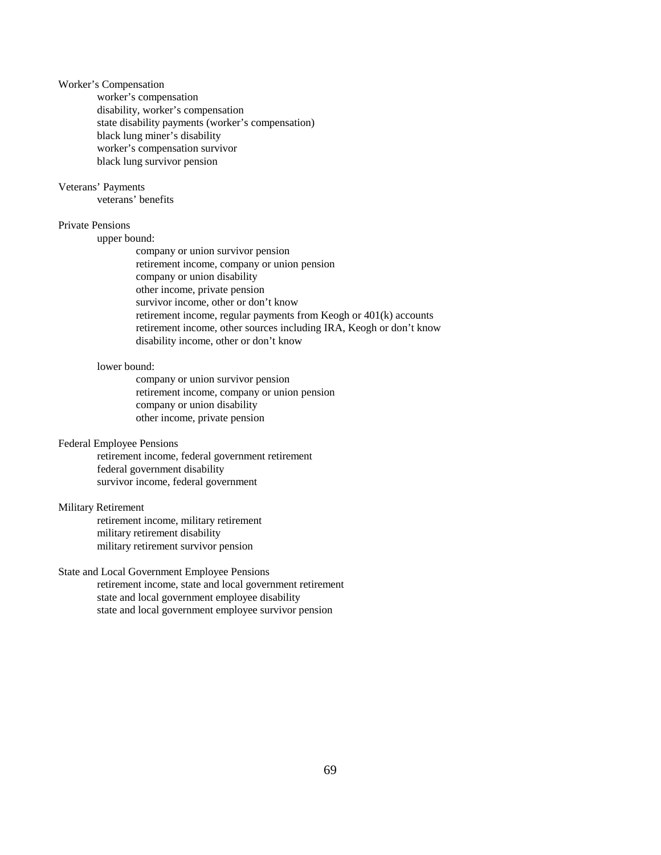# Worker's Compensation

worker's compensation disability, worker's compensation state disability payments (worker's compensation) black lung miner's disability worker's compensation survivor black lung survivor pension

## Veterans' Payments

veterans' benefits

# Private Pensions

upper bound:

company or union survivor pension retirement income, company or union pension company or union disability other income, private pension survivor income, other or don't know retirement income, regular payments from Keogh or 401(k) accounts retirement income, other sources including IRA, Keogh or don't know disability income, other or don't know

### lower bound:

company or union survivor pension retirement income, company or union pension company or union disability other income, private pension

#### Federal Employee Pensions

retirement income, federal government retirement federal government disability survivor income, federal government

# Military Retirement

retirement income, military retirement military retirement disability military retirement survivor pension

## State and Local Government Employee Pensions

retirement income, state and local government retirement state and local government employee disability state and local government employee survivor pension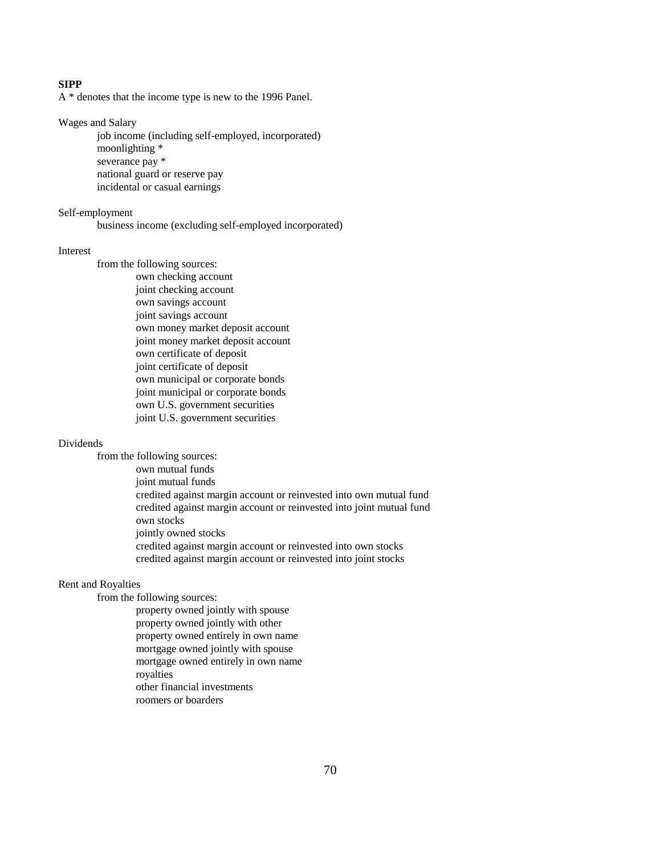# **SIPP**

A \* denotes that the income type is new to the 1996 Panel.

Wages and Salary

job income (including self-employed, incorporated) moonlighting \* severance pay \* national guard or reserve pay incidental or casual earnings

Self-employment

business income (excluding self-employed incorporated)

#### Interest

from the following sources: own checking account joint checking account own savings account joint savings account own money market deposit account joint money market deposit account own certificate of deposit joint certificate of deposit own municipal or corporate bonds joint municipal or corporate bonds own U.S. government securities joint U.S. government securities

#### Dividends

from the following sources: own mutual funds joint mutual funds credited against margin account or reinvested into own mutual fund credited against margin account or reinvested into joint mutual fund own stocks jointly owned stocks credited against margin account or reinvested into own stocks credited against margin account or reinvested into joint stocks

### Rent and Royalties

from the following sources:

property owned jointly with spouse property owned jointly with other property owned entirely in own name mortgage owned jointly with spouse mortgage owned entirely in own name royalties other financial investments roomers or boarders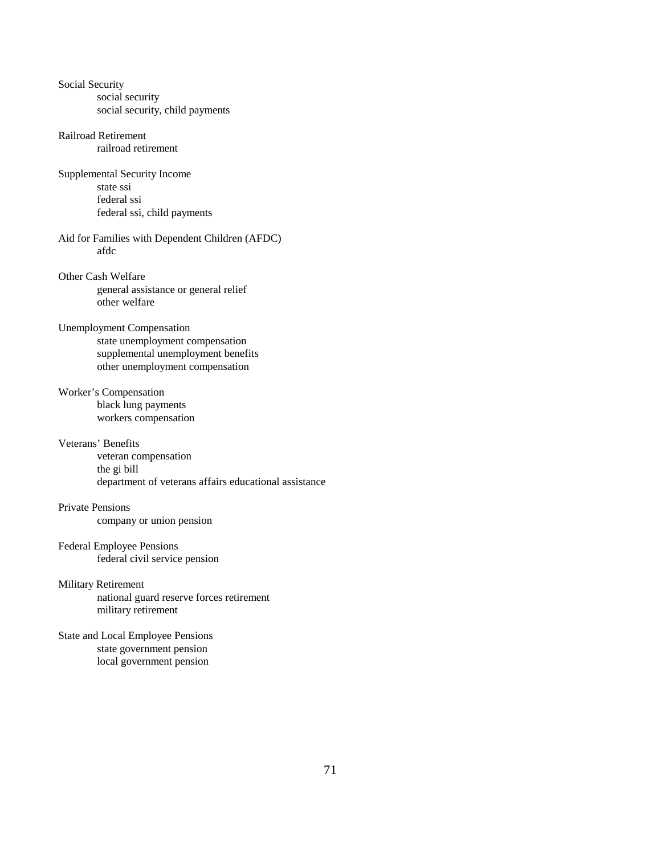Social Security social security social security, child payments Railroad Retirement railroad retirement Supplemental Security Income state ssi federal ssi federal ssi, child payments Aid for Families with Dependent Children (AFDC) afdc Other Cash Welfare general assistance or general relief other welfare Unemployment Compensation state unemployment compensation supplemental unemployment benefits other unemployment compensation Worker's Compensation black lung payments workers compensation Veterans' Benefits veteran compensation the gi bill department of veterans affairs educational assistance Private Pensions company or union pension Federal Employee Pensions federal civil service pension Military Retirement national guard reserve forces retirement military retirement State and Local Employee Pensions state government pension local government pension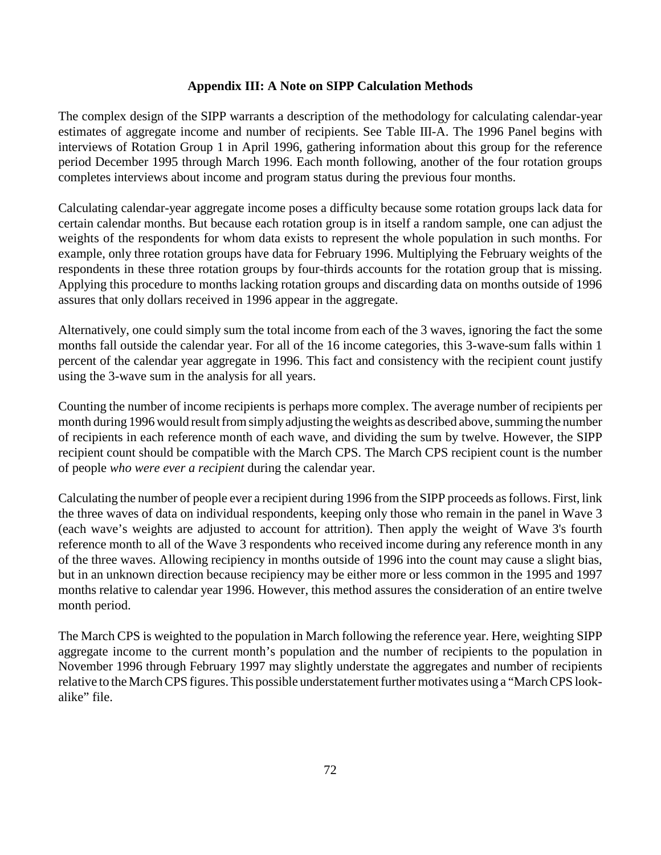# **Appendix III: A Note on SIPP Calculation Methods**

The complex design of the SIPP warrants a description of the methodology for calculating calendar-year estimates of aggregate income and number of recipients. See Table III-A. The 1996 Panel begins with interviews of Rotation Group 1 in April 1996, gathering information about this group for the reference period December 1995 through March 1996. Each month following, another of the four rotation groups completes interviews about income and program status during the previous four months.

Calculating calendar-year aggregate income poses a difficulty because some rotation groups lack data for certain calendar months. But because each rotation group is in itself a random sample, one can adjust the weights of the respondents for whom data exists to represent the whole population in such months. For example, only three rotation groups have data for February 1996. Multiplying the February weights of the respondents in these three rotation groups by four-thirds accounts for the rotation group that is missing. Applying this procedure to months lacking rotation groups and discarding data on months outside of 1996 assures that only dollars received in 1996 appear in the aggregate.

Alternatively, one could simply sum the total income from each of the 3 waves, ignoring the fact the some months fall outside the calendar year. For all of the 16 income categories, this 3-wave-sum falls within 1 percent of the calendar year aggregate in 1996. This fact and consistency with the recipient count justify using the 3-wave sum in the analysis for all years.

Counting the number of income recipients is perhaps more complex. The average number of recipients per month during 1996 would result from simply adjusting the weights as described above, summing the number of recipients in each reference month of each wave, and dividing the sum by twelve. However, the SIPP recipient count should be compatible with the March CPS. The March CPS recipient count is the number of people *who were ever a recipient* during the calendar year.

Calculating the number of people ever a recipient during 1996 from the SIPP proceeds as follows. First, link the three waves of data on individual respondents, keeping only those who remain in the panel in Wave 3 (each wave's weights are adjusted to account for attrition). Then apply the weight of Wave 3's fourth reference month to all of the Wave 3 respondents who received income during any reference month in any of the three waves. Allowing recipiency in months outside of 1996 into the count may cause a slight bias, but in an unknown direction because recipiency may be either more or less common in the 1995 and 1997 months relative to calendar year 1996. However, this method assures the consideration of an entire twelve month period.

The March CPS is weighted to the population in March following the reference year. Here, weighting SIPP aggregate income to the current month's population and the number of recipients to the population in November 1996 through February 1997 may slightly understate the aggregates and number of recipients relative to the March CPS figures. This possible understatement further motivates using a "March CPS lookalike" file.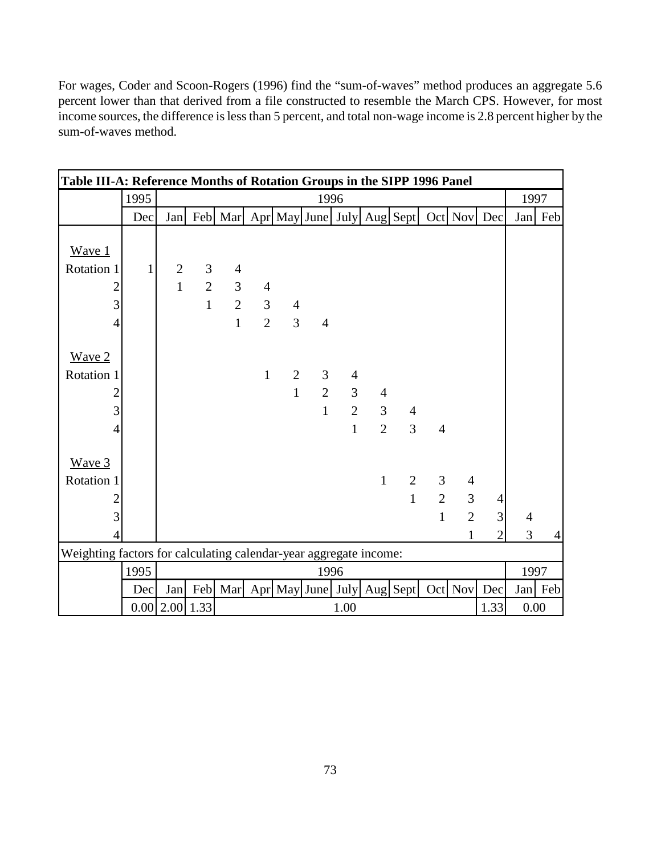For wages, Coder and Scoon-Rogers (1996) find the "sum-of-waves" method produces an aggregate 5.6 percent lower than that derived from a file constructed to resemble the March CPS. However, for most income sources, the difference is less than 5 percent, and total non-wage income is 2.8 percent higher by the sum-of-waves method.

|                                                                   | Table III-A: Reference Months of Rotation Groups in the SIPP 1996 Panel |                  |                |                |                                  |                |                   |                |                |                            |                |                |                |                |         |  |
|-------------------------------------------------------------------|-------------------------------------------------------------------------|------------------|----------------|----------------|----------------------------------|----------------|-------------------|----------------|----------------|----------------------------|----------------|----------------|----------------|----------------|---------|--|
|                                                                   | 1995                                                                    | 1996             |                |                |                                  |                |                   |                |                |                            |                |                | 1997           |                |         |  |
|                                                                   | Dec                                                                     | Jan              |                | Feb Mar        |                                  |                |                   |                |                | Apr May June July Aug Sept |                | Oct Nov Dec    |                |                | Jan Feb |  |
| Wave 1                                                            |                                                                         |                  |                |                |                                  |                |                   |                |                |                            |                |                |                |                |         |  |
| Rotation 1                                                        | $\mathbf{1}$                                                            | $\mathbf{2}$     | $\mathfrak{Z}$ | $\overline{4}$ |                                  |                |                   |                |                |                            |                |                |                |                |         |  |
| $\overline{2}$                                                    |                                                                         | $\mathbf{1}$     | $\overline{2}$ | $\overline{3}$ | $\overline{4}$                   |                |                   |                |                |                            |                |                |                |                |         |  |
| 3                                                                 |                                                                         |                  | $\mathbf{1}$   |                | $\overline{2}$<br>3 <sup>1</sup> | $\overline{4}$ |                   |                |                |                            |                |                |                |                |         |  |
|                                                                   |                                                                         |                  |                | $\mathbf{1}$   | $\overline{2}$                   | $\overline{3}$ | $\overline{4}$    |                |                |                            |                |                |                |                |         |  |
| $\overline{4}$                                                    |                                                                         |                  |                |                |                                  |                |                   |                |                |                            |                |                |                |                |         |  |
| Wave 2                                                            |                                                                         |                  |                |                |                                  |                |                   |                |                |                            |                |                |                |                |         |  |
| Rotation 1                                                        |                                                                         |                  |                |                | $\mathbf{1}$                     | $\overline{2}$ | 3                 | $\overline{4}$ |                |                            |                |                |                |                |         |  |
| $\overline{c}$                                                    |                                                                         |                  |                |                |                                  | $\mathbf{1}$   | $\overline{2}$    | 3              | $\overline{4}$ |                            |                |                |                |                |         |  |
| 3                                                                 |                                                                         |                  |                |                |                                  |                | $\mathbf{1}$      | $\overline{2}$ | 3              | $\overline{4}$             |                |                |                |                |         |  |
| $\overline{4}$                                                    |                                                                         |                  |                |                |                                  |                |                   | $\mathbf{1}$   | $\overline{2}$ | 3                          | $\overline{4}$ |                |                |                |         |  |
|                                                                   |                                                                         |                  |                |                |                                  |                |                   |                |                |                            |                |                |                |                |         |  |
| Wave 3                                                            |                                                                         |                  |                |                |                                  |                |                   |                |                |                            |                |                |                |                |         |  |
| Rotation 1                                                        |                                                                         |                  |                |                |                                  |                |                   |                | $\mathbf{1}$   | $\overline{2}$             | $\overline{3}$ | $\overline{4}$ |                |                |         |  |
| $\overline{2}$                                                    |                                                                         |                  |                |                |                                  |                |                   |                |                | $\mathbf{1}$               | $\overline{2}$ | 3              | $\overline{4}$ |                |         |  |
| 3                                                                 |                                                                         |                  |                |                |                                  |                |                   |                |                |                            | $\mathbf{1}$   | $\overline{2}$ | 3              | $\overline{4}$ |         |  |
| 4                                                                 |                                                                         |                  |                |                |                                  |                |                   |                |                |                            |                | 1              | $\overline{2}$ | 3              | 4       |  |
| Weighting factors for calculating calendar-year aggregate income: |                                                                         |                  |                |                |                                  |                |                   |                |                |                            |                |                |                |                |         |  |
|                                                                   | 1995                                                                    | 1996             |                |                |                                  |                |                   |                |                |                            |                |                | 1997           |                |         |  |
|                                                                   | Dec                                                                     | Jan              | Feb            | Mar            |                                  |                | Apr May June July |                |                | Aug Sept                   |                | Oct Nov        | Dec            |                | Jan Feb |  |
|                                                                   |                                                                         | $0.00$ 2.00 1.33 |                | 1.33<br>1.00   |                                  |                |                   |                |                |                            |                |                |                |                | 0.00    |  |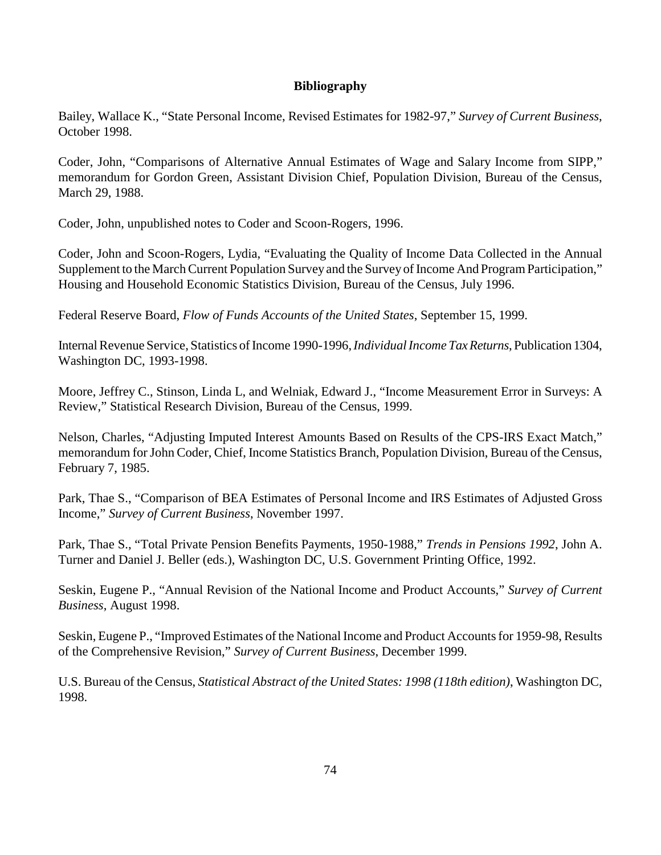# **Bibliography**

Bailey, Wallace K., "State Personal Income, Revised Estimates for 1982-97," *Survey of Current Business*, October 1998.

Coder, John, "Comparisons of Alternative Annual Estimates of Wage and Salary Income from SIPP," memorandum for Gordon Green, Assistant Division Chief, Population Division, Bureau of the Census, March 29, 1988.

Coder, John, unpublished notes to Coder and Scoon-Rogers, 1996.

Coder, John and Scoon-Rogers, Lydia, "Evaluating the Quality of Income Data Collected in the Annual Supplement to the March Current Population Survey and the Survey of Income And Program Participation," Housing and Household Economic Statistics Division, Bureau of the Census, July 1996.

Federal Reserve Board, *Flow of Funds Accounts of the United States*, September 15, 1999.

Internal Revenue Service, Statistics of Income 1990-1996, *Individual Income Tax Returns*, Publication 1304, Washington DC, 1993-1998.

Moore, Jeffrey C., Stinson, Linda L, and Welniak, Edward J., "Income Measurement Error in Surveys: A Review," Statistical Research Division, Bureau of the Census, 1999.

Nelson, Charles, "Adjusting Imputed Interest Amounts Based on Results of the CPS-IRS Exact Match," memorandum for John Coder, Chief, Income Statistics Branch, Population Division, Bureau of the Census, February 7, 1985.

Park, Thae S., "Comparison of BEA Estimates of Personal Income and IRS Estimates of Adjusted Gross Income," *Survey of Current Business*, November 1997.

Park, Thae S., "Total Private Pension Benefits Payments, 1950-1988," *Trends in Pensions 1992*, John A. Turner and Daniel J. Beller (eds.), Washington DC, U.S. Government Printing Office, 1992.

Seskin, Eugene P., "Annual Revision of the National Income and Product Accounts," *Survey of Current Business*, August 1998.

Seskin, Eugene P., "Improved Estimates of the National Income and Product Accounts for 1959-98, Results of the Comprehensive Revision," *Survey of Current Business*, December 1999.

U.S. Bureau of the Census, *Statistical Abstract of the United States: 1998 (118th edition)*, Washington DC, 1998.